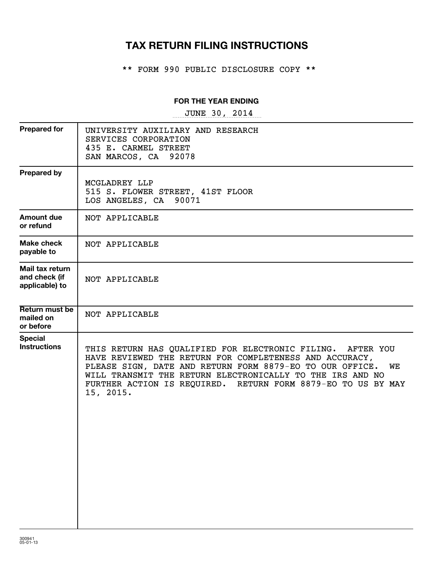# **TAX RETURN FILING INSTRUCTIONS**

\*\* FORM 990 PUBLIC DISCLOSURE COPY \*\*

# **FOR THE YEAR ENDING**

~~~~~~~~~~~~~~~~~ JUNE 30, 2014

| UNIVERSITY AUXILIARY AND RESEARCH<br>SERVICES CORPORATION<br>435 E. CARMEL STREET<br>SAN MARCOS, CA<br>92078                                                                                                                                                                                                                      |
|-----------------------------------------------------------------------------------------------------------------------------------------------------------------------------------------------------------------------------------------------------------------------------------------------------------------------------------|
| MCGLADREY LLP<br>515 S. FLOWER STREET, 41ST FLOOR<br>LOS ANGELES, CA<br>90071                                                                                                                                                                                                                                                     |
| NOT APPLICABLE                                                                                                                                                                                                                                                                                                                    |
| NOT APPLICABLE                                                                                                                                                                                                                                                                                                                    |
| NOT APPLICABLE                                                                                                                                                                                                                                                                                                                    |
| NOT APPLICABLE                                                                                                                                                                                                                                                                                                                    |
| THIS RETURN HAS QUALIFIED FOR ELECTRONIC FILING. AFTER YOU<br>HAVE REVIEWED THE RETURN FOR COMPLETENESS AND ACCURACY,<br>PLEASE SIGN, DATE AND RETURN FORM 8879-EO TO OUR OFFICE.<br>WE<br>WILL TRANSMIT THE RETURN ELECTRONICALLY TO THE IRS AND NO<br>FURTHER ACTION IS REQUIRED. RETURN FORM 8879-EO TO US BY MAY<br>15, 2015. |
|                                                                                                                                                                                                                                                                                                                                   |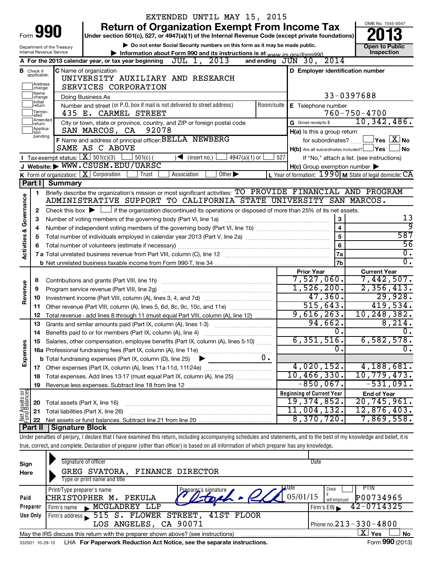|                                                                                                                   |                                  |                                        | EXTENDED UNTIL MAY 15, 2015                                                                                                                                                |            |                                                         |                                                                                       |
|-------------------------------------------------------------------------------------------------------------------|----------------------------------|----------------------------------------|----------------------------------------------------------------------------------------------------------------------------------------------------------------------------|------------|---------------------------------------------------------|---------------------------------------------------------------------------------------|
| <b>Return of Organization Exempt From Income Tax</b>                                                              |                                  |                                        |                                                                                                                                                                            |            |                                                         | OMB No. 1545-0047                                                                     |
| 990<br>Form<br>Under section 501(c), 527, or 4947(a)(1) of the Internal Revenue Code (except private foundations) |                                  |                                        |                                                                                                                                                                            |            |                                                         |                                                                                       |
|                                                                                                                   |                                  | Department of the Treasury             | Do not enter Social Security numbers on this form as it may be made public.                                                                                                |            |                                                         | <b>Open to Public</b>                                                                 |
|                                                                                                                   |                                  | Internal Revenue Service               | Information about Form 990 and its instructions is at www irs gov/form990                                                                                                  |            |                                                         | Inspection                                                                            |
|                                                                                                                   |                                  |                                        | $JUL$ 1, $2013$<br>A For the 2013 calendar year, or tax year beginning                                                                                                     |            | and ending $J\check{U}N$ 30, $2014$                     |                                                                                       |
|                                                                                                                   | <b>B</b> Check if<br>applicable: |                                        | C Name of organization<br>UNIVERSITY AUXILIARY AND RESEARCH                                                                                                                |            | D Employer identification number                        |                                                                                       |
|                                                                                                                   | Address<br>change                |                                        | SERVICES CORPORATION                                                                                                                                                       |            |                                                         |                                                                                       |
|                                                                                                                   | Name<br>change                   |                                        | Doing Business As                                                                                                                                                          |            |                                                         | 33-0397688                                                                            |
|                                                                                                                   | 1Initial<br>return               |                                        | Number and street (or P.O. box if mail is not delivered to street address)                                                                                                 | Room/suite | E Telephone number                                      |                                                                                       |
|                                                                                                                   | Termin-<br>ated                  |                                        | 435 E. CARMEL STREET                                                                                                                                                       |            |                                                         | $760 - 750 - 4700$                                                                    |
|                                                                                                                   | Amended<br>Ireturn               |                                        | City or town, state or province, country, and ZIP or foreign postal code                                                                                                   |            | G Gross receipts \$                                     | 10,342,486.                                                                           |
|                                                                                                                   | Applica-<br>tion<br>pending      |                                        | SAN MARCOS, CA 92078                                                                                                                                                       |            | H(a) Is this a group return                             |                                                                                       |
|                                                                                                                   |                                  |                                        | F Name and address of principal officer: BELLA NEWBERG                                                                                                                     |            | for subordinates?                                       | $\Box$ Yes $\boxed{\mathrm{X}}$ No                                                    |
|                                                                                                                   |                                  |                                        | SAME AS C ABOVE                                                                                                                                                            |            | $H(b)$ Are all subordinates included? $\Box$ Yes $\Box$ | l No                                                                                  |
|                                                                                                                   |                                  | Tax-exempt status: $X \over 301(c)(3)$ | $\frac{1}{4947(a)(1)}$ or<br>$501(c)$ (<br>$\sqrt{\frac{1}{1}}$ (insert no.)                                                                                               | 527        |                                                         | If "No," attach a list. (see instructions)                                            |
|                                                                                                                   |                                  |                                        | J Website: WWW.CSUSM.EDU/UARSC<br>Other $\blacktriangleright$<br>Trust<br>Association                                                                                      |            | $H(c)$ Group exemption number $\blacktriangleright$     | L Year of formation: $1990 \text{ m}$ State of legal domicile: $\overline{\text{CA}}$ |
|                                                                                                                   |                                  | Part I Summary                         | <b>K</b> Form of organization: $X$ Corporation                                                                                                                             |            |                                                         |                                                                                       |
|                                                                                                                   |                                  |                                        | Briefly describe the organization's mission or most significant activities: TO PROVIDE FINANCIAL AND PROGRAM                                                               |            |                                                         |                                                                                       |
| <b>Activities &amp; Governance</b>                                                                                | 1                                |                                        | ADMINISTRATIVE SUPPORT TO CALIFORNIA STATE UNIVERSITY SAN MARCOS.                                                                                                          |            |                                                         |                                                                                       |
|                                                                                                                   | 2                                |                                        | Check this box $\blacktriangleright$ $\Box$ if the organization discontinued its operations or disposed of more than 25% of its net assets.                                |            |                                                         |                                                                                       |
|                                                                                                                   | з                                |                                        | Number of voting members of the governing body (Part VI, line 1a)                                                                                                          |            | 3                                                       | 13                                                                                    |
|                                                                                                                   | 4                                |                                        |                                                                                                                                                                            |            | $\overline{\mathbf{4}}$                                 | ब्र                                                                                   |
|                                                                                                                   | 5                                |                                        |                                                                                                                                                                            |            | 5                                                       | 587                                                                                   |
|                                                                                                                   | 6                                |                                        |                                                                                                                                                                            |            | $6\phantom{a}$                                          | 56                                                                                    |
|                                                                                                                   |                                  |                                        |                                                                                                                                                                            |            | 7a                                                      | $\overline{0}$ .                                                                      |
|                                                                                                                   |                                  |                                        |                                                                                                                                                                            |            | 7 <sub>b</sub>                                          | $\overline{0}$ .                                                                      |
|                                                                                                                   |                                  |                                        |                                                                                                                                                                            |            | <b>Prior Year</b>                                       | <b>Current Year</b>                                                                   |
|                                                                                                                   | 8                                |                                        |                                                                                                                                                                            |            | 7,527,060.                                              | 7,442,507.                                                                            |
|                                                                                                                   | 9                                |                                        |                                                                                                                                                                            |            | 1,526,200.                                              | 2,356,413.                                                                            |
| Revenue                                                                                                           | 10                               |                                        |                                                                                                                                                                            |            | 47,360.                                                 | 29,928.                                                                               |
|                                                                                                                   | 11                               |                                        | Other revenue (Part VIII, column (A), lines 5, 6d, 8c, 9c, 10c, and 11e)                                                                                                   |            | 515, 643.                                               | 419,534.                                                                              |
|                                                                                                                   | 12                               |                                        | Total revenue - add lines 8 through 11 (must equal Part VIII, column (A), line 12)                                                                                         |            | 9,616,263.                                              | 10,248,382.                                                                           |
|                                                                                                                   | 13                               |                                        | Grants and similar amounts paid (Part IX, column (A), lines 1-3)                                                                                                           |            | 94,662.                                                 | 8,214.                                                                                |
|                                                                                                                   | 14                               |                                        | Benefits paid to or for members (Part IX, column (A), line 4)                                                                                                              |            | Ο.                                                      | 0.                                                                                    |
|                                                                                                                   | 15                               |                                        | Salaries, other compensation, employee benefits (Part IX, column (A), lines 5-10)                                                                                          |            | 6,351,516.<br>0                                         | 6,582,578.<br>$\overline{0}$ .                                                        |
| Expenses                                                                                                          |                                  |                                        |                                                                                                                                                                            | υ.         |                                                         |                                                                                       |
|                                                                                                                   |                                  |                                        | <b>b</b> Total fundraising expenses (Part IX, column (D), line 25)<br>▶                                                                                                    |            | 4,020,152.                                              | 4,188,681.                                                                            |
|                                                                                                                   | 17<br>18                         |                                        | Total expenses. Add lines 13-17 (must equal Part IX, column (A), line 25)                                                                                                  |            | 10, 466, 330.                                           | 10, 779, 473.                                                                         |
|                                                                                                                   | 19                               |                                        |                                                                                                                                                                            |            | $-850,067$ .                                            | $-531,091.$                                                                           |
|                                                                                                                   |                                  |                                        |                                                                                                                                                                            |            | <b>Beginning of Current Year</b>                        | <b>End of Year</b>                                                                    |
| Net Assets or                                                                                                     | 20                               | Total assets (Part X, line 16)         |                                                                                                                                                                            |            | 19,374,852.                                             | 20, 745, 961.                                                                         |
|                                                                                                                   | 21                               |                                        | Total liabilities (Part X, line 26)                                                                                                                                        |            | 11,004,132.                                             | 12,876,403.                                                                           |
|                                                                                                                   | 22                               |                                        |                                                                                                                                                                            |            | 8,370,720.                                              | 7,869,558.                                                                            |
|                                                                                                                   | Part II                          | Signature Block                        |                                                                                                                                                                            |            |                                                         |                                                                                       |
|                                                                                                                   |                                  |                                        | Under penalties of perjury, I declare that I have examined this return, including accompanying schedules and statements, and to the best of my knowledge and belief, it is |            |                                                         |                                                                                       |
|                                                                                                                   |                                  |                                        | true, correct, and complete. Declaration of preparer (other than officer) is based on all information of which preparer has any knowledge.                                 |            |                                                         |                                                                                       |

| Sign<br>Here | Signature of officer<br>SVATORA,<br>GREG                                                   | FINANCE DIRECTOR                    | <b>Date</b>                     |
|--------------|--------------------------------------------------------------------------------------------|-------------------------------------|---------------------------------|
|              | Type or print name and title                                                               |                                     |                                 |
|              | Print/Type preparer's name                                                                 | <b>Date</b><br>Preparer's signature | PTIN<br>Check                   |
| Paid         | CHRISTOPHER M.<br>PEKULA                                                                   | 05/01/15                            | P00734965<br>self-emploved      |
| Preparer     | MCGLADREY LLP<br>Firm's name<br>$\blacksquare$                                             |                                     | $42 - 0714325$<br>$F$ irm's EIN |
| Use Only     | 515 S. FLOWER<br>Firm's address                                                            | 41ST FLOOR<br>STREET,               |                                 |
|              | LOS ANGELES, CA 90071                                                                      |                                     | Phone no. $213 - 330 - 4800$    |
|              | May the IRS discuss this return with the preparer shown above? (see instructions)          |                                     | ΧI<br>Yes<br><b>No</b>          |
|              | asses of a committed. Each concerted Backs at an Act Matter and the accounts to store that |                                     | $F = 000 \text{ (0010)}$        |

332001 10-29-13 **For Paperwork Reduction Act Notice, see the separate instructions.** LHA Form (2013)

Form **990** (2013)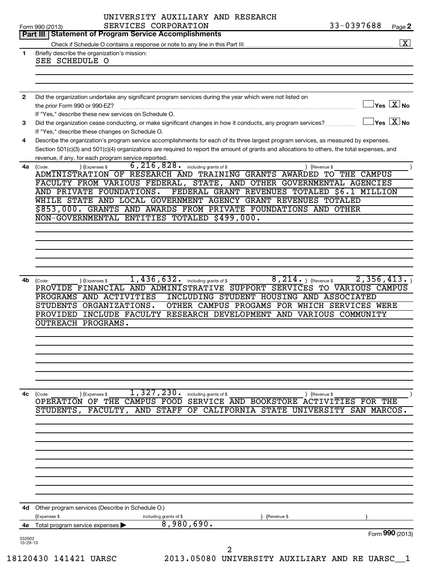|              | UNIVERSITY AUXILIARY AND RESEARCH                                                                                                            | 33-0397688                                                         |
|--------------|----------------------------------------------------------------------------------------------------------------------------------------------|--------------------------------------------------------------------|
|              | SERVICES CORPORATION<br>Form 990 (2013)<br><b>Statement of Program Service Accomplishments</b><br>Part III                                   | Page 2                                                             |
|              |                                                                                                                                              | $\boxed{\textbf{X}}$                                               |
|              |                                                                                                                                              |                                                                    |
| $\mathbf{1}$ | Briefly describe the organization's mission:<br>SEE SCHEDULE O                                                                               |                                                                    |
|              |                                                                                                                                              |                                                                    |
|              |                                                                                                                                              |                                                                    |
|              |                                                                                                                                              |                                                                    |
| $\mathbf{2}$ | Did the organization undertake any significant program services during the year which were not listed on                                     |                                                                    |
|              | the prior Form 990 or 990-EZ?                                                                                                                | $\sqrt{\mathsf{Yes}\mathord{\;\mathbb{X}}\mathord{\;\mathsf{No}}}$ |
|              | If "Yes," describe these new services on Schedule O.                                                                                         |                                                                    |
| 3            | Did the organization cease conducting, or make significant changes in how it conducts, any program services?                                 | $\exists$ Yes $\boxed{\text{X}}$ No                                |
|              | If "Yes," describe these changes on Schedule O.                                                                                              |                                                                    |
| 4            | Describe the organization's program service accomplishments for each of its three largest program services, as measured by expenses.         |                                                                    |
|              | Section 501(c)(3) and 501(c)(4) organizations are required to report the amount of grants and allocations to others, the total expenses, and |                                                                    |
|              | revenue, if any, for each program service reported.                                                                                          |                                                                    |
| 4a           | $6,216,828.$ including grants of \$<br>) (Expenses \$<br>(Code:                                                                              | ) (Revenue \$                                                      |
|              | ADMINISTRATION OF RESEARCH AND TRAINING GRANTS AWARDED                                                                                       | TO THE CAMPUS                                                      |
|              | FACULTY FROM VARIOUS FEDERAL, STATE, AND OTHER GOVERNMENTAL AGENCIES                                                                         |                                                                    |
|              | FEDERAL GRANT REVENUES TOTALED \$6.1 MILLION<br>AND PRIVATE FOUNDATIONS.                                                                     |                                                                    |
|              | WHILE STATE AND LOCAL GOVERNMENT AGENCY GRANT REVENUES TOTALED                                                                               |                                                                    |
|              | \$853,000. GRANTS AND AWARDS FROM PRIVATE FOUNDATIONS AND OTHER                                                                              |                                                                    |
|              | NON-GOVERNMENTAL ENTITIES TOTALED \$499,000.                                                                                                 |                                                                    |
|              |                                                                                                                                              |                                                                    |
|              |                                                                                                                                              |                                                                    |
|              |                                                                                                                                              |                                                                    |
|              |                                                                                                                                              |                                                                    |
|              |                                                                                                                                              |                                                                    |
|              |                                                                                                                                              |                                                                    |
| 4b           | 1,436,632. including grants of \$<br>$8, 214.$ ) (Revenue \$<br>(Expenses \$<br>(Code:                                                       | 2,356,413.                                                         |
|              | PROVIDE FINANCIAL AND ADMINISTRATIVE SUPPORT SERVICES TO VARIOUS CAMPUS                                                                      |                                                                    |
|              | PROGRAMS AND ACTIVITIES<br>INCLUDING STUDENT HOUSING AND ASSOCIATED                                                                          |                                                                    |
|              | STUDENTS ORGANIZATIONS.<br>OTHER CAMPUS PROGAMS FOR WHICH SERVICES WERE                                                                      |                                                                    |
|              | PROVIDED INCLUDE FACULTY RESEARCH DEVELOPMENT AND VARIOUS COMMUNITY                                                                          |                                                                    |
|              | OUTREACH PROGRAMS.                                                                                                                           |                                                                    |
|              |                                                                                                                                              |                                                                    |
|              |                                                                                                                                              |                                                                    |
|              |                                                                                                                                              |                                                                    |
|              |                                                                                                                                              |                                                                    |
|              |                                                                                                                                              |                                                                    |
|              |                                                                                                                                              |                                                                    |
|              |                                                                                                                                              |                                                                    |
| 4с           | 1,327,230.<br>(Code:<br>) (Expenses \$<br>including grants of \$                                                                             | ) (Revenue \$                                                      |
|              | THE CAMPUS FOOD<br>SERVICE AND BOOKSTORE ACTIVITIES<br>OPERATION OF                                                                          | FOR THE                                                            |
|              | FACULTY,<br><b>STAFF</b><br>OF<br>CALIFORNIA STATE<br>STUDENTS,<br>AND                                                                       | UNIVERSITY<br>SAN MARCOS.                                          |
|              |                                                                                                                                              |                                                                    |
|              |                                                                                                                                              |                                                                    |
|              |                                                                                                                                              |                                                                    |
|              |                                                                                                                                              |                                                                    |
|              |                                                                                                                                              |                                                                    |
|              |                                                                                                                                              |                                                                    |
|              |                                                                                                                                              |                                                                    |
|              |                                                                                                                                              |                                                                    |
|              |                                                                                                                                              |                                                                    |
|              |                                                                                                                                              |                                                                    |
| 4d           | Other program services (Describe in Schedule O.)                                                                                             |                                                                    |
|              | Expenses \$<br>including grants of \$<br>(Revenue \$                                                                                         |                                                                    |
| 4е           | 8,980,690.<br>Total program service expenses                                                                                                 |                                                                    |
| 332002       |                                                                                                                                              | Form 990 (2013)                                                    |
| 10-29-13     |                                                                                                                                              |                                                                    |
|              | 2<br>$1.00120, 111101, 1200$<br>DO12 OEOOO INITIIRRATE                                                                                       |                                                                    |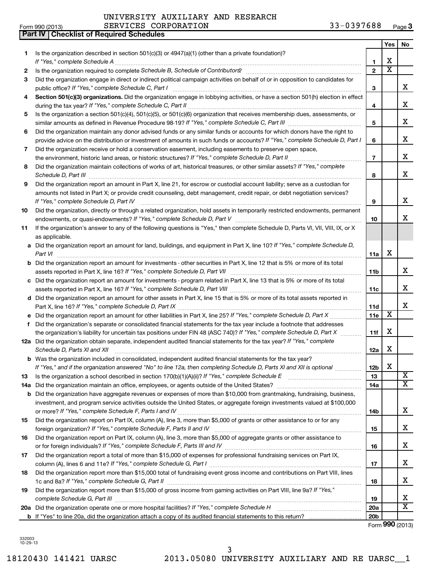|  | Form 990 (2013) |  |
|--|-----------------|--|

**Part IV Checklist of Required Schedules**

# UNIVERSITY AUXILIARY AND RESEARCH

| Form 990 (2013) | CORPORATION<br><b>SERVICES</b> | 0397688<br>າ າ<br>$-11$<br>Page J<br><u>. .</u> |
|-----------------|--------------------------------|-------------------------------------------------|
|-----------------|--------------------------------|-------------------------------------------------|

|     |                                                                                                                                                                                         |                 | Yes                     | No                      |
|-----|-----------------------------------------------------------------------------------------------------------------------------------------------------------------------------------------|-----------------|-------------------------|-------------------------|
| 1   | Is the organization described in section 501(c)(3) or 4947(a)(1) (other than a private foundation)?                                                                                     |                 |                         |                         |
|     | If "Yes," complete Schedule A                                                                                                                                                           | 1               | Х                       |                         |
| 2   |                                                                                                                                                                                         | $\overline{2}$  | $\overline{\text{x}}$   |                         |
| З   | Did the organization engage in direct or indirect political campaign activities on behalf of or in opposition to candidates for<br>public office? If "Yes," complete Schedule C, Part I | 3               |                         | x                       |
| 4   | Section 501(c)(3) organizations. Did the organization engage in lobbying activities, or have a section 501(h) election in effect                                                        | 4               |                         | x                       |
| 5   | Is the organization a section 501(c)(4), 501(c)(5), or 501(c)(6) organization that receives membership dues, assessments, or                                                            |                 |                         |                         |
|     |                                                                                                                                                                                         | 5               |                         | x                       |
| 6   | Did the organization maintain any donor advised funds or any similar funds or accounts for which donors have the right to                                                               |                 |                         |                         |
|     | provide advice on the distribution or investment of amounts in such funds or accounts? If "Yes," complete Schedule D, Part I                                                            | 6               |                         | x                       |
| 7   | Did the organization receive or hold a conservation easement, including easements to preserve open space,                                                                               |                 |                         |                         |
|     | the environment, historic land areas, or historic structures? If "Yes," complete Schedule D, Part II                                                                                    | $\overline{7}$  |                         | x                       |
| 8   | Did the organization maintain collections of works of art, historical treasures, or other similar assets? If "Yes," complete<br>Schedule D, Part III                                    | 8               |                         | x                       |
| 9   | Did the organization report an amount in Part X, line 21, for escrow or custodial account liability; serve as a custodian for                                                           |                 |                         |                         |
|     | amounts not listed in Part X; or provide credit counseling, debt management, credit repair, or debt negotiation services?<br>If "Yes," complete Schedule D, Part IV                     | 9               |                         | x                       |
| 10  | Did the organization, directly or through a related organization, hold assets in temporarily restricted endowments, permanent                                                           |                 |                         |                         |
|     |                                                                                                                                                                                         | 10              |                         | х                       |
| 11  | If the organization's answer to any of the following questions is "Yes," then complete Schedule D, Parts VI, VII, VIII, IX, or X<br>as applicable.                                      |                 |                         |                         |
|     | a Did the organization report an amount for land, buildings, and equipment in Part X, line 10? If "Yes," complete Schedule D,                                                           |                 |                         |                         |
|     | Part VI                                                                                                                                                                                 | 11a             | Х                       |                         |
| b   | Did the organization report an amount for investments - other securities in Part X, line 12 that is 5% or more of its total                                                             | 11b             |                         | x                       |
| c   | Did the organization report an amount for investments - program related in Part X, line 13 that is 5% or more of its total                                                              |                 |                         |                         |
|     |                                                                                                                                                                                         | 11c             |                         | x                       |
|     | d Did the organization report an amount for other assets in Part X, line 15 that is 5% or more of its total assets reported in                                                          | 11d             |                         | x                       |
|     | Did the organization report an amount for other liabilities in Part X, line 25? If "Yes," complete Schedule D, Part X                                                                   | 11e             | $\overline{\textbf{X}}$ |                         |
| f   | Did the organization's separate or consolidated financial statements for the tax year include a footnote that addresses                                                                 |                 |                         |                         |
|     | the organization's liability for uncertain tax positions under FIN 48 (ASC 740)? If "Yes," complete Schedule D, Part X                                                                  | 11f             | х                       |                         |
|     | 12a Did the organization obtain separate, independent audited financial statements for the tax year? If "Yes," complete<br>Schedule D, Parts XI and XII                                 | 12a             | Χ                       |                         |
|     | <b>b</b> Was the organization included in consolidated, independent audited financial statements for the tax year?                                                                      |                 |                         |                         |
|     | If "Yes," and if the organization answered "No" to line 12a, then completing Schedule D, Parts XI and XII is optional <i>manuma</i>                                                     | 12b             | $\mathbf X$             |                         |
| 13  | Is the organization a school described in section $170(b)(1)(A)(ii)$ ? If "Yes," complete Schedule E                                                                                    | 13              |                         | X                       |
| 14a | Did the organization maintain an office, employees, or agents outside of the United States?                                                                                             | 14a             |                         | $\overline{\mathbf{x}}$ |
| b   | Did the organization have aggregate revenues or expenses of more than \$10,000 from grantmaking, fundraising, business,                                                                 |                 |                         |                         |
|     | investment, and program service activities outside the United States, or aggregate foreign investments valued at \$100,000                                                              |                 |                         | x                       |
| 15  | Did the organization report on Part IX, column (A), line 3, more than \$5,000 of grants or other assistance to or for any                                                               | 14b             |                         |                         |
|     |                                                                                                                                                                                         | 15              |                         | x                       |
| 16  | Did the organization report on Part IX, column (A), line 3, more than \$5,000 of aggregate grants or other assistance to                                                                |                 |                         |                         |
|     |                                                                                                                                                                                         | 16              |                         | x                       |
| 17  | Did the organization report a total of more than \$15,000 of expenses for professional fundraising services on Part IX,                                                                 |                 |                         |                         |
|     |                                                                                                                                                                                         | 17              |                         | x                       |
| 18  | Did the organization report more than \$15,000 total of fundraising event gross income and contributions on Part VIII, lines                                                            | 18              |                         | x                       |
| 19  | Did the organization report more than \$15,000 of gross income from gaming activities on Part VIII, line 9a? If "Yes,"                                                                  |                 |                         |                         |
|     | complete Schedule G, Part III                                                                                                                                                           | 19              |                         | X                       |
|     | 20a Did the organization operate one or more hospital facilities? If "Yes," complete Schedule H                                                                                         | 20a             |                         | $\overline{\textbf{X}}$ |
|     |                                                                                                                                                                                         | 20 <sub>b</sub> |                         | Form 990 (2013)         |
|     |                                                                                                                                                                                         |                 |                         |                         |

332003 10-29-13

3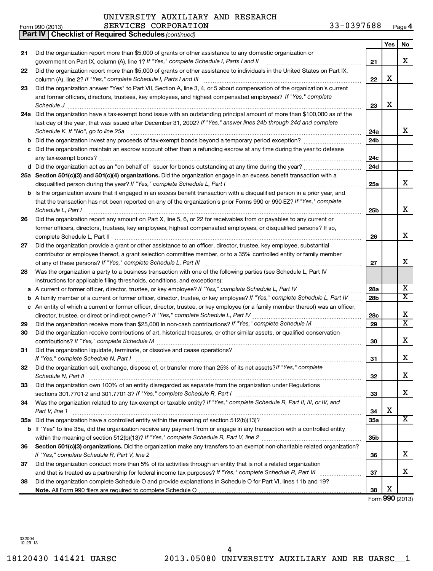#### **Yes No 21 22 23 24 a** Did the organization have a tax-exempt bond issue with an outstanding principal amount of more than \$100,000 as of the **25 a Section 501(c)(3) and 501(c)(4) organizations.**  Did the organization engage in an excess benefit transaction with a **26 27 28** Was the organization a party to a business transaction with one of the following parties (see Schedule L, Part IV **29 30 31 32 33 34 35 a** Did the organization have a controlled entity within the meaning of section 512(b)(13)? ~~~~~~~~~~~~~~~~~~ 36 Section 501(c)(3) organizations. Did the organization make any transfers to an exempt non-charitable related organization? **37 38 21 22 23 24a 24b 24c 24d 25a 25b 26 27 28a 28b 28c 29 30 31 32 33 34 35a 35b 36 37 b** Did the organization invest any proceeds of tax-exempt bonds beyond a temporary period exception? *\_\_\_\_\_\_\_\_\_\_\_\_\_\_\_\_\_\_\_\_\_* **c** Did the organization maintain an escrow account other than a refunding escrow at any time during the year to defease **d** Did the organization act as an "on behalf of" issuer for bonds outstanding at any time during the year? ~~~~~~~~~~~ **b** Is the organization aware that it engaged in an excess benefit transaction with a disqualified person in a prior year, and **a** *If "Yes," complete Schedule L, Part IV* A current or former officer, director, trustee, or key employee? ~~~~~~~~~~~ **b** A family member of a current or former officer, director, trustee, or key employee? If "Yes," complete Schedule L, Part IV ...... **c** An entity of which a current or former officer, director, trustee, or key employee (or a family member thereof) was an officer, **b** If "Yes" to line 35a, did the organization receive any payment from or engage in any transaction with a controlled entity *(continued)* **Part IV Checklist of Required Schedules** *If "Yes," complete Schedule I, Parts I and II* government on Part IX, column (A), line 1? ~~~~~~~~~~~~~~~~~~ *If "Yes," complete Schedule I, Parts I and III* column (A), line 2? ~~~~~~~~~~~~~~~~~~~~~~~~~~~~~~ and former officers, directors, trustees, key employees, and highest compensated employees? If "Yes," complete *Schedule J* ~~~~~~~~~~~~~~~~~~~~~~~~~~~~~~~~~~~~~~~~~~~~~~~~~~~~~~~~ last day of the year, that was issued after December 31, 2002? If "Yes," answer lines 24b through 24d and complete *Schedule K. If "No", go to line 25a* ~~~~~~~~~~~~~~~~~~~~~~~~~~~~~~~~~~~~~~~~~~~~ *If "Yes," complete Schedule L, Part I* disqualified person during the year? ~~~~~~~~~~~~~~~~~~~~~~~~~ that the transaction has not been reported on any of the organization's prior Forms 990 or 990-EZ? If "Yes," complete *Schedule L, Part I* ~~~~~~~~~~~~~~~~~~~~~~~~~~~~~~~~~~~~~~~~~~~~~~~~~~~~ *If "Yes," complete Schedule L, Part III* of any of these persons? ~~~~~~~~~~~~~~~~~~~~~~~~~~~~~~ *If "Yes," complete Schedule L, Part IV* director, trustee, or direct or indirect owner? ~~~~~~~~~~~~~~~~~~~~~ Did the organization receive more than \$25,000 in non-cash contributions? If "Yes," complete Schedule M manument *If "Yes," complete Schedule M* contributions? ~~~~~~~~~~~~~~~~~~~~~~~~~~~~~~~~~~~~~~~ *If "Yes," complete Schedule N, Part I* ~~~~~~~~~~~~~~~~~~~~~~~~~~~~~~~~~~~~~~~~~~~ Did the organization sell, exchange, dispose of, or transfer more than 25% of its net assets?If "Yes," complete *Schedule N, Part II* ~~~~~~~~~~~~~~~~~~~~~~~~~~~~~~~~~~~~~~~~~~~~~~~~~~~~ *If "Yes," complete Schedule R, Part I* sections 301.7701-2 and 301.7701-3? ~~~~~~~~~~~~~~~~~~~~~~~~ Was the organization related to any tax-exempt or taxable entity? If "Yes," complete Schedule R, Part II, III, or IV, and *Part V, line 1* ~~~~~~~~~~~~~~~~~~~~~~~~~~~~~~~~~~~~~~~~~~~~~~~~~~~~~~~ *If "Yes," complete Schedule R, Part V, line 2* within the meaning of section 512(b)(13)? ~~~~~~~~~~~~~~~~~~~ *If "Yes," complete Schedule R, Part V, line 2* ~~~~~~~~~~~~~~~~~~~~~~~~~~~~~~~~~~~~~~~~ and that is treated as a partnership for federal income tax purposes? If "Yes," complete Schedule R, Part VI medi Did the organization report more than \$5,000 of grants or other assistance to any domestic organization or Did the organization report more than \$5,000 of grants or other assistance to individuals in the United States on Part IX. Did the organization answer "Yes" to Part VII, Section A, line 3, 4, or 5 about compensation of the organization's current any tax-exempt bonds? ~~~~~~~~~~~~~~~~~~~~~~~~~~~~~~~~~~~~~~~~~~~~~~~~~~ Did the organization report any amount on Part X, line 5, 6, or 22 for receivables from or payables to any current or former officers, directors, trustees, key employees, highest compensated employees, or disqualified persons? If so, complete Schedule L, Part II ~~~~~~~~~~~~~~~~~~~~~~~~~~~~~~~~~~~~~~~~~~~~~~~ Did the organization provide a grant or other assistance to an officer, director, trustee, key employee, substantial contributor or employee thereof, a grant selection committee member, or to a 35% controlled entity or family member instructions for applicable filing thresholds, conditions, and exceptions): Did the organization receive contributions of art, historical treasures, or other similar assets, or qualified conservation Did the organization liquidate, terminate, or dissolve and cease operations? Did the organization own 100% of an entity disregarded as separate from the organization under Regulations Did the organization conduct more than 5% of its activities through an entity that is not a related organization Did the organization complete Schedule O and provide explanations in Schedule O for Part VI, lines 11b and 19? X X X X X X X X X  $\overline{\mathtt{x}}$ X  $\overline{\mathtt{x}}$ X X X X X  $\overline{\mathtt{x}}$ X X X

Form (2013) **990**

**38**

332004 10-29-13

**Note.**  All Form 990 filers are required to complete Schedule O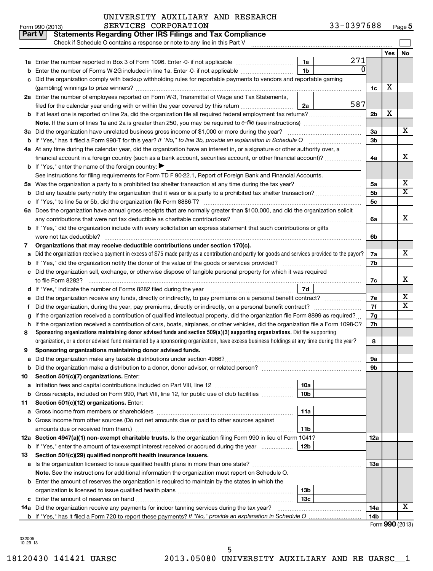| <b>Part V</b> | <b>Statements Regarding Other IRS Filings and Tax Compliance</b><br>Check if Schedule O contains a response or note to any line in this Part V  |                 |     |     |     |                         |
|---------------|-------------------------------------------------------------------------------------------------------------------------------------------------|-----------------|-----|-----|-----|-------------------------|
|               |                                                                                                                                                 |                 |     |     | Yes | No                      |
|               |                                                                                                                                                 | 1a              | 271 |     |     |                         |
|               | Enter the number of Forms W-2G included in line 1a. Enter -0- if not applicable                                                                 | 1 <sub>b</sub>  |     |     |     |                         |
| c             | Did the organization comply with backup withholding rules for reportable payments to vendors and reportable gaming                              |                 |     |     |     |                         |
|               |                                                                                                                                                 |                 |     | 1c  | х   |                         |
|               | 2a Enter the number of employees reported on Form W-3, Transmittal of Wage and Tax Statements,                                                  |                 |     |     |     |                         |
|               | filed for the calendar year ending with or within the year covered by this return                                                               | 2a              | 587 |     |     |                         |
|               | b If at least one is reported on line 2a, did the organization file all required federal employment tax returns?                                |                 |     | 2b  | X   |                         |
|               |                                                                                                                                                 |                 |     |     |     |                         |
|               | 3a Did the organization have unrelated business gross income of \$1,000 or more during the year?                                                |                 |     | 3a  |     | х                       |
|               | <b>b</b> If "Yes," has it filed a Form 990-T for this year? If "No," to line 3b, provide an explanation in Schedule O                           |                 |     | 3b  |     |                         |
|               | 4a At any time during the calendar year, did the organization have an interest in, or a signature or other authority over, a                    |                 |     |     |     |                         |
|               | financial account in a foreign country (such as a bank account, securities account, or other financial account)?                                |                 |     | 4a  |     | x                       |
|               | <b>b</b> If "Yes," enter the name of the foreign country: $\blacktriangleright$                                                                 |                 |     |     |     |                         |
|               | See instructions for filing requirements for Form TD F 90-22.1, Report of Foreign Bank and Financial Accounts.                                  |                 |     |     |     |                         |
| 5а            |                                                                                                                                                 |                 |     | 5а  |     | х                       |
| b             |                                                                                                                                                 |                 |     | 5b  |     | $\overline{\textbf{x}}$ |
|               |                                                                                                                                                 |                 |     | 5c  |     |                         |
|               | 6a Does the organization have annual gross receipts that are normally greater than \$100,000, and did the organization solicit                  |                 |     |     |     |                         |
|               |                                                                                                                                                 |                 |     | 6a  |     | x                       |
|               | <b>b</b> If "Yes," did the organization include with every solicitation an express statement that such contributions or gifts                   |                 |     |     |     |                         |
|               | were not tax deductible?                                                                                                                        |                 |     | 6b  |     |                         |
| 7             | Organizations that may receive deductible contributions under section 170(c).                                                                   |                 |     |     |     |                         |
| a             | Did the organization receive a payment in excess of \$75 made partly as a contribution and partly for goods and services provided to the payor? |                 |     | 7a  |     | х                       |
|               |                                                                                                                                                 |                 |     | 7b  |     |                         |
|               | c Did the organization sell, exchange, or otherwise dispose of tangible personal property for which it was required                             |                 |     |     |     | х                       |
|               |                                                                                                                                                 | 7d              |     | 7c  |     |                         |
|               | Did the organization receive any funds, directly or indirectly, to pay premiums on a personal benefit contract?                                 |                 |     | 7e  |     | x                       |
| f             |                                                                                                                                                 |                 |     | 7f  |     | $\overline{\textbf{x}}$ |
|               | If the organization received a contribution of qualified intellectual property, did the organization file Form 8899 as required?                |                 |     | 7g  |     |                         |
| h             | If the organization received a contribution of cars, boats, airplanes, or other vehicles, did the organization file a Form 1098-C?              |                 |     | 7h  |     |                         |
| 8             | Sponsoring organizations maintaining donor advised funds and section $509(a)(3)$ supporting organizations. Did the supporting                   |                 |     |     |     |                         |
|               | organization, or a donor advised fund maintained by a sponsoring organization, have excess business holdings at any time during the year?       |                 |     | 8   |     |                         |
| 9             | Sponsoring organizations maintaining donor advised funds.                                                                                       |                 |     |     |     |                         |
|               |                                                                                                                                                 |                 |     | υа  |     |                         |
|               | <b>b</b> Did the organization make a distribution to a donor, donor advisor, or related person?                                                 |                 |     | 9b  |     |                         |
| 10            | Section 501(c)(7) organizations. Enter:                                                                                                         |                 |     |     |     |                         |
| а             |                                                                                                                                                 | 10a             |     |     |     |                         |
|               | <b>b</b> Gross receipts, included on Form 990, Part VIII, line 12, for public use of club facilities <i>manument</i>                            | 10 <sub>b</sub> |     |     |     |                         |
| 11            | Section 501(c)(12) organizations. Enter:                                                                                                        |                 |     |     |     |                         |
| а             |                                                                                                                                                 | 11a             |     |     |     |                         |
|               | <b>b</b> Gross income from other sources (Do not net amounts due or paid to other sources against                                               |                 |     |     |     |                         |
|               | amounts due or received from them.)                                                                                                             | 11 <sub>b</sub> |     |     |     |                         |
|               | 12a Section 4947(a)(1) non-exempt charitable trusts. Is the organization filing Form 990 in lieu of Form 1041?                                  |                 |     | 12a |     |                         |
|               | <b>b</b> If "Yes," enter the amount of tax-exempt interest received or accrued during the year                                                  | 12b             |     |     |     |                         |
| 13            | Section 501(c)(29) qualified nonprofit health insurance issuers.                                                                                |                 |     |     |     |                         |
|               | a Is the organization licensed to issue qualified health plans in more than one state?                                                          |                 |     | 1За |     |                         |
|               | Note. See the instructions for additional information the organization must report on Schedule O.                                               |                 |     |     |     |                         |
|               | <b>b</b> Enter the amount of reserves the organization is required to maintain by the states in which the                                       |                 |     |     |     |                         |
|               |                                                                                                                                                 | 13 <sub>b</sub> |     |     |     |                         |
|               |                                                                                                                                                 | 13c             |     |     |     | $\overline{\mathbf{X}}$ |
|               | 14a Did the organization receive any payments for indoor tanning services during the tax year?                                                  |                 |     | 14a |     |                         |
|               | <b>b</b> If "Yes," has it filed a Form 720 to report these payments? If "No," provide an explanation in Schedule O                              |                 |     | 14b |     |                         |

332005 10-29-13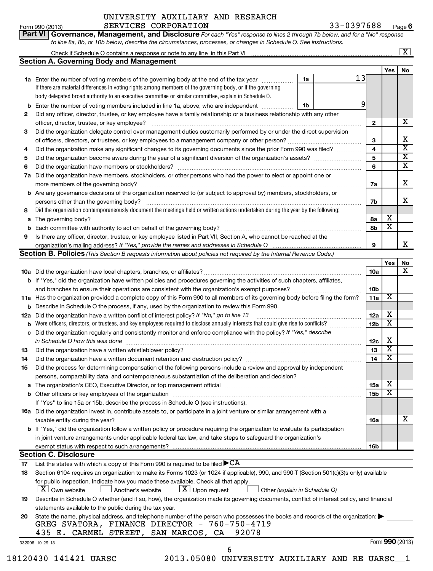# UNIVERSITY AUXILIARY AND RESEARCH SERVICES CORPORATION 33-0397688

Form 990 (2013) Page **6**

| Check if Schedule O contains a response or note to any line in this Part VI                  |                                                                                                                  |                                                                                                                               |
|----------------------------------------------------------------------------------------------|------------------------------------------------------------------------------------------------------------------|-------------------------------------------------------------------------------------------------------------------------------|
| Section A. Governing Body and Management                                                     |                                                                                                                  |                                                                                                                               |
|                                                                                              | Yes                                                                                                              |                                                                                                                               |
| 1a<br>1a Enter the number of voting members of the governing body at the end of the tax year |                                                                                                                  |                                                                                                                               |
|                                                                                              | to line 8a, 8b, or 10b below, describe the circumstances, processes, or changes in Schedule O. See instructions. | Part VI   Governance, Management, and Disclosure For each "Yes" response to lines 2 through 7b below, and for a "No" response |

|              | Enter the namber of young mombers of the governing boay at the chalor the tax your<br>If there are material differences in voting rights among members of the governing body, or if the governing |    |    |   |   |
|--------------|---------------------------------------------------------------------------------------------------------------------------------------------------------------------------------------------------|----|----|---|---|
|              | body delegated broad authority to an executive committee or similar committee, explain in Schedule O.                                                                                             |    |    |   |   |
| b            | Enter the number of voting members included in line 1a, above, who are independent                                                                                                                | 1b |    |   |   |
| $\mathbf{2}$ | Did any officer, director, trustee, or key employee have a family relationship or a business relationship with any other                                                                          |    |    |   |   |
|              | officer, director, trustee, or key employee?                                                                                                                                                      |    | 2  |   | x |
| 3            | Did the organization delegate control over management duties customarily performed by or under the direct supervision                                                                             |    |    |   |   |
|              | of officers, directors, or trustees, or key employees to a management company or other person?                                                                                                    |    | 3  |   | x |
| 4            | Did the organization make any significant changes to its governing documents since the prior Form 990 was filed?                                                                                  |    | 4  |   | X |
| 5.           |                                                                                                                                                                                                   |    | 5  |   | x |
| 6            | Did the organization have members or stockholders?                                                                                                                                                |    | 6  |   | x |
| 7a           | Did the organization have members, stockholders, or other persons who had the power to elect or appoint one or                                                                                    |    |    |   |   |
|              | more members of the governing body?                                                                                                                                                               |    | 7a |   | x |
|              | <b>b</b> Are any governance decisions of the organization reserved to (or subject to approval by) members, stockholders, or                                                                       |    |    |   |   |
|              | persons other than the governing body?                                                                                                                                                            |    | 7b |   | x |
| 8            | Did the organization contemporaneously document the meetings held or written actions undertaken during the year by the following:                                                                 |    |    |   |   |
| a            | The governing body?                                                                                                                                                                               |    | 8а | х |   |
| b            | Each committee with authority to act on behalf of the governing body?                                                                                                                             |    | 8b | X |   |
| 9            | Is there any officer, director, trustee, or key employee listed in Part VII, Section A, who cannot be reached at the                                                                              |    |    |   |   |
|              |                                                                                                                                                                                                   |    | 9  |   | x |
|              | <b>Section B. Policies</b> (This Section B requests information about policies not required by the Internal Revenue Code.)                                                                        |    |    |   |   |

|     |                                                                                                                                                                                                                                |                 | Yes                     | No              |
|-----|--------------------------------------------------------------------------------------------------------------------------------------------------------------------------------------------------------------------------------|-----------------|-------------------------|-----------------|
|     |                                                                                                                                                                                                                                | 10a             |                         | X               |
|     | <b>b</b> If "Yes," did the organization have written policies and procedures governing the activities of such chapters, affiliates,                                                                                            |                 |                         |                 |
|     |                                                                                                                                                                                                                                | 10 <sub>b</sub> |                         |                 |
|     | 11a Has the organization provided a complete copy of this Form 990 to all members of its governing body before filing the form?                                                                                                | 11a             | х                       |                 |
| b   | Describe in Schedule O the process, if any, used by the organization to review this Form 990.                                                                                                                                  |                 |                         |                 |
| 12a | Did the organization have a written conflict of interest policy? If "No," go to line 13                                                                                                                                        | 12a             | х                       |                 |
| b   | Were officers, directors, or trustees, and key employees required to disclose annually interests that could give rise to conflicts?                                                                                            | 12 <sub>b</sub> | х                       |                 |
| c   | Did the organization regularly and consistently monitor and enforce compliance with the policy? If "Yes," describe                                                                                                             |                 |                         |                 |
|     | in Schedule O how this was done                                                                                                                                                                                                | 12c             | х                       |                 |
| 13  |                                                                                                                                                                                                                                | 13              | X                       |                 |
| 14  | Did the organization have a written document retention and destruction policy? [11] manufaction in the organization have a written document retention and destruction policy?                                                  | 14              | $\overline{\textbf{x}}$ |                 |
| 15  | Did the process for determining compensation of the following persons include a review and approval by independent                                                                                                             |                 |                         |                 |
|     | persons, comparability data, and contemporaneous substantiation of the deliberation and decision?                                                                                                                              |                 |                         |                 |
| a   | The organization's CEO, Executive Director, or top management official manufactured contains and contained a manufactured with the organization's CEO, Executive Director, or top management official manufactured with the st | <b>15a</b>      | х                       |                 |
|     |                                                                                                                                                                                                                                | 15 <sub>b</sub> | $\overline{\textbf{x}}$ |                 |
|     | If "Yes" to line 15a or 15b, describe the process in Schedule O (see instructions).                                                                                                                                            |                 |                         |                 |
|     | <b>16a</b> Did the organization invest in, contribute assets to, or participate in a joint venture or similar arrangement with a                                                                                               |                 |                         |                 |
|     | taxable entity during the year?                                                                                                                                                                                                | 16a             |                         | x               |
|     | <b>b</b> If "Yes," did the organization follow a written policy or procedure requiring the organization to evaluate its participation                                                                                          |                 |                         |                 |
|     | in joint venture arrangements under applicable federal tax law, and take steps to safeguard the organization's                                                                                                                 |                 |                         |                 |
|     |                                                                                                                                                                                                                                | <b>16b</b>      |                         |                 |
|     | <b>Section C. Disclosure</b>                                                                                                                                                                                                   |                 |                         |                 |
| 17  | List the states with which a copy of this Form 990 is required to be filed $\blacktriangleright$ CA                                                                                                                            |                 |                         |                 |
| 18  | Section 6104 requires an organization to make its Forms 1023 (or 1024 if applicable), 990, and 990-T (Section 501(c)(3)s only) available                                                                                       |                 |                         |                 |
|     | for public inspection. Indicate how you made these available. Check all that apply.                                                                                                                                            |                 |                         |                 |
|     | $ \mathbf{X} $ Own website<br>$\lfloor \underline{X} \rfloor$ Upon request<br>Other (explain in Schedule O)<br>J Another's website                                                                                             |                 |                         |                 |
| 19  | Describe in Schedule O whether (and if so, how), the organization made its governing documents, conflict of interest policy, and financial                                                                                     |                 |                         |                 |
|     | statements available to the public during the tax year.                                                                                                                                                                        |                 |                         |                 |
| 20  | State the name, physical address, and telephone number of the person who possesses the books and records of the organization:                                                                                                  |                 |                         |                 |
|     | GREG SVATORA, FINANCE DIRECTOR - 760-750-4719                                                                                                                                                                                  |                 |                         |                 |
|     | 92078<br>435 E. CARMEL STREET, SAN MARCOS, CA                                                                                                                                                                                  |                 |                         |                 |
|     | 332006 10-29-13                                                                                                                                                                                                                |                 |                         | Form 990 (2013) |

|  | 18120430 141421 UARSC |  |
|--|-----------------------|--|
|  |                       |  |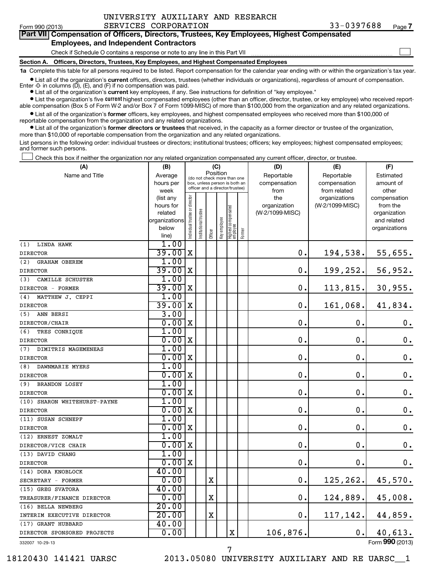$\sim$ 

# **Part VII Compensation of Officers, Directors, Trustees, Key Employees, Highest Compensated Employees, and Independent Contractors**

Check if Schedule O contains a response or note to any line in this Part VII

**Section A. Officers, Directors, Trustees, Key Employees, and Highest Compensated Employees**

**1a**  Complete this table for all persons required to be listed. Report compensation for the calendar year ending with or within the organization's tax year. **•** List all of the organization's current officers, directors, trustees (whether individuals or organizations), regardless of amount of compensation.

Enter -0- in columns  $(D)$ ,  $(E)$ , and  $(F)$  if no compensation was paid.

**•** List all of the organization's **current** key employees, if any. See instructions for definition of "key employee."

**•** List the organization's five *current* highest compensated employees (other than an officer, director, trustee, or key employee) who received reportable compensation (Box 5 of Form W-2 and/or Box 7 of Form 1099-MISC) of more than \$100,000 from the organization and any related organizations.

 $\bullet$  List all of the organization's former officers, key employees, and highest compensated employees who received more than \$100,000 of reportable compensation from the organization and any related organizations.

**•** List all of the organization's former directors or trustees that received, in the capacity as a former director or trustee of the organization, more than \$10,000 of reportable compensation from the organization and any related organizations.

List persons in the following order: individual trustees or directors; institutional trustees; officers; key employees; highest compensated employees; and former such persons.

Check this box if neither the organization nor any related organization compensated any current officer, director, or trustee.  $\left\vert \cdot\right\vert$ 

| (A)                          | (B)                      |                                |                                                                  | (C)      |              |                                   |        | (D)             | (E)             | (F)                         |
|------------------------------|--------------------------|--------------------------------|------------------------------------------------------------------|----------|--------------|-----------------------------------|--------|-----------------|-----------------|-----------------------------|
| Name and Title               | Average                  |                                | (do not check more than one                                      | Position |              |                                   |        | Reportable      | Reportable      | Estimated                   |
|                              | hours per                |                                | box, unless person is both an<br>officer and a director/trustee) |          |              |                                   |        | compensation    | compensation    | amount of                   |
|                              | week                     |                                |                                                                  |          |              |                                   |        | from            | from related    | other                       |
|                              | (list any                |                                |                                                                  |          |              |                                   |        | the             | organizations   | compensation                |
|                              | hours for                |                                |                                                                  |          |              |                                   |        | organization    | (W-2/1099-MISC) | from the                    |
|                              | related<br>organizations |                                |                                                                  |          |              |                                   |        | (W-2/1099-MISC) |                 | organization<br>and related |
|                              | below                    |                                |                                                                  |          |              |                                   |        |                 |                 | organizations               |
|                              | line)                    | Individual trustee or director | nstitutional trustee                                             | Officer  | Key employee | Highest compensated<br>  employee | Former |                 |                 |                             |
| LINDA HAWK<br>(1)            | 1.00                     |                                |                                                                  |          |              |                                   |        |                 |                 |                             |
| <b>DIRECTOR</b>              | 39.00                    | X                              |                                                                  |          |              |                                   |        | 0.              | 194,538.        | 55,655.                     |
| (2)<br><b>GRAHAM OBEREM</b>  | 1.00                     |                                |                                                                  |          |              |                                   |        |                 |                 |                             |
| <b>DIRECTOR</b>              | 39.00                    | X                              |                                                                  |          |              |                                   |        | 0.              | 199, 252.       | 56,952.                     |
| (3)<br>CAMILLE SCHUSTER      | 1.00                     |                                |                                                                  |          |              |                                   |        |                 |                 |                             |
| DIRECTOR - FORMER            | 39.00                    | X                              |                                                                  |          |              |                                   |        | 0.              | 113,815.        | 30,955.                     |
| (4)<br>MATTHEW J. CEPPI      | 1.00                     |                                |                                                                  |          |              |                                   |        |                 |                 |                             |
| <b>DIRECTOR</b>              | 39.00                    | X                              |                                                                  |          |              |                                   |        | $\mathbf 0$ .   | 161,068.        | 41,834.                     |
| (5)<br>ANN BERSI             | 3.00                     |                                |                                                                  |          |              |                                   |        |                 |                 |                             |
| DIRECTOR/CHAIR               | 0.00                     | ΙX                             |                                                                  |          |              |                                   |        | $\mathbf 0$     | $\mathbf 0$     | $\mathbf 0$ .               |
| (6)<br>TRES CONRIQUE         | 1.00                     |                                |                                                                  |          |              |                                   |        |                 |                 |                             |
| <b>DIRECTOR</b>              | 0.00x                    |                                |                                                                  |          |              |                                   |        | 0.              | $\mathbf 0$     | $\mathbf 0$ .               |
| DIMITRIS MAGEMENEAS<br>(7)   | 1.00                     |                                |                                                                  |          |              |                                   |        |                 |                 |                             |
| <b>DIRECTOR</b>              | 0.00                     | X                              |                                                                  |          |              |                                   |        | $\mathbf 0$ .   | $\mathbf 0$     | $\mathbf 0$ .               |
| (8)<br>DAWNMARIE MYERS       | 1.00                     |                                |                                                                  |          |              |                                   |        |                 |                 |                             |
| <b>DIRECTOR</b>              | 0.00                     | X                              |                                                                  |          |              |                                   |        | $\mathbf 0$ .   | 0.              | $\mathbf 0$ .               |
| <b>BRANDON LOSEY</b><br>(9)  | 1.00                     |                                |                                                                  |          |              |                                   |        |                 |                 |                             |
| <b>DIRECTOR</b>              | 0.00                     | X                              |                                                                  |          |              |                                   |        | $\mathbf 0$     | $\mathbf 0$ .   | $\mathbf 0$ .               |
| (10) SHARON WHITEHURST-PAYNE | 1.00                     |                                |                                                                  |          |              |                                   |        |                 |                 |                             |
| <b>DIRECTOR</b>              | 0.00                     | $\mathbf x$                    |                                                                  |          |              |                                   |        | 0.              | 0.              | $\mathbf 0$ .               |
| (11) SUSAN SCHNEPF           | 1.00                     |                                |                                                                  |          |              |                                   |        |                 |                 |                             |
| <b>DIRECTOR</b>              | 0.00                     | $\mathbf X$                    |                                                                  |          |              |                                   |        | $\mathbf 0$ .   | $\mathbf 0$     | $\mathbf 0$ .               |
| (12) ERNEST ZOMALT           | 1.00                     |                                |                                                                  |          |              |                                   |        |                 |                 |                             |
| DIRECTOR/VICE CHAIR          | 0.00                     | X                              |                                                                  |          |              |                                   |        | $\mathbf 0$ .   | 0.              | $\mathbf 0$ .               |
| (13) DAVID CHANG             | 1.00                     |                                |                                                                  |          |              |                                   |        |                 |                 |                             |
| <b>DIRECTOR</b>              | 0.00x                    |                                |                                                                  |          |              |                                   |        | $\mathbf 0$ .   | $\mathbf 0$ .   | $0$ .                       |
| (14) DORA KNOBLOCK           | 40.00                    |                                |                                                                  |          |              |                                   |        |                 |                 |                             |
| SECRETARY - FORMER           | 0.00                     |                                |                                                                  | X        |              |                                   |        | 0.              | 125, 262.       | 45,570.                     |
| (15) GREG SVATORA            | 40.00                    |                                |                                                                  |          |              |                                   |        |                 |                 |                             |
| TREASURER/FINANCE DIRECTOR   | 0.00                     |                                |                                                                  | X        |              |                                   |        | $\mathbf 0$ .   | 124,889.        | 45,008.                     |
| (16) BELLA NEWBERG           | 20.00                    |                                |                                                                  |          |              |                                   |        |                 |                 |                             |
| INTERIM EXECUTIVE DIRECTOR   | 20.00                    |                                |                                                                  | X        |              |                                   |        | 0.              | 117, 142.       | 44,859.                     |
| (17) GRANT HUBBARD           | 40.00                    |                                |                                                                  |          |              |                                   |        |                 |                 |                             |
| DIRECTOR SPONSORED PROJECTS  | 0.00                     |                                |                                                                  |          |              | X                                 |        | 106,876.        | 0.              | 40,613.                     |
| 332007 10-29-13              |                          |                                |                                                                  |          |              |                                   |        |                 |                 | Form 990 (2013)             |

7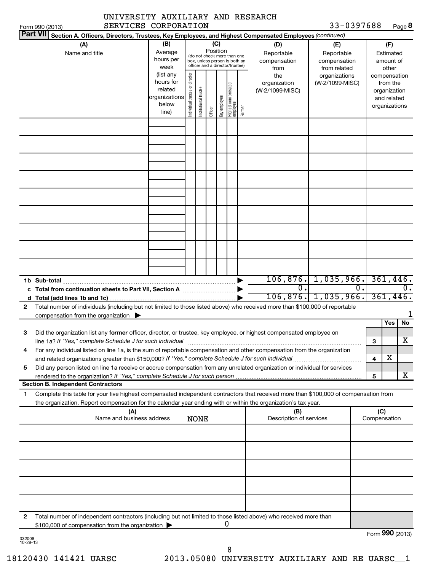|                                                                                   | SERVICES CORPORATION<br>Form 990 (2013)                                                                                                                                                                                                                |                                                                      |                                |                       |                 |              |                                                                                                 |        |                                                | 33-0397688                                       |    |                                                                                   | Page 8         |
|-----------------------------------------------------------------------------------|--------------------------------------------------------------------------------------------------------------------------------------------------------------------------------------------------------------------------------------------------------|----------------------------------------------------------------------|--------------------------------|-----------------------|-----------------|--------------|-------------------------------------------------------------------------------------------------|--------|------------------------------------------------|--------------------------------------------------|----|-----------------------------------------------------------------------------------|----------------|
| <b>Part VII</b>                                                                   | Section A. Officers, Directors, Trustees, Key Employees, and Highest Compensated Employees (continued)                                                                                                                                                 |                                                                      |                                |                       |                 |              |                                                                                                 |        |                                                |                                                  |    |                                                                                   |                |
|                                                                                   | (A)<br>Name and title                                                                                                                                                                                                                                  | (B)<br>Average<br>hours per<br>week                                  |                                |                       | (C)<br>Position |              | (do not check more than one<br>box, unless person is both an<br>officer and a director/trustee) |        | (D)<br>Reportable<br>compensation              | (E)<br>Reportable<br>compensation                |    | (F)<br>Estimated<br>amount of                                                     |                |
|                                                                                   |                                                                                                                                                                                                                                                        | (list any<br>hours for<br>related<br>organizations<br>below<br>line) | Individual trustee or director | Institutional trustee | Officer         | Key employee | Highest compensated<br>employee                                                                 | Former | from<br>the<br>organization<br>(W-2/1099-MISC) | from related<br>organizations<br>(W-2/1099-MISC) |    | other<br>compensation<br>from the<br>organization<br>and related<br>organizations |                |
|                                                                                   |                                                                                                                                                                                                                                                        |                                                                      |                                |                       |                 |              |                                                                                                 |        |                                                |                                                  |    |                                                                                   |                |
|                                                                                   |                                                                                                                                                                                                                                                        |                                                                      |                                |                       |                 |              |                                                                                                 |        |                                                |                                                  |    |                                                                                   |                |
|                                                                                   |                                                                                                                                                                                                                                                        |                                                                      |                                |                       |                 |              |                                                                                                 |        |                                                |                                                  |    |                                                                                   |                |
|                                                                                   |                                                                                                                                                                                                                                                        |                                                                      |                                |                       |                 |              |                                                                                                 |        |                                                |                                                  |    |                                                                                   |                |
|                                                                                   | Total from continuation sheets to Part VII, Section A <b>Conserver Container Pro</b>                                                                                                                                                                   |                                                                      |                                |                       |                 |              |                                                                                                 |        | Ω.                                             | $106, 876.$ 1, 035, 966.                         | Ο. |                                                                                   | 361,446.<br>0. |
| $\mathbf{2}$                                                                      | Total number of individuals (including but not limited to those listed above) who received more than \$100,000 of reportable                                                                                                                           |                                                                      |                                |                       |                 |              |                                                                                                 |        |                                                | $106, 876$ , 1,035,966.                          |    |                                                                                   | 361,446.       |
| 3                                                                                 | compensation from the organization $\blacktriangleright$<br>Did the organization list any former officer, director, or trustee, key employee, or highest compensated employee on<br>line 1a? If "Yes," complete Schedule J for such individual         |                                                                      |                                |                       |                 |              |                                                                                                 |        |                                                |                                                  |    | Yes<br>3                                                                          | No<br>x        |
| 4                                                                                 | For any individual listed on line 1a, is the sum of reportable compensation and other compensation from the organization<br>and related organizations greater than \$150,000? If "Yes," complete Schedule J for such individual                        |                                                                      |                                |                       |                 |              |                                                                                                 |        |                                                |                                                  |    | х<br>4                                                                            |                |
| 5                                                                                 | Did any person listed on line 1a receive or accrue compensation from any unrelated organization or individual for services<br>rendered to the organization? If "Yes," complete Schedule J for such person<br><b>Section B. Independent Contractors</b> |                                                                      |                                |                       |                 |              |                                                                                                 |        |                                                |                                                  |    | 5                                                                                 | x              |
| 1                                                                                 | Complete this table for your five highest compensated independent contractors that received more than \$100,000 of compensation from<br>the organization. Report compensation for the calendar year ending with or within the organization's tax year. |                                                                      |                                |                       |                 |              |                                                                                                 |        |                                                |                                                  |    |                                                                                   |                |
| (A)<br>(B)<br>Description of services<br>Name and business address<br><b>NONE</b> |                                                                                                                                                                                                                                                        |                                                                      |                                |                       |                 |              |                                                                                                 |        | (C)<br>Compensation                            |                                                  |    |                                                                                   |                |

| Total number of independent contractors (including but not limited to those listed above) who received more than |  |
|------------------------------------------------------------------------------------------------------------------|--|
| \$100,000 of compensation from the organization $\blacktriangleright$                                            |  |

Form (2013) **990**

332008 10-29-13

8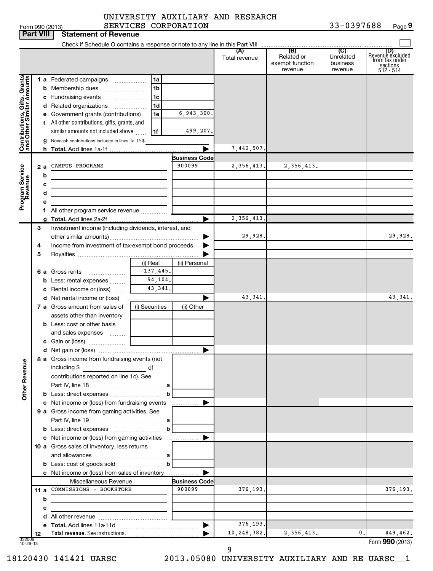| Form 990 (2013) | <b>SERVICE</b>                        |
|-----------------|---------------------------------------|
|                 | <b>Part VIII Statement of Revenue</b> |

# Form 990 (2013) SERVICES CORPORATION 33-0397688 Page UNIVERSITY AUXILIARY AND RESEARCH

**9**

|                                                           |    | Check if Schedule O contains a response or note to any line in this Part VIII |                |                      |               |                                                 |                                         |                                                                    |
|-----------------------------------------------------------|----|-------------------------------------------------------------------------------|----------------|----------------------|---------------|-------------------------------------------------|-----------------------------------------|--------------------------------------------------------------------|
|                                                           |    |                                                                               |                |                      | Total revenue | (B)<br>Related or<br>exempt function<br>revenue | (C)<br>Unrelated<br>business<br>revenue | (D)<br>Revenue excluded<br>from tax under<br>sections<br>512 - 514 |
|                                                           |    | <b>1 a</b> Federated campaigns                                                | 1a             |                      |               |                                                 |                                         |                                                                    |
| Contributions, Gifts, Grants<br>and Other Similar Amounts |    |                                                                               | 1 <sub>b</sub> |                      |               |                                                 |                                         |                                                                    |
|                                                           |    | c Fundraising events                                                          | 1c             |                      |               |                                                 |                                         |                                                                    |
|                                                           |    | d Related organizations                                                       | 1 <sub>d</sub> |                      |               |                                                 |                                         |                                                                    |
|                                                           |    | e Government grants (contributions)                                           | 1e             | 6,943,300.           |               |                                                 |                                         |                                                                    |
|                                                           |    | f All other contributions, gifts, grants, and                                 |                |                      |               |                                                 |                                         |                                                                    |
|                                                           |    | similar amounts not included above                                            | 1f             | 499,207.             |               |                                                 |                                         |                                                                    |
|                                                           |    | g Noncash contributions included in lines 1a-1f: \$                           |                |                      |               |                                                 |                                         |                                                                    |
|                                                           |    |                                                                               |                |                      | 7,442,507.    |                                                 |                                         |                                                                    |
|                                                           |    |                                                                               |                | <b>Business Code</b> |               |                                                 |                                         |                                                                    |
| Program Service                                           | 2a | CAMPUS PROGRAMS                                                               |                | 900099               | 2,356,413.    | 2,356,413.                                      |                                         |                                                                    |
|                                                           | b  |                                                                               |                |                      |               |                                                 |                                         |                                                                    |
|                                                           |    | c                                                                             |                |                      |               |                                                 |                                         |                                                                    |
|                                                           | d  |                                                                               |                |                      |               |                                                 |                                         |                                                                    |
|                                                           | е  |                                                                               |                |                      |               |                                                 |                                         |                                                                    |
|                                                           |    | f All other program service revenue                                           |                |                      | 2,356,413.    |                                                 |                                         |                                                                    |
|                                                           | 3  | Investment income (including dividends, interest, and                         |                |                      |               |                                                 |                                         |                                                                    |
|                                                           |    |                                                                               | ▶              | 29,928.              |               |                                                 | 29,928.                                 |                                                                    |
|                                                           | 4  | Income from investment of tax-exempt bond proceeds                            |                |                      |               |                                                 |                                         |                                                                    |
|                                                           | 5  |                                                                               |                |                      |               |                                                 |                                         |                                                                    |
|                                                           |    |                                                                               | (i) Real       | (ii) Personal        |               |                                                 |                                         |                                                                    |
|                                                           |    | 6 a Gross rents                                                               | 137,445.       |                      |               |                                                 |                                         |                                                                    |
|                                                           |    | <b>b</b> Less: rental expenses                                                | 94,104.        |                      |               |                                                 |                                         |                                                                    |
|                                                           |    | c Rental income or (loss)                                                     | 43,341.        |                      |               |                                                 |                                         |                                                                    |
|                                                           |    | <b>d</b> Net rental income or (loss)                                          |                |                      | 43,341.       |                                                 |                                         | 43,341.                                                            |
|                                                           |    | <b>7 a</b> Gross amount from sales of                                         | (i) Securities | (ii) Other           |               |                                                 |                                         |                                                                    |
|                                                           |    | assets other than inventory                                                   |                |                      |               |                                                 |                                         |                                                                    |
|                                                           |    | <b>b</b> Less: cost or other basis                                            |                |                      |               |                                                 |                                         |                                                                    |
|                                                           |    | and sales expenses                                                            |                |                      |               |                                                 |                                         |                                                                    |
|                                                           |    |                                                                               |                |                      |               |                                                 |                                         |                                                                    |
|                                                           |    |                                                                               |                |                      |               |                                                 |                                         |                                                                    |
| å                                                         |    | 8 a Gross income from fundraising events (not                                 |                |                      |               |                                                 |                                         |                                                                    |
|                                                           |    | including \$                                                                  | of             |                      |               |                                                 |                                         |                                                                    |
| Other Reven                                               |    | contributions reported on line 1c). See                                       |                |                      |               |                                                 |                                         |                                                                    |
|                                                           |    |                                                                               |                |                      |               |                                                 |                                         |                                                                    |
|                                                           |    | <b>b</b> Less: direct expenses <b>contained b</b>                             |                |                      |               |                                                 |                                         |                                                                    |
|                                                           |    | c Net income or (loss) from fundraising events                                |                |                      |               |                                                 |                                         |                                                                    |
|                                                           |    | 9 a Gross income from gaming activities. See                                  |                |                      |               |                                                 |                                         |                                                                    |
|                                                           |    | <b>b</b> Less: direct expenses <b>manually b</b>                              |                |                      |               |                                                 |                                         |                                                                    |
|                                                           |    | c Net income or (loss) from gaming activities                                 |                |                      |               |                                                 |                                         |                                                                    |
|                                                           |    | 10 a Gross sales of inventory, less returns                                   |                |                      |               |                                                 |                                         |                                                                    |
|                                                           |    |                                                                               |                |                      |               |                                                 |                                         |                                                                    |
|                                                           |    |                                                                               |                |                      |               |                                                 |                                         |                                                                    |
|                                                           |    | c Net income or (loss) from sales of inventory                                |                |                      |               |                                                 |                                         |                                                                    |
|                                                           |    | Miscellaneous Revenue                                                         |                | <b>Business Code</b> |               |                                                 |                                         |                                                                    |
|                                                           |    | 11 a COMMISSIONS - BOOKSTORE                                                  |                | 900099               | 376,193.      |                                                 |                                         | 376,193.                                                           |
|                                                           | b  | the control of the control of the control of the control of the control of    |                |                      |               |                                                 |                                         |                                                                    |
|                                                           | c  |                                                                               |                |                      |               |                                                 |                                         |                                                                    |
|                                                           |    |                                                                               |                |                      |               |                                                 |                                         |                                                                    |
|                                                           |    |                                                                               |                |                      | 376,193.      |                                                 |                                         |                                                                    |
|                                                           | 12 |                                                                               |                |                      | 10,248,382.   | 2,356,413.                                      | 0.                                      | 449,462.                                                           |
| 332009<br>10-29-13                                        |    |                                                                               |                |                      |               |                                                 |                                         | Form 990 (2013)                                                    |

9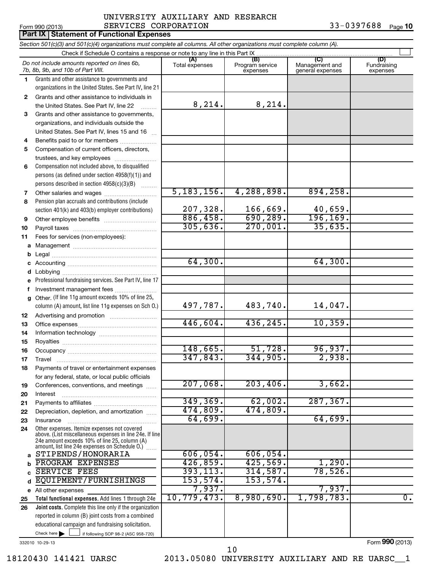# Form 990 (2013)  $SERVICES \hbox{ CORPORTION}$  33-0397688  $Page$ **Part IX Statement of Functional Expenses** UNIVERSITY AUXILIARY AND RESEARCH

33-0397688 Page 10

|              | Section 501(c)(3) and 501(c)(4) organizations must complete all columns. All other organizations must complete column (A).                                                                                  |                       |                                    |                                                      |                                |
|--------------|-------------------------------------------------------------------------------------------------------------------------------------------------------------------------------------------------------------|-----------------------|------------------------------------|------------------------------------------------------|--------------------------------|
|              | Check if Schedule O contains a response or note to any line in this Part IX                                                                                                                                 |                       |                                    |                                                      |                                |
|              | Do not include amounts reported on lines 6b,<br>7b, 8b, 9b, and 10b of Part VIII.                                                                                                                           | (A)<br>Total expenses | (B)<br>Program service<br>expenses | $\overline{C}$<br>Management and<br>general expenses | (D)<br>Fundraising<br>expenses |
| 1.           | Grants and other assistance to governments and                                                                                                                                                              |                       |                                    |                                                      |                                |
|              | organizations in the United States. See Part IV, line 21                                                                                                                                                    |                       |                                    |                                                      |                                |
| $\mathbf{2}$ | Grants and other assistance to individuals in                                                                                                                                                               |                       |                                    |                                                      |                                |
|              | the United States. See Part IV, line 22                                                                                                                                                                     | 8, 214.               | 8, 214.                            |                                                      |                                |
| 3            | Grants and other assistance to governments,                                                                                                                                                                 |                       |                                    |                                                      |                                |
|              | organizations, and individuals outside the                                                                                                                                                                  |                       |                                    |                                                      |                                |
|              | United States. See Part IV, lines 15 and 16                                                                                                                                                                 |                       |                                    |                                                      |                                |
| 4            | Benefits paid to or for members                                                                                                                                                                             |                       |                                    |                                                      |                                |
| 5            | Compensation of current officers, directors,                                                                                                                                                                |                       |                                    |                                                      |                                |
|              | trustees, and key employees                                                                                                                                                                                 |                       |                                    |                                                      |                                |
| 6            | Compensation not included above, to disqualified                                                                                                                                                            |                       |                                    |                                                      |                                |
|              | persons (as defined under section 4958(f)(1)) and                                                                                                                                                           |                       |                                    |                                                      |                                |
|              | persons described in section 4958(c)(3)(B)                                                                                                                                                                  |                       |                                    |                                                      |                                |
| 7            | Other salaries and wages                                                                                                                                                                                    | 5, 183, 156.          | 4,288,898.                         | 894, 258.                                            |                                |
| 8            | Pension plan accruals and contributions (include                                                                                                                                                            | 207,328.              | 166,669.                           |                                                      |                                |
|              | section 401(k) and 403(b) employer contributions)                                                                                                                                                           | 886,458.              | 690, 289.                          | 40,659.<br>196, 169.                                 |                                |
| 9            |                                                                                                                                                                                                             | 305,636.              | 270,001.                           | 35,635.                                              |                                |
| 10           |                                                                                                                                                                                                             |                       |                                    |                                                      |                                |
| 11           | Fees for services (non-employees):                                                                                                                                                                          |                       |                                    |                                                      |                                |
|              |                                                                                                                                                                                                             |                       |                                    |                                                      |                                |
|              |                                                                                                                                                                                                             | 64,300.               |                                    | 64,300.                                              |                                |
|              |                                                                                                                                                                                                             |                       |                                    |                                                      |                                |
|              | Professional fundraising services. See Part IV, line 17                                                                                                                                                     |                       |                                    |                                                      |                                |
|              | Investment management fees                                                                                                                                                                                  |                       |                                    |                                                      |                                |
| g            | Other. (If line 11g amount exceeds 10% of line 25,                                                                                                                                                          |                       |                                    |                                                      |                                |
|              | column (A) amount, list line 11g expenses on Sch O.)                                                                                                                                                        | 497,787.              | 483,740.                           | 14,047.                                              |                                |
| 12           |                                                                                                                                                                                                             |                       |                                    |                                                      |                                |
| 13           |                                                                                                                                                                                                             | 446,604.              | 436, 245.                          | 10,359.                                              |                                |
| 14           |                                                                                                                                                                                                             |                       |                                    |                                                      |                                |
| 15           |                                                                                                                                                                                                             |                       |                                    |                                                      |                                |
| 16           |                                                                                                                                                                                                             | 148,665.              | 51,728.                            | 96,937.                                              |                                |
| 17           |                                                                                                                                                                                                             | 347,843.              | 344,905.                           | 2,938.                                               |                                |
| 18           | Payments of travel or entertainment expenses                                                                                                                                                                |                       |                                    |                                                      |                                |
|              | for any federal, state, or local public officials                                                                                                                                                           |                       |                                    |                                                      |                                |
| 19           | Conferences, conventions, and meetings                                                                                                                                                                      | 207,068.              | 203,406.                           | 3,662.                                               |                                |
| 20           | Interest                                                                                                                                                                                                    |                       |                                    |                                                      |                                |
| 21           |                                                                                                                                                                                                             | 349, 369.             | 62,002.                            | 287, 367.                                            |                                |
| 22           | Depreciation, depletion, and amortization                                                                                                                                                                   | 474,809.              | 474,809.                           | 64,699.                                              |                                |
| 23           | Insurance                                                                                                                                                                                                   | 64,699.               |                                    |                                                      |                                |
| 24           | Other expenses. Itemize expenses not covered<br>above. (List miscellaneous expenses in line 24e. If line<br>24e amount exceeds 10% of line 25, column (A)<br>amount, list line 24e expenses on Schedule O.) |                       |                                    |                                                      |                                |
| a            | STIPENDS/HONORARIA                                                                                                                                                                                          | 606,054.              | 606,054.                           |                                                      |                                |
|              | PROGRAM EXPENSES                                                                                                                                                                                            | 426,859.              | 425,569.                           | 1,290.                                               |                                |
|              | <b>SERVICE FEES</b>                                                                                                                                                                                         | 393, 113.             | 314,587.                           | 78,526.                                              |                                |
| d            | EQUIPMENT/FURNISHINGS                                                                                                                                                                                       | 153, 574.             | 153,574.                           |                                                      |                                |
|              | e All other expenses                                                                                                                                                                                        | 7,937.                |                                    | 7,937.                                               |                                |
| 25           | Total functional expenses. Add lines 1 through 24e                                                                                                                                                          | 10, 779, 473.         | 8,980,690.                         | 1,798,783.                                           | $\overline{0}$ .               |
| 26           | Joint costs. Complete this line only if the organization                                                                                                                                                    |                       |                                    |                                                      |                                |
|              | reported in column (B) joint costs from a combined                                                                                                                                                          |                       |                                    |                                                      |                                |
|              | educational campaign and fundraising solicitation.                                                                                                                                                          |                       |                                    |                                                      |                                |
|              | Check here $\blacktriangleright$<br>if following SOP 98-2 (ASC 958-720)                                                                                                                                     |                       |                                    |                                                      |                                |

332010 10-29-13

Form **990** (2013)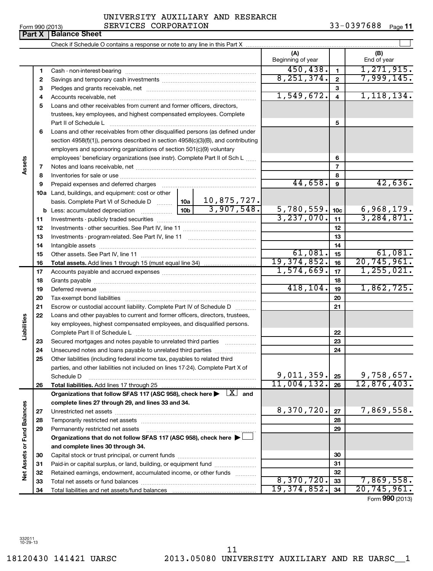Form (2013) **990**

# Form 990 (2013)  $SERVICES \hbox{ CORPORTION}$  33-0397688  $Page$ UNIVERSITY AUXILIARY AND RESEARCH

33-0397688 Page 11

|                             |          |                                                                                                                                                                                                                                |             | (A)<br>Beginning of year |                         | (B)<br>End of year                    |
|-----------------------------|----------|--------------------------------------------------------------------------------------------------------------------------------------------------------------------------------------------------------------------------------|-------------|--------------------------|-------------------------|---------------------------------------|
|                             | 1        |                                                                                                                                                                                                                                |             | 450, 438.                | $\mathbf{1}$            | 1, 271, 915.                          |
|                             | 2        |                                                                                                                                                                                                                                |             | 8, 251, 374.             | $\mathbf{2}$            | 7,999,145.                            |
|                             | З        |                                                                                                                                                                                                                                |             |                          | 3                       |                                       |
|                             | 4        |                                                                                                                                                                                                                                |             | 1,549,672.               | $\overline{\mathbf{4}}$ | 1, 118, 134.                          |
|                             | 5        | Loans and other receivables from current and former officers, directors,                                                                                                                                                       |             |                          |                         |                                       |
|                             |          | trustees, key employees, and highest compensated employees. Complete                                                                                                                                                           |             |                          |                         |                                       |
|                             |          | Part II of Schedule L                                                                                                                                                                                                          |             |                          | 5                       |                                       |
|                             | 6        | Loans and other receivables from other disqualified persons (as defined under                                                                                                                                                  |             |                          |                         |                                       |
|                             |          | section 4958(f)(1)), persons described in section 4958(c)(3)(B), and contributing                                                                                                                                              |             |                          |                         |                                       |
|                             |          | employers and sponsoring organizations of section 501(c)(9) voluntary                                                                                                                                                          |             |                          |                         |                                       |
|                             |          | employees' beneficiary organizations (see instr). Complete Part II of Sch L                                                                                                                                                    |             |                          | 6                       |                                       |
| Assets                      | 7        |                                                                                                                                                                                                                                |             |                          | $\overline{7}$          |                                       |
|                             | 8        |                                                                                                                                                                                                                                |             |                          | 8                       |                                       |
|                             | 9        | Prepaid expenses and deferred charges [11] matter contracts and contracts and deferred charges [11] matter contracts and contracts and contracts and contracts and contracts and contracts and contracts and contracts and con |             | 44,658.                  | $\boldsymbol{9}$        | 42,636.                               |
|                             |          | 10a Land, buildings, and equipment: cost or other                                                                                                                                                                              |             |                          |                         |                                       |
|                             |          |                                                                                                                                                                                                                                | 10,875,727. |                          |                         |                                       |
|                             |          |                                                                                                                                                                                                                                |             | 5,780,559.               | 10 <sub>c</sub>         | 6,968,179.                            |
|                             | 11       |                                                                                                                                                                                                                                |             | 3,237,070.               | 11                      | 3, 284, 871.                          |
|                             | 12       |                                                                                                                                                                                                                                |             |                          | 12                      |                                       |
|                             | 13       |                                                                                                                                                                                                                                |             |                          | 13                      |                                       |
|                             | 14       |                                                                                                                                                                                                                                |             |                          | 14                      |                                       |
|                             | 15       |                                                                                                                                                                                                                                |             | 61,081.<br>19,374,852.   | 15                      | 61,081.<br>$\overline{20, 745, 961.}$ |
|                             | 16       |                                                                                                                                                                                                                                |             | 1,574,669.               | 16                      | 1, 255, 021.                          |
|                             | 17       |                                                                                                                                                                                                                                |             |                          | 17                      |                                       |
|                             | 18       |                                                                                                                                                                                                                                | 418, 104.   | 18                       | 1,862,725.              |                                       |
|                             | 19       |                                                                                                                                                                                                                                |             | 19                       |                         |                                       |
|                             | 20       |                                                                                                                                                                                                                                |             |                          | 20<br>21                |                                       |
|                             | 21<br>22 | Escrow or custodial account liability. Complete Part IV of Schedule D<br>Loans and other payables to current and former officers, directors, trustees,                                                                         |             |                          |                         |                                       |
| Liabilities                 |          | key employees, highest compensated employees, and disqualified persons.                                                                                                                                                        |             |                          |                         |                                       |
|                             |          | Complete Part II of Schedule L                                                                                                                                                                                                 |             |                          | 22                      |                                       |
|                             | 23       | Secured mortgages and notes payable to unrelated third parties                                                                                                                                                                 |             |                          | 23                      |                                       |
|                             | 24       | Unsecured notes and loans payable to unrelated third parties                                                                                                                                                                   |             |                          | 24                      |                                       |
|                             | 25       | Other liabilities (including federal income tax, payables to related third                                                                                                                                                     |             |                          |                         |                                       |
|                             |          | parties, and other liabilities not included on lines 17-24). Complete Part X of                                                                                                                                                |             |                          |                         |                                       |
|                             |          | Schedule D                                                                                                                                                                                                                     |             | 9,011,359.               | 25                      | 9,758,657.                            |
|                             | 26       |                                                                                                                                                                                                                                |             | 11,004,132.              | 26                      | 12,876,403.                           |
|                             |          | Organizations that follow SFAS 117 (ASC 958), check here $\blacktriangleright \begin{array}{c} \perp X \end{array}$ and                                                                                                        |             |                          |                         |                                       |
|                             |          | complete lines 27 through 29, and lines 33 and 34.                                                                                                                                                                             |             |                          |                         |                                       |
|                             | 27       |                                                                                                                                                                                                                                |             | 8,370,720.               | 27                      | 7,869,558.                            |
|                             | 28       |                                                                                                                                                                                                                                |             |                          | 28                      |                                       |
|                             | 29       | Permanently restricted net assets                                                                                                                                                                                              |             |                          | 29                      |                                       |
|                             |          | Organizations that do not follow SFAS 117 (ASC 958), check here $\blacktriangleright\bot$                                                                                                                                      |             |                          |                         |                                       |
| Net Assets or Fund Balances |          | and complete lines 30 through 34.                                                                                                                                                                                              |             |                          |                         |                                       |
|                             | 30       |                                                                                                                                                                                                                                |             |                          | 30                      |                                       |
|                             | 31       | Paid-in or capital surplus, or land, building, or equipment fund                                                                                                                                                               |             |                          | 31                      |                                       |
|                             | 32       | Retained earnings, endowment, accumulated income, or other funds                                                                                                                                                               |             |                          | 32                      |                                       |
|                             | 33       |                                                                                                                                                                                                                                |             | 8,370,720.               | 33                      | 7,869,558.                            |
|                             | 34       |                                                                                                                                                                                                                                |             | 19,374,852.              | 34                      | 20, 745, 961.                         |

**Part X Balance Sheet**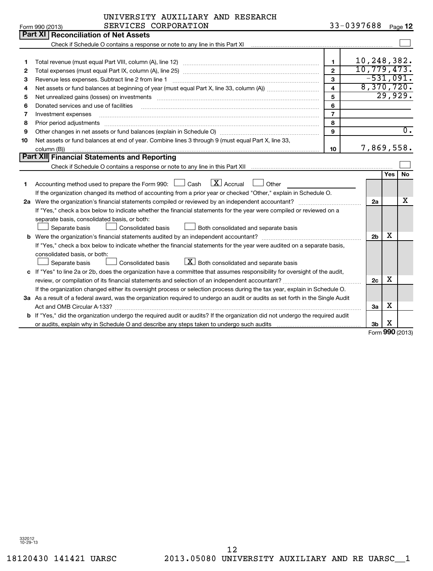|    | Part XI   Reconciliation of Net Assets                                                                                                                                                                                              |                |                           |     |                  |  |  |  |
|----|-------------------------------------------------------------------------------------------------------------------------------------------------------------------------------------------------------------------------------------|----------------|---------------------------|-----|------------------|--|--|--|
|    |                                                                                                                                                                                                                                     |                |                           |     |                  |  |  |  |
|    |                                                                                                                                                                                                                                     |                |                           |     |                  |  |  |  |
| 1. |                                                                                                                                                                                                                                     | $\mathbf{1}$   | 10,248,382.               |     |                  |  |  |  |
| 2  |                                                                                                                                                                                                                                     | $\mathbf{2}$   | 10, 779, 473.             |     |                  |  |  |  |
| 3  | Revenue less expenses. Subtract line 2 from line 1                                                                                                                                                                                  | 3              | $-531,091.$<br>8,370,720. |     |                  |  |  |  |
| 4  | $\overline{\mathbf{4}}$                                                                                                                                                                                                             |                |                           |     |                  |  |  |  |
| 5  | 5<br>Net unrealized gains (losses) on investments [11] matter contracts and the state of the state of the state of the state of the state of the state of the state of the state of the state of the state of the state of the stat |                |                           |     |                  |  |  |  |
| 6  | Donated services and use of facilities                                                                                                                                                                                              | 6              |                           |     |                  |  |  |  |
| 7  | Investment expenses                                                                                                                                                                                                                 | $\overline{7}$ |                           |     |                  |  |  |  |
| 8  |                                                                                                                                                                                                                                     | 8              |                           |     |                  |  |  |  |
| 9  |                                                                                                                                                                                                                                     | $\mathbf{9}$   |                           |     | $\overline{0}$ . |  |  |  |
| 10 | Net assets or fund balances at end of year. Combine lines 3 through 9 (must equal Part X, line 33,                                                                                                                                  |                |                           |     |                  |  |  |  |
|    | column (B))                                                                                                                                                                                                                         | 10             | 7,869,558.                |     |                  |  |  |  |
|    | Part XII Financial Statements and Reporting                                                                                                                                                                                         |                |                           |     |                  |  |  |  |
|    |                                                                                                                                                                                                                                     |                |                           |     |                  |  |  |  |
|    |                                                                                                                                                                                                                                     |                |                           | Yes | No               |  |  |  |
| 1  | $X$ Accrual<br>Accounting method used to prepare the Form 990:<br>Cash<br>Other                                                                                                                                                     |                |                           |     |                  |  |  |  |
|    | If the organization changed its method of accounting from a prior year or checked "Other," explain in Schedule O.                                                                                                                   |                |                           |     |                  |  |  |  |
|    | 2a Were the organization's financial statements compiled or reviewed by an independent accountant?                                                                                                                                  |                | 2a                        |     | x                |  |  |  |
|    | If "Yes," check a box below to indicate whether the financial statements for the year were compiled or reviewed on a                                                                                                                |                |                           |     |                  |  |  |  |
|    | separate basis, consolidated basis, or both:                                                                                                                                                                                        |                |                           |     |                  |  |  |  |
|    | Both consolidated and separate basis<br>Separate basis<br>Consolidated basis                                                                                                                                                        |                |                           |     |                  |  |  |  |
|    | <b>b</b> Were the organization's financial statements audited by an independent accountant?                                                                                                                                         |                | 2 <sub>b</sub>            | х   |                  |  |  |  |
|    | If "Yes," check a box below to indicate whether the financial statements for the year were audited on a separate basis,                                                                                                             |                |                           |     |                  |  |  |  |
|    | consolidated basis, or both:                                                                                                                                                                                                        |                |                           |     |                  |  |  |  |
|    | $\lfloor x \rfloor$ Both consolidated and separate basis<br>Separate basis<br>Consolidated basis                                                                                                                                    |                |                           |     |                  |  |  |  |
| c  | If "Yes" to line 2a or 2b, does the organization have a committee that assumes responsibility for oversight of the audit,                                                                                                           |                |                           |     |                  |  |  |  |
|    |                                                                                                                                                                                                                                     |                | 2c                        | х   |                  |  |  |  |
|    | If the organization changed either its oversight process or selection process during the tax year, explain in Schedule O.                                                                                                           |                |                           |     |                  |  |  |  |
|    | 3a As a result of a federal award, was the organization required to undergo an audit or audits as set forth in the Single Audit                                                                                                     |                |                           |     |                  |  |  |  |
|    |                                                                                                                                                                                                                                     |                | За                        | х   |                  |  |  |  |
|    | <b>b</b> If "Yes," did the organization undergo the required audit or audits? If the organization did not undergo the required audit                                                                                                |                |                           |     |                  |  |  |  |
|    |                                                                                                                                                                                                                                     |                | 3b                        | х   |                  |  |  |  |

Form **990** (2013)

Form 990 (2013)  $SERVICES \hbox{ CORPORTION}$  33-0397688  $Page$ 33-0397688 Page 12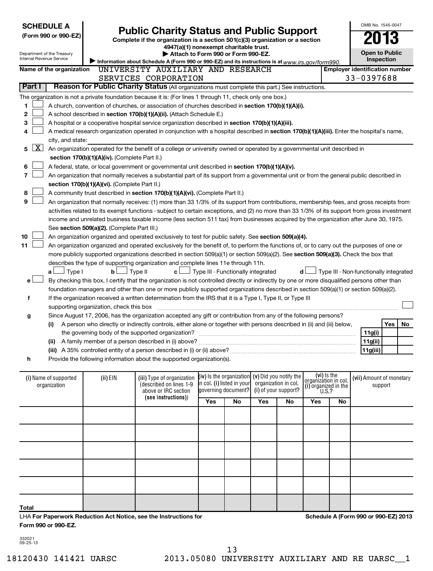| Internal Revenue Service              | <b>SCHEDULE A</b><br>(Form 990 or 990-EZ)<br>Department of the Treasury | <b>Public Charity Status and Public Support</b><br>Complete if the organization is a section 501(c)(3) organization or a section<br>Information about Schedule A (Form 990 or 990-EZ) and its instructions is at $www.irs.gov/form990.$ |                                                                                                                                               | OMB No. 1545-0047<br><b>Open to Public</b><br><b>Inspection</b> |    |                                                                           |                      |                                                                      |                                        |                                     |                     |     |    |
|---------------------------------------|-------------------------------------------------------------------------|-----------------------------------------------------------------------------------------------------------------------------------------------------------------------------------------------------------------------------------------|-----------------------------------------------------------------------------------------------------------------------------------------------|-----------------------------------------------------------------|----|---------------------------------------------------------------------------|----------------------|----------------------------------------------------------------------|----------------------------------------|-------------------------------------|---------------------|-----|----|
|                                       | Name of the organization                                                |                                                                                                                                                                                                                                         | UNIVERSITY AUXILIARY AND RESEARCH                                                                                                             |                                                                 |    |                                                                           |                      |                                                                      | <b>Employer identification number</b>  |                                     |                     |     |    |
|                                       |                                                                         |                                                                                                                                                                                                                                         | SERVICES CORPORATION                                                                                                                          |                                                                 |    |                                                                           |                      |                                                                      |                                        |                                     | 33-0397688          |     |    |
| Part I                                |                                                                         |                                                                                                                                                                                                                                         | Reason for Public Charity Status (All organizations must complete this part.) See instructions.                                               |                                                                 |    |                                                                           |                      |                                                                      |                                        |                                     |                     |     |    |
|                                       |                                                                         |                                                                                                                                                                                                                                         | The organization is not a private foundation because it is: (For lines 1 through 11, check only one box.)                                     |                                                                 |    |                                                                           |                      |                                                                      |                                        |                                     |                     |     |    |
| 1                                     |                                                                         |                                                                                                                                                                                                                                         | A church, convention of churches, or association of churches described in section 170(b)(1)(A)(i).                                            |                                                                 |    |                                                                           |                      |                                                                      |                                        |                                     |                     |     |    |
| 2                                     |                                                                         |                                                                                                                                                                                                                                         | A school described in section 170(b)(1)(A)(ii). (Attach Schedule E.)                                                                          |                                                                 |    |                                                                           |                      |                                                                      |                                        |                                     |                     |     |    |
| З                                     |                                                                         |                                                                                                                                                                                                                                         | A hospital or a cooperative hospital service organization described in section 170(b)(1)(A)(iii).                                             |                                                                 |    |                                                                           |                      |                                                                      |                                        |                                     |                     |     |    |
| 4                                     |                                                                         |                                                                                                                                                                                                                                         | A medical research organization operated in conjunction with a hospital described in section 170(b)(1)(A)(iii). Enter the hospital's name,    |                                                                 |    |                                                                           |                      |                                                                      |                                        |                                     |                     |     |    |
|                                       | city, and state:                                                        |                                                                                                                                                                                                                                         |                                                                                                                                               |                                                                 |    |                                                                           |                      |                                                                      |                                        |                                     |                     |     |    |
| <u>x  </u><br>5                       |                                                                         |                                                                                                                                                                                                                                         | An organization operated for the benefit of a college or university owned or operated by a governmental unit described in                     |                                                                 |    |                                                                           |                      |                                                                      |                                        |                                     |                     |     |    |
|                                       |                                                                         | section 170(b)(1)(A)(iv). (Complete Part II.)                                                                                                                                                                                           |                                                                                                                                               |                                                                 |    |                                                                           |                      |                                                                      |                                        |                                     |                     |     |    |
| 6                                     |                                                                         |                                                                                                                                                                                                                                         | A federal, state, or local government or governmental unit described in section 170(b)(1)(A)(v).                                              |                                                                 |    |                                                                           |                      |                                                                      |                                        |                                     |                     |     |    |
| 7                                     |                                                                         |                                                                                                                                                                                                                                         | An organization that normally receives a substantial part of its support from a governmental unit or from the general public described in     |                                                                 |    |                                                                           |                      |                                                                      |                                        |                                     |                     |     |    |
|                                       |                                                                         | section 170(b)(1)(A)(vi). (Complete Part II.)                                                                                                                                                                                           |                                                                                                                                               |                                                                 |    |                                                                           |                      |                                                                      |                                        |                                     |                     |     |    |
| 8                                     |                                                                         |                                                                                                                                                                                                                                         | A community trust described in section 170(b)(1)(A)(vi). (Complete Part II.)                                                                  |                                                                 |    |                                                                           |                      |                                                                      |                                        |                                     |                     |     |    |
| 9                                     |                                                                         |                                                                                                                                                                                                                                         | An organization that normally receives: (1) more than 33 1/3% of its support from contributions, membership fees, and gross receipts from     |                                                                 |    |                                                                           |                      |                                                                      |                                        |                                     |                     |     |    |
|                                       |                                                                         |                                                                                                                                                                                                                                         | activities related to its exempt functions - subject to certain exceptions, and (2) no more than 33 1/3% of its support from gross investment |                                                                 |    |                                                                           |                      |                                                                      |                                        |                                     |                     |     |    |
|                                       |                                                                         |                                                                                                                                                                                                                                         | income and unrelated business taxable income (less section 511 tax) from businesses acquired by the organization after June 30, 1975.         |                                                                 |    |                                                                           |                      |                                                                      |                                        |                                     |                     |     |    |
|                                       |                                                                         | See section 509(a)(2). (Complete Part III.)                                                                                                                                                                                             |                                                                                                                                               |                                                                 |    |                                                                           |                      |                                                                      |                                        |                                     |                     |     |    |
| 10                                    |                                                                         |                                                                                                                                                                                                                                         | An organization organized and operated exclusively to test for public safety. See section 509(a)(4).                                          |                                                                 |    |                                                                           |                      |                                                                      |                                        |                                     |                     |     |    |
| 11                                    |                                                                         |                                                                                                                                                                                                                                         | An organization organized and operated exclusively for the benefit of, to perform the functions of, or to carry out the purposes of one or    |                                                                 |    |                                                                           |                      |                                                                      |                                        |                                     |                     |     |    |
|                                       |                                                                         |                                                                                                                                                                                                                                         | more publicly supported organizations described in section 509(a)(1) or section 509(a)(2). See section 509(a)(3). Check the box that          |                                                                 |    |                                                                           |                      |                                                                      |                                        |                                     |                     |     |    |
|                                       |                                                                         |                                                                                                                                                                                                                                         | describes the type of supporting organization and complete lines 11e through 11h.                                                             |                                                                 |    |                                                                           |                      |                                                                      |                                        |                                     |                     |     |    |
|                                       | ⊿ Type I<br>a L                                                         | bl                                                                                                                                                                                                                                      | Type II<br>c l                                                                                                                                | J Type III - Functionally integrated                            |    |                                                                           | d l                  |                                                                      | Type III - Non-functionally integrated |                                     |                     |     |    |
| e l                                   |                                                                         |                                                                                                                                                                                                                                         | By checking this box, I certify that the organization is not controlled directly or indirectly by one or more disqualified persons other than |                                                                 |    |                                                                           |                      |                                                                      |                                        |                                     |                     |     |    |
|                                       |                                                                         |                                                                                                                                                                                                                                         | foundation managers and other than one or more publicly supported organizations described in section 509(a)(1) or section 509(a)(2).          |                                                                 |    |                                                                           |                      |                                                                      |                                        |                                     |                     |     |    |
| f                                     |                                                                         |                                                                                                                                                                                                                                         | If the organization received a written determination from the IRS that it is a Type I, Type II, or Type III                                   |                                                                 |    |                                                                           |                      |                                                                      |                                        |                                     |                     |     |    |
|                                       |                                                                         | supporting organization, check this box                                                                                                                                                                                                 |                                                                                                                                               |                                                                 |    |                                                                           |                      |                                                                      |                                        |                                     |                     |     |    |
|                                       |                                                                         |                                                                                                                                                                                                                                         | Since August 17, 2006, has the organization accepted any gift or contribution from any of the following persons?                              |                                                                 |    |                                                                           |                      |                                                                      |                                        |                                     |                     |     |    |
| g                                     |                                                                         |                                                                                                                                                                                                                                         | A person who directly or indirectly controls, either alone or together with persons described in (ii) and (iii) below,                        |                                                                 |    |                                                                           |                      |                                                                      |                                        |                                     |                     | Yes | No |
|                                       | (i)                                                                     |                                                                                                                                                                                                                                         | the governing body of the supported organization?                                                                                             |                                                                 |    |                                                                           |                      |                                                                      |                                        |                                     | 11g(i)              |     |    |
|                                       | (ii)                                                                    |                                                                                                                                                                                                                                         |                                                                                                                                               |                                                                 |    |                                                                           |                      |                                                                      |                                        |                                     |                     |     |    |
|                                       |                                                                         |                                                                                                                                                                                                                                         | (iii) A 35% controlled entity of a person described in (i) or (ii) above?                                                                     |                                                                 |    |                                                                           |                      |                                                                      |                                        |                                     | 11g(ii)<br>11g(iii) |     |    |
| h                                     |                                                                         |                                                                                                                                                                                                                                         | Provide the following information about the supported organization(s).                                                                        |                                                                 |    |                                                                           |                      |                                                                      |                                        |                                     |                     |     |    |
|                                       |                                                                         |                                                                                                                                                                                                                                         |                                                                                                                                               |                                                                 |    |                                                                           |                      |                                                                      |                                        |                                     |                     |     |    |
| (i) Name of supported<br>organization |                                                                         | (ii) EIN                                                                                                                                                                                                                                | (iii) Type of organization<br>(described on lines 1-9<br>above or IRC section<br>(see instructions))                                          | in col. (i) listed in your<br>governing document?               |    | (iv) is the organization $(v)$ Did you notify the<br>organization in col. | (i) of your support? | (vi) is the<br>organization in col.<br>(i) organized in the $U.S.$ ? |                                        | (vii) Amount of monetary<br>support |                     |     |    |
|                                       |                                                                         |                                                                                                                                                                                                                                         |                                                                                                                                               | Yes                                                             | No | Yes                                                                       | No                   | Yes                                                                  | No                                     |                                     |                     |     |    |
|                                       |                                                                         |                                                                                                                                                                                                                                         |                                                                                                                                               |                                                                 |    |                                                                           |                      |                                                                      |                                        |                                     |                     |     |    |
|                                       |                                                                         |                                                                                                                                                                                                                                         |                                                                                                                                               |                                                                 |    |                                                                           |                      |                                                                      |                                        |                                     |                     |     |    |
|                                       |                                                                         |                                                                                                                                                                                                                                         |                                                                                                                                               |                                                                 |    |                                                                           |                      |                                                                      |                                        |                                     |                     |     |    |
|                                       |                                                                         |                                                                                                                                                                                                                                         |                                                                                                                                               |                                                                 |    |                                                                           |                      |                                                                      |                                        |                                     |                     |     |    |

LHA **For Paperwork Reduction Act Notice, see the Instructions for Form 990 or 990-EZ.**

**Schedule A (Form 990 or 990-EZ) 2013**

332021 09-25-13

**Total**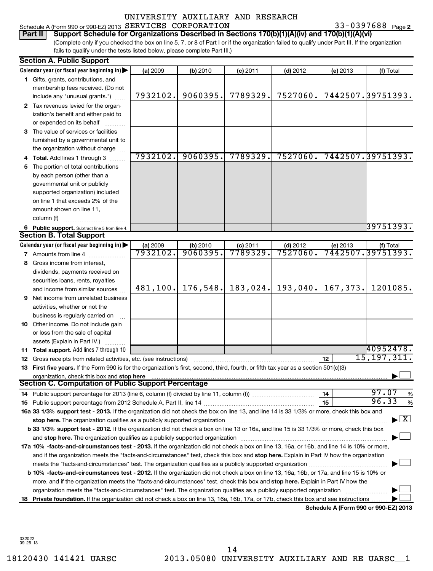# UNIVERSITY AUXILIARY AND RESEARCH SERVICES CORPORATION 33-0397688

| Part II   Support Schedule for Organizations Described in Sections 170(b)(1)(A)(iv) and 170(b)(1)(A)(vi)                                        |
|-------------------------------------------------------------------------------------------------------------------------------------------------|
| (Complete only if you checked the box on line 5, 7, or 8 of Part I or if the organization failed to qualify under Part III. If the organization |
| fails to qualify under the tests listed below, please complete Part III.)                                                                       |

|    | <b>Section A. Public Support</b>                                                                                                                                                                                               |                      |                     |                       |                        |          |                                          |  |  |
|----|--------------------------------------------------------------------------------------------------------------------------------------------------------------------------------------------------------------------------------|----------------------|---------------------|-----------------------|------------------------|----------|------------------------------------------|--|--|
|    | Calendar year (or fiscal year beginning in)                                                                                                                                                                                    | (a) 2009             | (b) 2010            | $(c)$ 2011            | $(d)$ 2012             | (e) 2013 | (f) Total                                |  |  |
|    | 1 Gifts, grants, contributions, and                                                                                                                                                                                            |                      |                     |                       |                        |          |                                          |  |  |
|    | membership fees received. (Do not                                                                                                                                                                                              |                      |                     |                       |                        |          |                                          |  |  |
|    | include any "unusual grants.")                                                                                                                                                                                                 | 7932102.             | 9060395.            | 7789329.              | 7527060.               |          | 7442507.39751393.                        |  |  |
|    | 2 Tax revenues levied for the organ-                                                                                                                                                                                           |                      |                     |                       |                        |          |                                          |  |  |
|    | ization's benefit and either paid to                                                                                                                                                                                           |                      |                     |                       |                        |          |                                          |  |  |
|    | or expended on its behalf                                                                                                                                                                                                      |                      |                     |                       |                        |          |                                          |  |  |
|    | 3 The value of services or facilities                                                                                                                                                                                          |                      |                     |                       |                        |          |                                          |  |  |
|    | furnished by a governmental unit to                                                                                                                                                                                            |                      |                     |                       |                        |          |                                          |  |  |
|    | the organization without charge                                                                                                                                                                                                |                      |                     |                       |                        |          |                                          |  |  |
|    | 4 Total. Add lines 1 through 3                                                                                                                                                                                                 | 7932102.             | 9060395.            | 7789329.              | 7527060.               |          | 7442507.39751393.                        |  |  |
| 5. | The portion of total contributions                                                                                                                                                                                             |                      |                     |                       |                        |          |                                          |  |  |
|    | by each person (other than a                                                                                                                                                                                                   |                      |                     |                       |                        |          |                                          |  |  |
|    | governmental unit or publicly                                                                                                                                                                                                  |                      |                     |                       |                        |          |                                          |  |  |
|    | supported organization) included                                                                                                                                                                                               |                      |                     |                       |                        |          |                                          |  |  |
|    | on line 1 that exceeds 2% of the                                                                                                                                                                                               |                      |                     |                       |                        |          |                                          |  |  |
|    | amount shown on line 11,                                                                                                                                                                                                       |                      |                     |                       |                        |          |                                          |  |  |
|    | column (f)                                                                                                                                                                                                                     |                      |                     |                       |                        |          |                                          |  |  |
|    | 6 Public support. Subtract line 5 from line 4.                                                                                                                                                                                 |                      |                     |                       |                        |          | 39751393.                                |  |  |
|    | <b>Section B. Total Support</b>                                                                                                                                                                                                |                      |                     |                       |                        |          |                                          |  |  |
|    | Calendar year (or fiscal year beginning in)                                                                                                                                                                                    | (a) 2009<br>7932102. | (b) 2010<br>9060395 | $(c)$ 2011<br>7789329 | $(d)$ 2012<br>7527060. |          | (e) 2013 (f) Total<br>7442507.39751393.  |  |  |
|    | <b>7</b> Amounts from line 4                                                                                                                                                                                                   |                      |                     |                       |                        |          |                                          |  |  |
| 8  | Gross income from interest,                                                                                                                                                                                                    |                      |                     |                       |                        |          |                                          |  |  |
|    | dividends, payments received on                                                                                                                                                                                                |                      |                     |                       |                        |          |                                          |  |  |
|    | securities loans, rents, royalties                                                                                                                                                                                             | 481,100.             | 176, 548.           | 183,024.              | 193,040.               | 167,373. | 1201085.                                 |  |  |
|    | and income from similar sources                                                                                                                                                                                                |                      |                     |                       |                        |          |                                          |  |  |
| 9. | Net income from unrelated business                                                                                                                                                                                             |                      |                     |                       |                        |          |                                          |  |  |
|    | activities, whether or not the                                                                                                                                                                                                 |                      |                     |                       |                        |          |                                          |  |  |
|    | business is regularly carried on<br>10 Other income. Do not include gain                                                                                                                                                       |                      |                     |                       |                        |          |                                          |  |  |
|    |                                                                                                                                                                                                                                |                      |                     |                       |                        |          |                                          |  |  |
|    | or loss from the sale of capital<br>assets (Explain in Part IV.)                                                                                                                                                               |                      |                     |                       |                        |          |                                          |  |  |
|    | 11 Total support. Add lines 7 through 10                                                                                                                                                                                       |                      |                     |                       |                        |          | 40952478.                                |  |  |
|    | <b>12</b> Gross receipts from related activities, etc. (see instructions)                                                                                                                                                      |                      |                     |                       |                        | 12       | 15, 197, 311.                            |  |  |
|    | 13 First five years. If the Form 990 is for the organization's first, second, third, fourth, or fifth tax year as a section 501(c)(3)                                                                                          |                      |                     |                       |                        |          |                                          |  |  |
|    | organization, check this box and stop here                                                                                                                                                                                     |                      |                     |                       |                        |          |                                          |  |  |
|    | <b>Section C. Computation of Public Support Percentage</b>                                                                                                                                                                     |                      |                     |                       |                        |          |                                          |  |  |
|    | 14 Public support percentage for 2013 (line 6, column (f) divided by line 11, column (f) <i>marroummanances</i>                                                                                                                |                      |                     |                       |                        | 14       | 97.07<br>%                               |  |  |
|    |                                                                                                                                                                                                                                |                      |                     |                       |                        | 15       | 96.33<br>%                               |  |  |
|    | 16a 33 1/3% support test - 2013. If the organization did not check the box on line 13, and line 14 is 33 1/3% or more, check this box and                                                                                      |                      |                     |                       |                        |          |                                          |  |  |
|    | stop here. The organization qualifies as a publicly supported organization manufaction manufacture content and the supported or an annufacture content and the supported or state and the state of the state of the state of t |                      |                     |                       |                        |          | $\blacktriangleright$ $\boxed{\text{X}}$ |  |  |
|    | b 33 1/3% support test - 2012. If the organization did not check a box on line 13 or 16a, and line 15 is 33 1/3% or more, check this box                                                                                       |                      |                     |                       |                        |          |                                          |  |  |
|    |                                                                                                                                                                                                                                |                      |                     |                       |                        |          |                                          |  |  |
|    | 17a 10% -facts-and-circumstances test - 2013. If the organization did not check a box on line 13, 16a, or 16b, and line 14 is 10% or more,                                                                                     |                      |                     |                       |                        |          |                                          |  |  |
|    | and if the organization meets the "facts-and-circumstances" test, check this box and stop here. Explain in Part IV how the organization                                                                                        |                      |                     |                       |                        |          |                                          |  |  |
|    |                                                                                                                                                                                                                                |                      |                     |                       |                        |          |                                          |  |  |
|    | <b>b 10% -facts-and-circumstances test - 2012.</b> If the organization did not check a box on line 13, 16a, 16b, or 17a, and line 15 is 10% or                                                                                 |                      |                     |                       |                        |          |                                          |  |  |
|    | more, and if the organization meets the "facts-and-circumstances" test, check this box and stop here. Explain in Part IV how the                                                                                               |                      |                     |                       |                        |          |                                          |  |  |
|    | organization meets the "facts-and-circumstances" test. The organization qualifies as a publicly supported organization                                                                                                         |                      |                     |                       |                        |          |                                          |  |  |
|    | 18 Private foundation. If the organization did not check a box on line 13, 16a, 16b, 17a, or 17b, check this box and see instructions                                                                                          |                      |                     |                       |                        |          |                                          |  |  |
|    |                                                                                                                                                                                                                                |                      |                     |                       |                        |          | Schedule A (Form 990 or 990-EZ) 2013     |  |  |

332022 09-25-13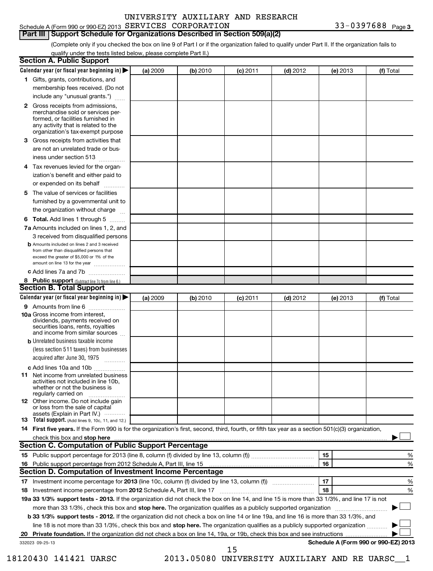# Schedule A (Form 990 or 990-EZ) 2013  $SERVICES$   $CORPORTION$  33-0397688  $Page$ UNIVERSITY AUXILIARY AND RESEARCH

# **Part III Support Schedule for Organizations Described in Section 509(a)(2)**

(Complete only if you checked the box on line 9 of Part I or if the organization failed to qualify under Part II. If the organization fails to qualify under the tests listed below, please complete Part II.)

|                 | <b>Section A. Public Support</b>                                                                                                                                                                                                                                         |          |          |            |            |          |                                      |
|-----------------|--------------------------------------------------------------------------------------------------------------------------------------------------------------------------------------------------------------------------------------------------------------------------|----------|----------|------------|------------|----------|--------------------------------------|
|                 | Calendar year (or fiscal year beginning in) $\blacktriangleright$                                                                                                                                                                                                        | (a) 2009 | (b) 2010 | $(c)$ 2011 | $(d)$ 2012 | (e) 2013 | (f) Total                            |
|                 | 1 Gifts, grants, contributions, and                                                                                                                                                                                                                                      |          |          |            |            |          |                                      |
|                 | membership fees received. (Do not                                                                                                                                                                                                                                        |          |          |            |            |          |                                      |
|                 | include any "unusual grants.")                                                                                                                                                                                                                                           |          |          |            |            |          |                                      |
|                 | 2 Gross receipts from admissions,<br>merchandise sold or services per-<br>formed, or facilities furnished in<br>any activity that is related to the<br>organization's tax-exempt purpose                                                                                 |          |          |            |            |          |                                      |
|                 | 3 Gross receipts from activities that<br>are not an unrelated trade or bus-                                                                                                                                                                                              |          |          |            |            |          |                                      |
|                 | iness under section 513                                                                                                                                                                                                                                                  |          |          |            |            |          |                                      |
|                 | 4 Tax revenues levied for the organ-<br>ization's benefit and either paid to<br>or expended on its behalf                                                                                                                                                                |          |          |            |            |          |                                      |
|                 | 5 The value of services or facilities                                                                                                                                                                                                                                    |          |          |            |            |          |                                      |
|                 | furnished by a governmental unit to<br>the organization without charge                                                                                                                                                                                                   |          |          |            |            |          |                                      |
|                 | 6 Total. Add lines 1 through 5                                                                                                                                                                                                                                           |          |          |            |            |          |                                      |
|                 | 7a Amounts included on lines 1, 2, and                                                                                                                                                                                                                                   |          |          |            |            |          |                                      |
|                 | 3 received from disqualified persons                                                                                                                                                                                                                                     |          |          |            |            |          |                                      |
|                 | <b>b</b> Amounts included on lines 2 and 3 received<br>from other than disqualified persons that<br>exceed the greater of \$5,000 or 1% of the<br>amount on line 13 for the year                                                                                         |          |          |            |            |          |                                      |
|                 | c Add lines 7a and 7b                                                                                                                                                                                                                                                    |          |          |            |            |          |                                      |
|                 | 8 Public support (Subtract line 7c from line 6.)                                                                                                                                                                                                                         |          |          |            |            |          |                                      |
|                 | <b>Section B. Total Support</b>                                                                                                                                                                                                                                          |          |          |            |            |          |                                      |
|                 | Calendar year (or fiscal year beginning in)                                                                                                                                                                                                                              | (a) 2009 | (b) 2010 | $(c)$ 2011 | $(d)$ 2012 | (e) 2013 | (f) Total                            |
|                 | 9 Amounts from line 6                                                                                                                                                                                                                                                    |          |          |            |            |          |                                      |
|                 | <b>10a</b> Gross income from interest,<br>dividends, payments received on<br>securities loans, rents, royalties<br>and income from similar sources                                                                                                                       |          |          |            |            |          |                                      |
|                 | <b>b</b> Unrelated business taxable income                                                                                                                                                                                                                               |          |          |            |            |          |                                      |
|                 | (less section 511 taxes) from businesses<br>acquired after June 30, 1975                                                                                                                                                                                                 |          |          |            |            |          |                                      |
|                 | c Add lines 10a and 10b                                                                                                                                                                                                                                                  |          |          |            |            |          |                                      |
|                 | <b>11</b> Net income from unrelated business<br>activities not included in line 10b,<br>whether or not the business is<br>regularly carried on                                                                                                                           |          |          |            |            |          |                                      |
|                 | <b>12</b> Other income. Do not include gain<br>or loss from the sale of capital<br>assets (Explain in Part IV.) $\cdots$                                                                                                                                                 |          |          |            |            |          |                                      |
|                 | 13 Total support. (Add lines 9, 10c, 11, and 12.)                                                                                                                                                                                                                        |          |          |            |            |          |                                      |
|                 | 14 First five years. If the Form 990 is for the organization's first, second, third, fourth, or fifth tax year as a section 501(c)(3) organization,                                                                                                                      |          |          |            |            |          |                                      |
|                 | check this box and stop here with the continuum control of the state of the state of the state of the state of the state of the state of the state of the state of the state of the state of the state of the state of the sta                                           |          |          |            |            |          |                                      |
|                 | Section C. Computation of Public Support Percentage                                                                                                                                                                                                                      |          |          |            |            |          |                                      |
|                 |                                                                                                                                                                                                                                                                          |          |          |            |            | 15       | %                                    |
|                 |                                                                                                                                                                                                                                                                          |          |          |            |            | 16       | %                                    |
|                 | Section D. Computation of Investment Income Percentage                                                                                                                                                                                                                   |          |          |            |            |          |                                      |
|                 |                                                                                                                                                                                                                                                                          |          |          |            |            | 17<br>18 | %                                    |
|                 | 18 Investment income percentage from 2012 Schedule A, Part III, line 17<br>19a 33 1/3% support tests - 2013. If the organization did not check the box on line 14, and line 15 is more than 33 1/3%, and line 17 is not                                                  |          |          |            |            |          | %                                    |
|                 |                                                                                                                                                                                                                                                                          |          |          |            |            |          |                                      |
|                 | more than 33 1/3%, check this box and stop here. The organization qualifies as a publicly supported organization                                                                                                                                                         |          |          |            |            |          |                                      |
|                 | b 33 1/3% support tests - 2012. If the organization did not check a box on line 14 or line 19a, and line 16 is more than 33 1/3%, and<br>line 18 is not more than 33 1/3%, check this box and stop here. The organization qualifies as a publicly supported organization |          |          |            |            |          |                                      |
|                 |                                                                                                                                                                                                                                                                          |          |          |            |            |          |                                      |
| 332023 09-25-13 |                                                                                                                                                                                                                                                                          |          |          |            |            |          | Schedule A (Form 990 or 990-EZ) 2013 |
|                 |                                                                                                                                                                                                                                                                          |          |          | 15         |            |          |                                      |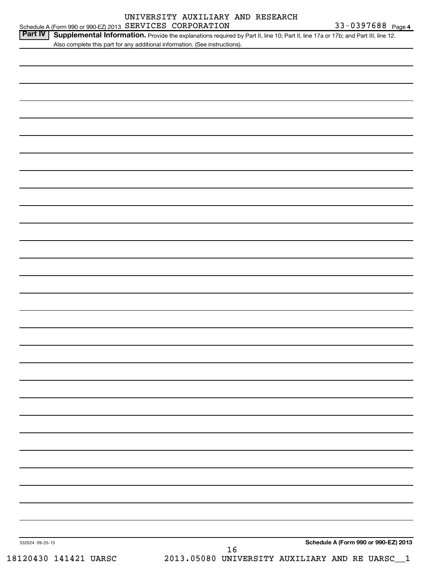| UNIVERSITY AUXILIARY AND RESEARCH                                                                                                                                                                                                  |                   |
|------------------------------------------------------------------------------------------------------------------------------------------------------------------------------------------------------------------------------------|-------------------|
| Schedule A (Form 990 or 990-EZ) 2013 SERVICES CORPORATION                                                                                                                                                                          | 33-0397688 Page 4 |
| <b>Part IV</b><br>Supplemental Information. Provide the explanations required by Part II, line 10; Part II, line 17a or 17b; and Part III, line 12.<br>Also complete this part for any additional information. (See instructions). |                   |
|                                                                                                                                                                                                                                    |                   |
|                                                                                                                                                                                                                                    |                   |
|                                                                                                                                                                                                                                    |                   |
|                                                                                                                                                                                                                                    |                   |
|                                                                                                                                                                                                                                    |                   |
|                                                                                                                                                                                                                                    |                   |
|                                                                                                                                                                                                                                    |                   |
|                                                                                                                                                                                                                                    |                   |
|                                                                                                                                                                                                                                    |                   |
|                                                                                                                                                                                                                                    |                   |

332024 09-25-13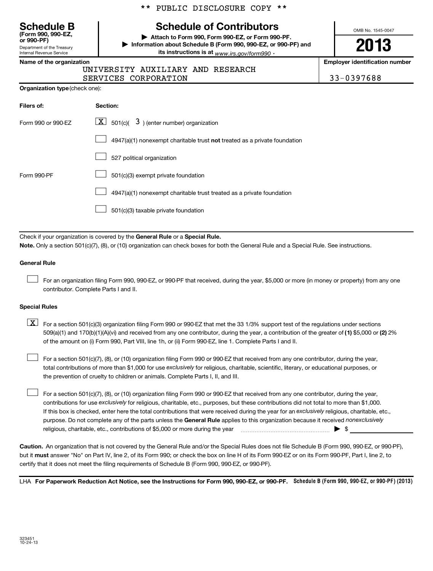|  |  | ** PUBLIC DISCLOSURE COPY ** |  |  |
|--|--|------------------------------|--|--|
|--|--|------------------------------|--|--|

# **(Form 990, 990-EZ,**

Department of the Treasury Internal Revenue Service

# **Schedule B Schedule of Contributors**

**or 990-PF) | Attach to Form 990, Form 990-EZ, or Form 990-PF. | Information about Schedule B (Form 990, 990-EZ, or 990-PF) and its instructions is at** www.irs.gov/form990  $\cdot$ 

**2013**

OMB No. 1545-0047

# **Name of the organization Employer identification number**

UNIVERSITY AUXILIARY AND RESEARCH

SERVICES CORPORATION 833-0397688

**Organization type** (check one):

| Filers of:         | <b>Section:</b>                                                                    |
|--------------------|------------------------------------------------------------------------------------|
| Form 990 or 990-FZ | $\lfloor \underline{X} \rfloor$ 501(c)( 3) (enter number) organization             |
|                    | $4947(a)(1)$ nonexempt charitable trust <b>not</b> treated as a private foundation |
|                    | 527 political organization                                                         |
| Form 990-PF        | 501(c)(3) exempt private foundation                                                |
|                    | 4947(a)(1) nonexempt charitable trust treated as a private foundation              |
|                    | 501(c)(3) taxable private foundation                                               |

Check if your organization is covered by the General Rule or a Special Rule. **Note.**  Only a section 501(c)(7), (8), or (10) organization can check boxes for both the General Rule and a Special Rule. See instructions.

### **General Rule**

For an organization filing Form 990, 990-EZ, or 990-PF that received, during the year, \$5,000 or more (in money or property) from any one contributor. Complete Parts I and II.  $\left\vert \cdot\right\vert$ 

### **Special Rules**

509(a)(1) and 170(b)(1)(A)(vi) and received from any one contributor, during the year, a contribution of the greater of (1**)** \$5,000 or (**2**) 2%  $\boxed{\textbf{X}}$  For a section 501(c)(3) organization filing Form 990 or 990-EZ that met the 33 1/3% support test of the regulations under sections of the amount on (i) Form 990, Part VIII, line 1h, or (ii) Form 990-EZ, line 1. Complete Parts I and II.

total contributions of more than \$1,000 for use exclusively for religious, charitable, scientific, literary, or educational purposes, or For a section 501(c)(7), (8), or (10) organization filing Form 990 or 990-EZ that received from any one contributor, during the year, the prevention of cruelty to children or animals. Complete Parts I, II, and III.  $\left\vert \cdot\right\vert$ 

purpose. Do not complete any of the parts unless the General Rule applies to this organization because it received nonexclusively contributions for use exclusively for religious, charitable, etc., purposes, but these contributions did not total to more than \$1,000. If this box is checked, enter here the total contributions that were received during the year for an exclusively religious, charitable, etc., For a section 501(c)(7), (8), or (10) organization filing Form 990 or 990-EZ that received from any one contributor, during the year, religious, charitable, etc., contributions of \$5,000 or more during the year  $\Box$   $\Box$   $\Box$   $\Box$  $\left\vert \cdot\right\vert$ 

**Caution.** An organization that is not covered by the General Rule and/or the Special Rules does not file Schedule B (Form 990, 990-EZ, or 990-PF),  **must** but it answer "No" on Part IV, line 2, of its Form 990; or check the box on line H of its Form 990-EZ or on its Form 990-PF, Part I, line 2, to certify that it does not meet the filing requirements of Schedule B (Form 990, 990-EZ, or 990-PF).

LHA For Paperwork Reduction Act Notice, see the Instructions for Form 990, 990-EZ, or 990-PF. Schedule B (Form 990, 990-EZ, or 990-PF) (2013)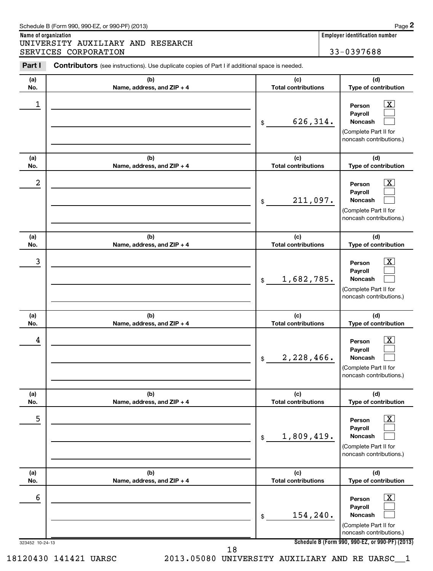| (b)<br>Name, address, and ZIP + 4 | (c)<br><b>Total contributions</b> | (d)<br>Type of contribution                                                                                        |  |
|-----------------------------------|-----------------------------------|--------------------------------------------------------------------------------------------------------------------|--|
|                                   | 626,314.<br>\$                    | $\overline{\mathbf{X}}$<br>Person<br>Payroll<br>Noncash<br>(Complete Part II for<br>noncash contributions.)        |  |
| (b)<br>Name, address, and ZIP + 4 | (c)<br><b>Total contributions</b> | (d)<br>Type of contribution                                                                                        |  |
|                                   | 211,097.<br>\$                    | $\overline{\mathbf{X}}$<br>Person<br>Payroll<br><b>Noncash</b><br>(Complete Part II for<br>noncash contributions.) |  |
| (b)                               | (c)                               | (d)<br>Type of contribution                                                                                        |  |
|                                   | 1,682,785.<br>\$                  | х<br>Person<br>Payroll<br><b>Noncash</b><br>(Complete Part II for<br>noncash contributions.)                       |  |
| (b)<br>Name, address, and ZIP + 4 | (c)<br><b>Total contributions</b> | (d)<br>Type of contribution                                                                                        |  |
|                                   | 2,228,466.<br>\$                  | х<br>Person<br>Payroll<br><b>Noncash</b><br>(Complete Part II for<br>noncash contributions.)                       |  |
| (b)<br>Name, address, and ZIP + 4 | (c)<br><b>Total contributions</b> | (d)<br>Type of contribution                                                                                        |  |
|                                   | 1,809,419.<br>$\$$                | $\boxed{\textbf{X}}$<br>Person<br>Payroll<br>Noncash<br>(Complete Part II for<br>noncash contributions.)           |  |
| (b)<br>Name, address, and ZIP + 4 | (c)<br><b>Total contributions</b> | (d)<br>Type of contribution                                                                                        |  |
|                                   |                                   | $\boxed{\textbf{X}}$<br>Person<br>Payroll                                                                          |  |
|                                   | Name, address, and ZIP + 4        | <b>Total contributions</b>                                                                                         |  |

Т

UNIVERSITY AUXILIARY AND RESEARCH

Part I Contributors (see instructions). Use duplicate copies of Part I if additional space is needed.

**Name of organization Employer identification number**

SERVICES CORPORATION 33-0397688

**2**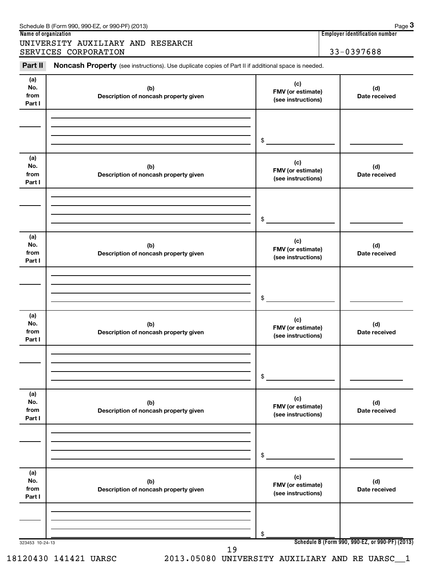|                              | Schedule B (Form 990, 990-EZ, or 990-PF) (2013)                                                            |                                                       |  | Page 3               |
|------------------------------|------------------------------------------------------------------------------------------------------------|-------------------------------------------------------|--|----------------------|
|                              | Name of organization                                                                                       | <b>Employer identification number</b>                 |  |                      |
|                              | UNIVERSITY AUXILIARY AND RESEARCH                                                                          |                                                       |  |                      |
|                              | SERVICES CORPORATION                                                                                       |                                                       |  | 33-0397688           |
| Part II                      | <b>Noncash Property</b> (see instructions). Use duplicate copies of Part II if additional space is needed. |                                                       |  |                      |
| (a)<br>No.<br>from<br>Part I | (b)<br>Description of noncash property given                                                               | (c)<br><b>FMV</b> (or estimate)<br>(see instructions) |  | (d)<br>Date received |
|                              |                                                                                                            |                                                       |  |                      |

|                              |                                              | \$                                             |                                                 |
|------------------------------|----------------------------------------------|------------------------------------------------|-------------------------------------------------|
| (a)<br>No.<br>from<br>Part I | (b)<br>Description of noncash property given | (c)<br>FMV (or estimate)<br>(see instructions) | (d)<br>Date received                            |
|                              |                                              |                                                |                                                 |
|                              |                                              | \$                                             |                                                 |
| (a)<br>No.<br>from<br>Part I | (b)<br>Description of noncash property given | (c)<br>FMV (or estimate)<br>(see instructions) | (d)<br>Date received                            |
|                              |                                              |                                                |                                                 |
|                              |                                              | \$                                             |                                                 |
| (a)<br>No.<br>from<br>Part I | (b)<br>Description of noncash property given | (c)<br>FMV (or estimate)<br>(see instructions) | (d)<br>Date received                            |
|                              |                                              |                                                |                                                 |
|                              |                                              | \$                                             |                                                 |
| (a)<br>No.<br>from<br>Part I | (b)<br>Description of noncash property given | (c)<br>FMV (or estimate)<br>(see instructions) | (d)<br>Date received                            |
|                              |                                              |                                                |                                                 |
|                              |                                              | \$                                             |                                                 |
| (a)<br>No.<br>from<br>Part I | (b)<br>Description of noncash property given | (c)<br>FMV (or estimate)<br>(see instructions) | (d)<br>Date received                            |
|                              |                                              |                                                |                                                 |
|                              |                                              |                                                |                                                 |
| 323453 10-24-13              |                                              | \$                                             | Schedule B (Form 990, 990-EZ, or 990-PF) (2013) |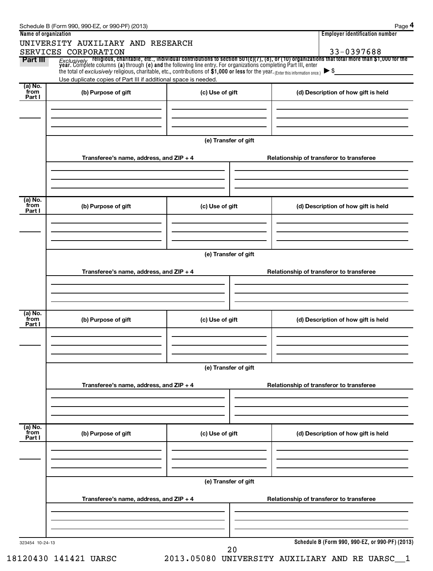| Name of organization |                                                                 |                      | <b>Employer identification number</b>                                                                                                                                                                                          |  |
|----------------------|-----------------------------------------------------------------|----------------------|--------------------------------------------------------------------------------------------------------------------------------------------------------------------------------------------------------------------------------|--|
|                      | UNIVERSITY AUXILIARY AND RESEARCH                               |                      |                                                                                                                                                                                                                                |  |
|                      | SERVICES CORPORATION                                            |                      | 33-0397688                                                                                                                                                                                                                     |  |
| Part III             | Use duplicate copies of Part III if additional space is needed. |                      | Exclusively religious, charitable, etc., individual contributions to section 501(c)(7), (8), or (10) organizations that total more than \$1,000 for the year. Complete columns (a) through (e) and the following line entry. F |  |
| (a) No.              |                                                                 |                      |                                                                                                                                                                                                                                |  |
| from<br>Part I       | (b) Purpose of gift                                             | (c) Use of gift      | (d) Description of how gift is held                                                                                                                                                                                            |  |
|                      |                                                                 |                      |                                                                                                                                                                                                                                |  |
|                      |                                                                 |                      |                                                                                                                                                                                                                                |  |
|                      |                                                                 |                      |                                                                                                                                                                                                                                |  |
|                      |                                                                 |                      |                                                                                                                                                                                                                                |  |
|                      |                                                                 | (e) Transfer of gift |                                                                                                                                                                                                                                |  |
|                      |                                                                 |                      |                                                                                                                                                                                                                                |  |
|                      | Transferee's name, address, and ZIP + 4                         |                      | Relationship of transferor to transferee                                                                                                                                                                                       |  |
|                      |                                                                 |                      |                                                                                                                                                                                                                                |  |
|                      |                                                                 |                      |                                                                                                                                                                                                                                |  |
|                      |                                                                 |                      |                                                                                                                                                                                                                                |  |
| $(a)$ No.<br>from    |                                                                 |                      |                                                                                                                                                                                                                                |  |
| Part I               | (b) Purpose of gift                                             | (c) Use of gift      | (d) Description of how gift is held                                                                                                                                                                                            |  |
|                      |                                                                 |                      |                                                                                                                                                                                                                                |  |
|                      |                                                                 |                      |                                                                                                                                                                                                                                |  |
|                      |                                                                 |                      |                                                                                                                                                                                                                                |  |
|                      |                                                                 |                      |                                                                                                                                                                                                                                |  |
|                      |                                                                 | (e) Transfer of gift |                                                                                                                                                                                                                                |  |
|                      |                                                                 |                      |                                                                                                                                                                                                                                |  |
|                      | Transferee's name, address, and ZIP + 4                         |                      | Relationship of transferor to transferee                                                                                                                                                                                       |  |
|                      |                                                                 |                      |                                                                                                                                                                                                                                |  |
|                      |                                                                 |                      |                                                                                                                                                                                                                                |  |
|                      |                                                                 |                      |                                                                                                                                                                                                                                |  |
| (a) No.              |                                                                 |                      |                                                                                                                                                                                                                                |  |
| from<br>Part I       | (b) Purpose of gift                                             | (c) Use of gift      | (d) Description of how gift is held                                                                                                                                                                                            |  |
|                      |                                                                 |                      |                                                                                                                                                                                                                                |  |
|                      |                                                                 |                      |                                                                                                                                                                                                                                |  |
|                      |                                                                 |                      |                                                                                                                                                                                                                                |  |
|                      |                                                                 |                      |                                                                                                                                                                                                                                |  |
|                      |                                                                 | (e) Transfer of gift |                                                                                                                                                                                                                                |  |
|                      |                                                                 |                      |                                                                                                                                                                                                                                |  |
|                      | Transferee's name, address, and $ZIP + 4$                       |                      | Relationship of transferor to transferee                                                                                                                                                                                       |  |
|                      |                                                                 |                      |                                                                                                                                                                                                                                |  |
|                      |                                                                 |                      |                                                                                                                                                                                                                                |  |
|                      |                                                                 |                      |                                                                                                                                                                                                                                |  |
| (a) No.              |                                                                 |                      |                                                                                                                                                                                                                                |  |
| from<br>Part I       | (b) Purpose of gift                                             | (c) Use of gift      | (d) Description of how gift is held                                                                                                                                                                                            |  |
|                      |                                                                 |                      |                                                                                                                                                                                                                                |  |
|                      |                                                                 |                      |                                                                                                                                                                                                                                |  |
|                      |                                                                 |                      |                                                                                                                                                                                                                                |  |
|                      |                                                                 |                      |                                                                                                                                                                                                                                |  |
|                      |                                                                 | (e) Transfer of gift |                                                                                                                                                                                                                                |  |
|                      |                                                                 |                      |                                                                                                                                                                                                                                |  |
|                      | Transferee's name, address, and ZIP + 4                         |                      | Relationship of transferor to transferee                                                                                                                                                                                       |  |
|                      |                                                                 |                      |                                                                                                                                                                                                                                |  |
|                      |                                                                 |                      |                                                                                                                                                                                                                                |  |
|                      |                                                                 |                      |                                                                                                                                                                                                                                |  |
| 323454 10-24-13      |                                                                 |                      | Schedule B (Form 990, 990-EZ, or 990-PF) (2013)                                                                                                                                                                                |  |
|                      |                                                                 | 20                   |                                                                                                                                                                                                                                |  |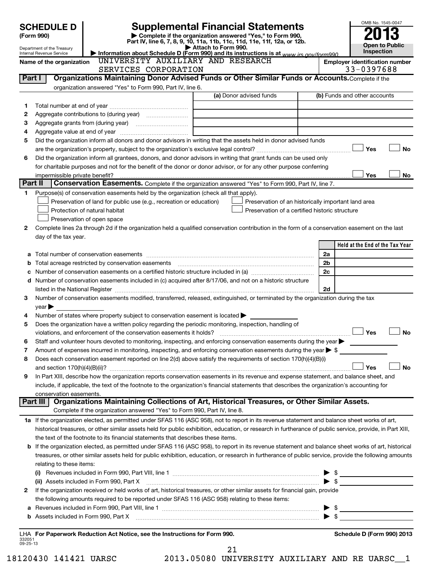|                    | <b>Supplemental Financial Statements</b><br><b>SCHEDULE D</b>           |                                                                                                                                                                                                                                                                                                                     |                     |                                                                          |  |                |                                       | OMB No. 1545-0047     |
|--------------------|-------------------------------------------------------------------------|---------------------------------------------------------------------------------------------------------------------------------------------------------------------------------------------------------------------------------------------------------------------------------------------------------------------|---------------------|--------------------------------------------------------------------------|--|----------------|---------------------------------------|-----------------------|
|                    | Complete if the organization answered "Yes," to Form 990,<br>(Form 990) |                                                                                                                                                                                                                                                                                                                     |                     |                                                                          |  |                |                                       |                       |
|                    |                                                                         |                                                                                                                                                                                                                                                                                                                     | Attach to Form 990. | Part IV, line 6, 7, 8, 9, 10, 11a, 11b, 11c, 11d, 11e, 11f, 12a, or 12b. |  |                |                                       | <b>Open to Public</b> |
|                    | Department of the Treasury<br>Internal Revenue Service                  | Information about Schedule D (Form 990) and its instructions is at $www$ irs $a$ ov/form990                                                                                                                                                                                                                         |                     |                                                                          |  |                |                                       | Inspection            |
|                    | Name of the organization                                                | UNIVERSITY AUXILIARY AND RESEARCH                                                                                                                                                                                                                                                                                   |                     |                                                                          |  |                | <b>Employer identification number</b> |                       |
|                    |                                                                         | SERVICES CORPORATION                                                                                                                                                                                                                                                                                                |                     |                                                                          |  |                | 33-0397688                            |                       |
| Part I             |                                                                         | Organizations Maintaining Donor Advised Funds or Other Similar Funds or Accounts. Complete if the                                                                                                                                                                                                                   |                     |                                                                          |  |                |                                       |                       |
|                    |                                                                         | organization answered "Yes" to Form 990, Part IV, line 6.                                                                                                                                                                                                                                                           |                     | (a) Donor advised funds                                                  |  |                | (b) Funds and other accounts          |                       |
| 1                  |                                                                         |                                                                                                                                                                                                                                                                                                                     |                     |                                                                          |  |                |                                       |                       |
| 2                  |                                                                         |                                                                                                                                                                                                                                                                                                                     |                     |                                                                          |  |                |                                       |                       |
| з                  |                                                                         |                                                                                                                                                                                                                                                                                                                     |                     |                                                                          |  |                |                                       |                       |
| 4                  |                                                                         |                                                                                                                                                                                                                                                                                                                     |                     |                                                                          |  |                |                                       |                       |
| 5                  |                                                                         | Did the organization inform all donors and donor advisors in writing that the assets held in donor advised funds                                                                                                                                                                                                    |                     |                                                                          |  |                |                                       |                       |
|                    |                                                                         |                                                                                                                                                                                                                                                                                                                     |                     |                                                                          |  |                | Yes                                   | No                    |
| 6                  |                                                                         | Did the organization inform all grantees, donors, and donor advisors in writing that grant funds can be used only                                                                                                                                                                                                   |                     |                                                                          |  |                |                                       |                       |
|                    |                                                                         | for charitable purposes and not for the benefit of the donor or donor advisor, or for any other purpose conferring                                                                                                                                                                                                  |                     |                                                                          |  |                |                                       |                       |
|                    | Part II                                                                 | Conservation Easements. Complete if the organization answered "Yes" to Form 990, Part IV, line 7.                                                                                                                                                                                                                   |                     |                                                                          |  |                | Yes                                   | No                    |
| 1                  |                                                                         | Purpose(s) of conservation easements held by the organization (check all that apply).                                                                                                                                                                                                                               |                     |                                                                          |  |                |                                       |                       |
|                    |                                                                         | Preservation of land for public use (e.g., recreation or education)                                                                                                                                                                                                                                                 |                     | Preservation of an historically important land area                      |  |                |                                       |                       |
|                    |                                                                         | Protection of natural habitat                                                                                                                                                                                                                                                                                       |                     | Preservation of a certified historic structure                           |  |                |                                       |                       |
|                    |                                                                         | Preservation of open space                                                                                                                                                                                                                                                                                          |                     |                                                                          |  |                |                                       |                       |
| 2                  |                                                                         | Complete lines 2a through 2d if the organization held a qualified conservation contribution in the form of a conservation easement on the last                                                                                                                                                                      |                     |                                                                          |  |                |                                       |                       |
|                    | day of the tax year.                                                    |                                                                                                                                                                                                                                                                                                                     |                     |                                                                          |  |                |                                       |                       |
|                    |                                                                         |                                                                                                                                                                                                                                                                                                                     |                     |                                                                          |  |                | Held at the End of the Tax Year       |                       |
|                    |                                                                         |                                                                                                                                                                                                                                                                                                                     |                     |                                                                          |  | 2a             |                                       |                       |
| b                  |                                                                         |                                                                                                                                                                                                                                                                                                                     |                     |                                                                          |  | 2 <sub>b</sub> |                                       |                       |
|                    |                                                                         | d Number of conservation easements included in (c) acquired after 8/17/06, and not on a historic structure                                                                                                                                                                                                          |                     |                                                                          |  | 2c             |                                       |                       |
|                    |                                                                         |                                                                                                                                                                                                                                                                                                                     |                     |                                                                          |  | 2d             |                                       |                       |
| 3                  |                                                                         | Number of conservation easements modified, transferred, released, extinguished, or terminated by the organization during the tax                                                                                                                                                                                    |                     |                                                                          |  |                |                                       |                       |
|                    | year                                                                    |                                                                                                                                                                                                                                                                                                                     |                     |                                                                          |  |                |                                       |                       |
| 4                  |                                                                         | Number of states where property subject to conservation easement is located $\blacktriangleright$                                                                                                                                                                                                                   |                     |                                                                          |  |                |                                       |                       |
| 5                  |                                                                         | Does the organization have a written policy regarding the periodic monitoring, inspection, handling of                                                                                                                                                                                                              |                     |                                                                          |  |                |                                       |                       |
|                    |                                                                         | violations, and enforcement of the conservation easements it holds?                                                                                                                                                                                                                                                 |                     |                                                                          |  |                | Yes                                   | No                    |
|                    |                                                                         | Staff and volunteer hours devoted to monitoring, inspecting, and enforcing conservation easements during the year                                                                                                                                                                                                   |                     |                                                                          |  |                |                                       |                       |
| 7                  |                                                                         | Amount of expenses incurred in monitoring, inspecting, and enforcing conservation easements during the year $\triangleright$ \$                                                                                                                                                                                     |                     |                                                                          |  |                |                                       |                       |
| 8                  |                                                                         | Does each conservation easement reported on line 2(d) above satisfy the requirements of section 170(h)(4)(B)(i)                                                                                                                                                                                                     |                     |                                                                          |  |                | Yes                                   | No                    |
| 9                  |                                                                         | In Part XIII, describe how the organization reports conservation easements in its revenue and expense statement, and balance sheet, and                                                                                                                                                                             |                     |                                                                          |  |                |                                       |                       |
|                    |                                                                         | include, if applicable, the text of the footnote to the organization's financial statements that describes the organization's accounting for                                                                                                                                                                        |                     |                                                                          |  |                |                                       |                       |
|                    | conservation easements.                                                 |                                                                                                                                                                                                                                                                                                                     |                     |                                                                          |  |                |                                       |                       |
|                    | Part III                                                                | Organizations Maintaining Collections of Art, Historical Treasures, or Other Similar Assets.                                                                                                                                                                                                                        |                     |                                                                          |  |                |                                       |                       |
|                    |                                                                         | Complete if the organization answered "Yes" to Form 990, Part IV, line 8.                                                                                                                                                                                                                                           |                     |                                                                          |  |                |                                       |                       |
|                    |                                                                         | 1a If the organization elected, as permitted under SFAS 116 (ASC 958), not to report in its revenue statement and balance sheet works of art,                                                                                                                                                                       |                     |                                                                          |  |                |                                       |                       |
|                    |                                                                         | historical treasures, or other similar assets held for public exhibition, education, or research in furtherance of public service, provide, in Part XIII,                                                                                                                                                           |                     |                                                                          |  |                |                                       |                       |
|                    |                                                                         | the text of the footnote to its financial statements that describes these items.                                                                                                                                                                                                                                    |                     |                                                                          |  |                |                                       |                       |
|                    |                                                                         | <b>b</b> If the organization elected, as permitted under SFAS 116 (ASC 958), to report in its revenue statement and balance sheet works of art, historical<br>treasures, or other similar assets held for public exhibition, education, or research in furtherance of public service, provide the following amounts |                     |                                                                          |  |                |                                       |                       |
|                    | relating to these items:                                                |                                                                                                                                                                                                                                                                                                                     |                     |                                                                          |  |                |                                       |                       |
|                    |                                                                         |                                                                                                                                                                                                                                                                                                                     |                     |                                                                          |  |                | \$                                    |                       |
|                    |                                                                         | (ii) Assets included in Form 990, Part X [11] [2000] [2010] Assets included in Form 990, Part X [11] [11] [200                                                                                                                                                                                                      |                     |                                                                          |  |                | \$                                    |                       |
| 2                  |                                                                         | If the organization received or held works of art, historical treasures, or other similar assets for financial gain, provide                                                                                                                                                                                        |                     |                                                                          |  |                |                                       |                       |
|                    |                                                                         | the following amounts required to be reported under SFAS 116 (ASC 958) relating to these items:                                                                                                                                                                                                                     |                     |                                                                          |  |                |                                       |                       |
|                    |                                                                         |                                                                                                                                                                                                                                                                                                                     |                     |                                                                          |  |                | - \$                                  |                       |
|                    |                                                                         |                                                                                                                                                                                                                                                                                                                     |                     |                                                                          |  |                |                                       |                       |
|                    |                                                                         |                                                                                                                                                                                                                                                                                                                     |                     |                                                                          |  |                |                                       |                       |
| 332051<br>09-25-13 |                                                                         | LHA For Paperwork Reduction Act Notice, see the Instructions for Form 990.                                                                                                                                                                                                                                          |                     |                                                                          |  |                | Schedule D (Form 990) 2013            |                       |
|                    |                                                                         |                                                                                                                                                                                                                                                                                                                     |                     | 21                                                                       |  |                |                                       |                       |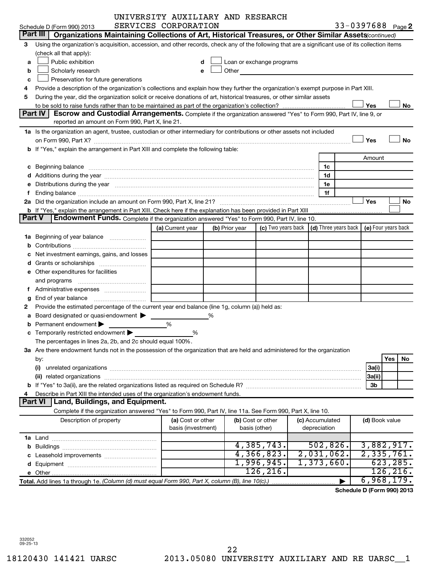|        |                                                                                                                                                                                                                                     | UNIVERSITY AUXILIARY AND RESEARCH |   |                |                                                                                                                                                                                                                               |                 |                            |                |     |           |
|--------|-------------------------------------------------------------------------------------------------------------------------------------------------------------------------------------------------------------------------------------|-----------------------------------|---|----------------|-------------------------------------------------------------------------------------------------------------------------------------------------------------------------------------------------------------------------------|-----------------|----------------------------|----------------|-----|-----------|
|        | Schedule D (Form 990) 2013                                                                                                                                                                                                          | SERVICES CORPORATION              |   |                |                                                                                                                                                                                                                               |                 | 33-0397688 Page 2          |                |     |           |
|        | Part III<br>Organizations Maintaining Collections of Art, Historical Treasures, or Other Similar Assets (continued)                                                                                                                 |                                   |   |                |                                                                                                                                                                                                                               |                 |                            |                |     |           |
| 3      | Using the organization's acquisition, accession, and other records, check any of the following that are a significant use of its collection items                                                                                   |                                   |   |                |                                                                                                                                                                                                                               |                 |                            |                |     |           |
|        | (check all that apply):                                                                                                                                                                                                             |                                   |   |                |                                                                                                                                                                                                                               |                 |                            |                |     |           |
| a      | Public exhibition                                                                                                                                                                                                                   |                                   |   |                | Loan or exchange programs                                                                                                                                                                                                     |                 |                            |                |     |           |
| b      | Scholarly research                                                                                                                                                                                                                  |                                   |   |                | Other and the contract of the contract of the contract of the contract of the contract of the contract of the contract of the contract of the contract of the contract of the contract of the contract of the contract of the |                 |                            |                |     |           |
| c      | Preservation for future generations                                                                                                                                                                                                 |                                   |   |                |                                                                                                                                                                                                                               |                 |                            |                |     |           |
| 4      | Provide a description of the organization's collections and explain how they further the organization's exempt purpose in Part XIII.                                                                                                |                                   |   |                |                                                                                                                                                                                                                               |                 |                            |                |     |           |
| 5      | During the year, did the organization solicit or receive donations of art, historical treasures, or other similar assets                                                                                                            |                                   |   |                |                                                                                                                                                                                                                               |                 |                            |                |     |           |
|        |                                                                                                                                                                                                                                     |                                   |   |                |                                                                                                                                                                                                                               |                 |                            | Yes            |     | No        |
|        | Part IV<br>Escrow and Custodial Arrangements. Complete if the organization answered "Yes" to Form 990, Part IV, line 9, or                                                                                                          |                                   |   |                |                                                                                                                                                                                                                               |                 |                            |                |     |           |
|        | reported an amount on Form 990, Part X, line 21.                                                                                                                                                                                    |                                   |   |                |                                                                                                                                                                                                                               |                 |                            |                |     |           |
|        | 1a Is the organization an agent, trustee, custodian or other intermediary for contributions or other assets not included                                                                                                            |                                   |   |                |                                                                                                                                                                                                                               |                 |                            |                |     |           |
|        |                                                                                                                                                                                                                                     |                                   |   |                |                                                                                                                                                                                                                               |                 |                            | Yes            |     | <b>No</b> |
|        | b If "Yes," explain the arrangement in Part XIII and complete the following table:                                                                                                                                                  |                                   |   |                |                                                                                                                                                                                                                               |                 |                            |                |     |           |
|        |                                                                                                                                                                                                                                     |                                   |   |                |                                                                                                                                                                                                                               |                 |                            | Amount         |     |           |
|        | c Beginning balance <b>communications</b> and a construction of the construction of the construction of the construction of the construction of the construction of the construction of the construction of the construction of the |                                   |   |                |                                                                                                                                                                                                                               | 1c              |                            |                |     |           |
|        |                                                                                                                                                                                                                                     |                                   |   |                |                                                                                                                                                                                                                               | 1d              |                            |                |     |           |
|        | e Distributions during the year manufactured and contain an account of the year manufactured and the year manufactured and the year manufactured and the year manufactured and the year manufactured and the year manufactured      |                                   |   |                |                                                                                                                                                                                                                               | 1е              |                            |                |     |           |
| f      |                                                                                                                                                                                                                                     |                                   |   |                |                                                                                                                                                                                                                               | 1f              |                            |                |     |           |
|        |                                                                                                                                                                                                                                     |                                   |   |                |                                                                                                                                                                                                                               |                 |                            | Yes            |     | No        |
|        |                                                                                                                                                                                                                                     |                                   |   |                |                                                                                                                                                                                                                               |                 |                            |                |     |           |
| Part V | <b>Endowment Funds.</b> Complete if the organization answered "Yes" to Form 990, Part IV, line 10.                                                                                                                                  |                                   |   |                |                                                                                                                                                                                                                               |                 |                            |                |     |           |
|        |                                                                                                                                                                                                                                     | (a) Current year                  |   | (b) Prior year | (c) Two years back $\vert$ (d) Three years back $\vert$ (e) Four years back                                                                                                                                                   |                 |                            |                |     |           |
|        | 1a Beginning of year balance                                                                                                                                                                                                        |                                   |   |                |                                                                                                                                                                                                                               |                 |                            |                |     |           |
|        |                                                                                                                                                                                                                                     |                                   |   |                |                                                                                                                                                                                                                               |                 |                            |                |     |           |
|        | Net investment earnings, gains, and losses                                                                                                                                                                                          |                                   |   |                |                                                                                                                                                                                                                               |                 |                            |                |     |           |
|        |                                                                                                                                                                                                                                     |                                   |   |                |                                                                                                                                                                                                                               |                 |                            |                |     |           |
|        | e Other expenditures for facilities                                                                                                                                                                                                 |                                   |   |                |                                                                                                                                                                                                                               |                 |                            |                |     |           |
|        | and programs                                                                                                                                                                                                                        |                                   |   |                |                                                                                                                                                                                                                               |                 |                            |                |     |           |
|        | f Administrative expenses                                                                                                                                                                                                           |                                   |   |                |                                                                                                                                                                                                                               |                 |                            |                |     |           |
| g      |                                                                                                                                                                                                                                     |                                   |   |                |                                                                                                                                                                                                                               |                 |                            |                |     |           |
| 2      | Provide the estimated percentage of the current year end balance (line 1g, column (a)) held as:                                                                                                                                     |                                   |   |                |                                                                                                                                                                                                                               |                 |                            |                |     |           |
| a      | Board designated or quasi-endowment                                                                                                                                                                                                 |                                   | % |                |                                                                                                                                                                                                                               |                 |                            |                |     |           |
| b      | Permanent endowment >                                                                                                                                                                                                               | %                                 |   |                |                                                                                                                                                                                                                               |                 |                            |                |     |           |
|        | c Temporarily restricted endowment $\blacktriangleright$                                                                                                                                                                            | %                                 |   |                |                                                                                                                                                                                                                               |                 |                            |                |     |           |
|        | The percentages in lines 2a, 2b, and 2c should equal 100%.                                                                                                                                                                          |                                   |   |                |                                                                                                                                                                                                                               |                 |                            |                |     |           |
|        | 3a Are there endowment funds not in the possession of the organization that are held and administered for the organization                                                                                                          |                                   |   |                |                                                                                                                                                                                                                               |                 |                            |                | Yes | No        |
|        | by:<br>(i)                                                                                                                                                                                                                          |                                   |   |                |                                                                                                                                                                                                                               |                 |                            | 3a(i)          |     |           |
|        |                                                                                                                                                                                                                                     |                                   |   |                |                                                                                                                                                                                                                               |                 |                            | 3a(ii)         |     |           |
|        |                                                                                                                                                                                                                                     |                                   |   |                |                                                                                                                                                                                                                               |                 |                            | 3b             |     |           |
| 4      | Describe in Part XIII the intended uses of the organization's endowment funds.                                                                                                                                                      |                                   |   |                |                                                                                                                                                                                                                               |                 |                            |                |     |           |
|        | <b>Land, Buildings, and Equipment.</b><br><b>Part VI</b>                                                                                                                                                                            |                                   |   |                |                                                                                                                                                                                                                               |                 |                            |                |     |           |
|        | Complete if the organization answered "Yes" to Form 990, Part IV, line 11a. See Form 990, Part X, line 10.                                                                                                                          |                                   |   |                |                                                                                                                                                                                                                               |                 |                            |                |     |           |
|        | Description of property                                                                                                                                                                                                             | (a) Cost or other                 |   |                | (b) Cost or other                                                                                                                                                                                                             | (c) Accumulated |                            | (d) Book value |     |           |
|        |                                                                                                                                                                                                                                     | basis (investment)                |   |                | basis (other)                                                                                                                                                                                                                 | depreciation    |                            |                |     |           |
|        |                                                                                                                                                                                                                                     |                                   |   |                |                                                                                                                                                                                                                               |                 |                            |                |     |           |
|        |                                                                                                                                                                                                                                     |                                   |   |                | 4,385,743.                                                                                                                                                                                                                    | 502,826.        |                            | 3,882,917.     |     |           |
|        |                                                                                                                                                                                                                                     |                                   |   |                | 4,366,823.                                                                                                                                                                                                                    | 2,031,062.      |                            | 2,335,761.     |     |           |
|        |                                                                                                                                                                                                                                     |                                   |   |                | 1,996,945.                                                                                                                                                                                                                    | 1,373,660.      |                            |                |     | 623, 285. |
|        |                                                                                                                                                                                                                                     |                                   |   |                | 126, 216.                                                                                                                                                                                                                     |                 |                            |                |     | 126, 216. |
|        | Total. Add lines 1a through 1e. (Column (d) must equal Form 990, Part X, column (B), line 10(c).)                                                                                                                                   |                                   |   |                |                                                                                                                                                                                                                               |                 |                            | 6,968,179.     |     |           |
|        |                                                                                                                                                                                                                                     |                                   |   |                |                                                                                                                                                                                                                               |                 | Schedule D (Form 990) 2013 |                |     |           |
|        |                                                                                                                                                                                                                                     |                                   |   |                |                                                                                                                                                                                                                               |                 |                            |                |     |           |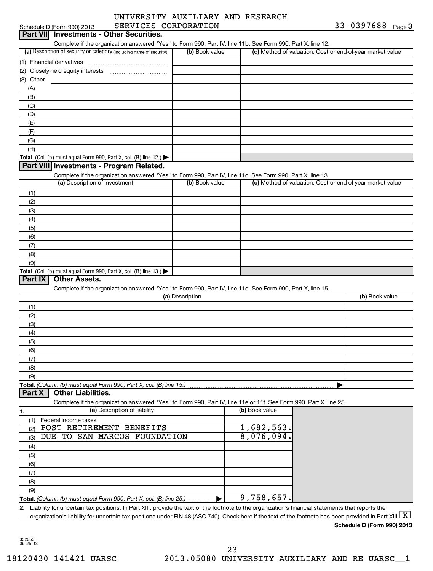| SERVICES CORPORATION<br>Schedule D (Form 990) 2013                                                                                                             |                 |                          | 33-0397688 $_{Page}$ 3                                    |
|----------------------------------------------------------------------------------------------------------------------------------------------------------------|-----------------|--------------------------|-----------------------------------------------------------|
| <b>Investments - Other Securities.</b><br><b>Part VII</b>                                                                                                      |                 |                          |                                                           |
| Complete if the organization answered "Yes" to Form 990, Part IV, line 11b. See Form 990, Part X, line 12.                                                     |                 |                          |                                                           |
| (a) Description of security or category (including name of security)                                                                                           | (b) Book value  |                          | (c) Method of valuation: Cost or end-of-year market value |
| (1) Financial derivatives                                                                                                                                      |                 |                          |                                                           |
|                                                                                                                                                                |                 |                          |                                                           |
| (3) Other                                                                                                                                                      |                 |                          |                                                           |
| (A)                                                                                                                                                            |                 |                          |                                                           |
| (B)                                                                                                                                                            |                 |                          |                                                           |
| (C)                                                                                                                                                            |                 |                          |                                                           |
| (D)                                                                                                                                                            |                 |                          |                                                           |
| (E)                                                                                                                                                            |                 |                          |                                                           |
| (F)                                                                                                                                                            |                 |                          |                                                           |
| (G)                                                                                                                                                            |                 |                          |                                                           |
| (H)                                                                                                                                                            |                 |                          |                                                           |
| Total. (Col. (b) must equal Form 990, Part X, col. (B) line 12.) $\blacktriangleright$                                                                         |                 |                          |                                                           |
| Part VIII Investments - Program Related.                                                                                                                       |                 |                          |                                                           |
| Complete if the organization answered "Yes" to Form 990, Part IV, line 11c. See Form 990, Part X, line 13.                                                     |                 |                          |                                                           |
| (a) Description of investment                                                                                                                                  | (b) Book value  |                          | (c) Method of valuation: Cost or end-of-year market value |
| (1)                                                                                                                                                            |                 |                          |                                                           |
| (2)                                                                                                                                                            |                 |                          |                                                           |
| (3)                                                                                                                                                            |                 |                          |                                                           |
| (4)                                                                                                                                                            |                 |                          |                                                           |
| (5)                                                                                                                                                            |                 |                          |                                                           |
| (6)                                                                                                                                                            |                 |                          |                                                           |
| (7)                                                                                                                                                            |                 |                          |                                                           |
| (8)                                                                                                                                                            |                 |                          |                                                           |
| (9)                                                                                                                                                            |                 |                          |                                                           |
| Total. (Col. (b) must equal Form 990, Part X, col. (B) line 13.)                                                                                               |                 |                          |                                                           |
| Part IX<br><b>Other Assets.</b>                                                                                                                                |                 |                          |                                                           |
| Complete if the organization answered "Yes" to Form 990, Part IV, line 11d. See Form 990, Part X, line 15.                                                     |                 |                          |                                                           |
|                                                                                                                                                                | (a) Description |                          | (b) Book value                                            |
| (1)                                                                                                                                                            |                 |                          |                                                           |
| (2)                                                                                                                                                            |                 |                          |                                                           |
| (3)                                                                                                                                                            |                 |                          |                                                           |
| (4)                                                                                                                                                            |                 |                          |                                                           |
| (5)                                                                                                                                                            |                 |                          |                                                           |
| (6)                                                                                                                                                            |                 |                          |                                                           |
| (7)                                                                                                                                                            |                 |                          |                                                           |
| (8)                                                                                                                                                            |                 |                          |                                                           |
| (9)                                                                                                                                                            |                 |                          |                                                           |
| Total. (Column (b) must equal Form 990, Part X, col. (B) line 15.)                                                                                             |                 |                          |                                                           |
| <b>Other Liabilities.</b><br>Part X                                                                                                                            |                 |                          |                                                           |
| Complete if the organization answered "Yes" to Form 990, Part IV, line 11e or 11f. See Form 990, Part X, line 25.                                              |                 |                          |                                                           |
| (a) Description of liability<br>1.                                                                                                                             |                 | (b) Book value           |                                                           |
| (1)<br>Federal income taxes                                                                                                                                    |                 |                          |                                                           |
| POST RETIREMENT BENEFITS<br>(2)                                                                                                                                |                 | 1,682,563.<br>8,076,094. |                                                           |
| DUE TO SAN MARCOS FOUNDATION<br>(3)                                                                                                                            |                 |                          |                                                           |
| (4)                                                                                                                                                            |                 |                          |                                                           |
| (5)                                                                                                                                                            |                 |                          |                                                           |
| (6)                                                                                                                                                            |                 |                          |                                                           |
| (7)                                                                                                                                                            |                 |                          |                                                           |
| (8)                                                                                                                                                            |                 |                          |                                                           |
| (9)                                                                                                                                                            |                 |                          |                                                           |
| Total. (Column (b) must equal Form 990, Part X, col. (B) line 25.)                                                                                             |                 | 9,758,657.               |                                                           |
| 2. Liability for uncertain tax positions. In Part XIII, provide the text of the footnote to the organization's financial statements that reports the           |                 |                          |                                                           |
| organization's liability for uncertain tax positions under FIN 48 (ASC 740). Check here if the text of the footnote has been provided in Part XIII $\lfloor$ X |                 |                          |                                                           |
|                                                                                                                                                                |                 |                          | Schedule D (Form 990) 2013                                |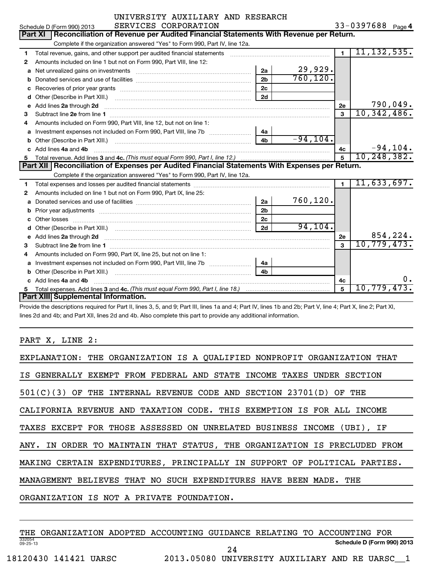|   | UNIVERSITY AUXILIARY AND RESEARCH                                                                              |                |             |                |                   |  |  |  |
|---|----------------------------------------------------------------------------------------------------------------|----------------|-------------|----------------|-------------------|--|--|--|
|   | SERVICES CORPORATION<br>Schedule D (Form 990) 2013                                                             |                |             |                | 33-0397688 Page 4 |  |  |  |
|   | Reconciliation of Revenue per Audited Financial Statements With Revenue per Return.<br>Part XI                 |                |             |                |                   |  |  |  |
|   | Complete if the organization answered "Yes" to Form 990, Part IV, line 12a.                                    |                |             |                |                   |  |  |  |
| 1 | Total revenue, gains, and other support per audited financial statements                                       |                |             | $\blacksquare$ | 11, 132, 535.     |  |  |  |
| 2 | Amounts included on line 1 but not on Form 990, Part VIII, line 12:                                            |                |             |                |                   |  |  |  |
|   | a Net unrealized gains on investments [11] matter continuum matter of Net unrealized gains on investments      | 2a             | 29,929.     |                |                   |  |  |  |
| b |                                                                                                                | 2 <sub>b</sub> | 760, 120.   |                |                   |  |  |  |
| с |                                                                                                                | 2c             |             |                |                   |  |  |  |
| d |                                                                                                                | 2d             |             |                |                   |  |  |  |
| е | Add lines 2a through 2d                                                                                        |                |             | 2e             | 790,049.          |  |  |  |
| 3 |                                                                                                                |                |             | $\mathbf{a}$   | 10,342,486.       |  |  |  |
| 4 | Amounts included on Form 990, Part VIII, line 12, but not on line 1:                                           |                |             |                |                   |  |  |  |
| а |                                                                                                                | 4a             |             |                |                   |  |  |  |
| b | Other (Describe in Part XIII.) [100] [100] [100] [100] [100] [100] [100] [100] [100] [100] [100] [100] [100] [ | 4 <sub>h</sub> | $-94, 104.$ |                |                   |  |  |  |
|   | c Add lines 4a and 4b                                                                                          |                |             | 4c             | $-94, 104.$       |  |  |  |
| 5 |                                                                                                                |                |             | 5              | 10, 248, 382.     |  |  |  |
|   | Part XII   Reconciliation of Expenses per Audited Financial Statements With Expenses per Return.               |                |             |                |                   |  |  |  |
|   | Complete if the organization answered "Yes" to Form 990, Part IV, line 12a.                                    |                |             |                |                   |  |  |  |
| 1 |                                                                                                                |                |             | $\blacksquare$ | 11,633,697.       |  |  |  |
| 2 | Amounts included on line 1 but not on Form 990, Part IX, line 25:                                              |                |             |                |                   |  |  |  |
| a |                                                                                                                | 2a             | 760, 120.   |                |                   |  |  |  |
| b |                                                                                                                | 2 <sub>b</sub> |             |                |                   |  |  |  |
| c |                                                                                                                | 2 <sub>c</sub> |             |                |                   |  |  |  |
| d |                                                                                                                | 2d             | 94, 104.    |                |                   |  |  |  |
| е |                                                                                                                |                |             | 2e             | 854,224.          |  |  |  |
| 3 |                                                                                                                |                |             | 3              | 10,779,473.       |  |  |  |
| 4 | Amounts included on Form 990, Part IX, line 25, but not on line 1:                                             |                |             |                |                   |  |  |  |
| a |                                                                                                                | 4a             |             |                |                   |  |  |  |
|   |                                                                                                                |                |             |                |                   |  |  |  |
|   | c Add lines 4a and 4b                                                                                          |                |             | 4c             |                   |  |  |  |
|   |                                                                                                                |                |             | 5              | 10,779,473.       |  |  |  |
|   | Part XIII Supplemental Information.                                                                            |                |             |                |                   |  |  |  |

Provide the descriptions required for Part II, lines 3, 5, and 9; Part III, lines 1a and 4; Part IV, lines 1b and 2b; Part V, line 4; Part X, line 2; Part XI, lines 2d and 4b; and Part XII, lines 2d and 4b. Also complete this part to provide any additional information.

PART X, LINE 2:

| EXPLANATION: THE ORGANIZATION IS A QUALIFIED NONPROFIT ORGANIZATION THAT  |
|---------------------------------------------------------------------------|
| IS GENERALLY EXEMPT FROM FEDERAL AND STATE INCOME TAXES UNDER SECTION     |
| 501(C)(3) OF THE INTERNAL REVENUE CODE AND SECTION 23701(D) OF THE        |
| CALIFORNIA REVENUE AND TAXATION CODE. THIS EXEMPTION IS FOR ALL INCOME    |
| TAXES EXCEPT FOR THOSE ASSESSED ON UNRELATED BUSINESS INCOME (UBI), IF    |
| ANY. IN ORDER TO MAINTAIN THAT STATUS, THE ORGANIZATION IS PRECLUDED FROM |
| MAKING CERTAIN EXPENDITURES, PRINCIPALLY IN SUPPORT OF POLITICAL PARTIES. |
| MANAGEMENT BELIEVES THAT NO SUCH EXPENDITURES HAVE BEEN MADE.<br>THE      |
| ORGANIZATION IS NOT A PRIVATE FOUNDATION.                                 |
|                                                                           |

332054 09-25-13 **Schedule D (Form 990) 2013** THE ORGANIZATION ADOPTED ACCOUNTING GUIDANCE RELATING TO ACCOUNTING FOR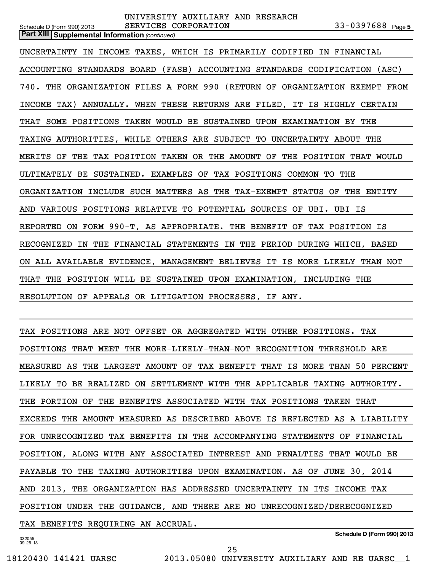**Part XIII | Supplemental Information** (continued)

UNCERTAINTY IN INCOME TAXES, WHICH IS PRIMARILY CODIFIED IN FINANCIAL ACCOUNTING STANDARDS BOARD (FASB) ACCOUNTING STANDARDS CODIFICATION (ASC) 740. THE ORGANIZATION FILES A FORM 990 (RETURN OF ORGANIZATION EXEMPT FROM INCOME TAX) ANNUALLY. WHEN THESE RETURNS ARE FILED, IT IS HIGHLY CERTAIN THAT SOME POSITIONS TAKEN WOULD BE SUSTAINED UPON EXAMINATION BY THE TAXING AUTHORITIES, WHILE OTHERS ARE SUBJECT TO UNCERTAINTY ABOUT THE MERITS OF THE TAX POSITION TAKEN OR THE AMOUNT OF THE POSITION THAT WOULD ULTIMATELY BE SUSTAINED. EXAMPLES OF TAX POSITIONS COMMON TO THE ORGANIZATION INCLUDE SUCH MATTERS AS THE TAX-EXEMPT STATUS OF THE ENTITY AND VARIOUS POSITIONS RELATIVE TO POTENTIAL SOURCES OF UBI. UBI IS REPORTED ON FORM 990-T, AS APPROPRIATE. THE BENEFIT OF TAX POSITION IS RECOGNIZED IN THE FINANCIAL STATEMENTS IN THE PERIOD DURING WHICH, BASED ON ALL AVAILABLE EVIDENCE, MANAGEMENT BELIEVES IT IS MORE LIKELY THAN NOT THAT THE POSITION WILL BE SUSTAINED UPON EXAMINATION, INCLUDING THE RESOLUTION OF APPEALS OR LITIGATION PROCESSES, IF ANY.

TAX POSITIONS ARE NOT OFFSET OR AGGREGATED WITH OTHER POSITIONS. TAX POSITIONS THAT MEET THE MORE-LIKELY-THAN-NOT RECOGNITION THRESHOLD ARE MEASURED AS THE LARGEST AMOUNT OF TAX BENEFIT THAT IS MORE THAN 50 PERCENT LIKELY TO BE REALIZED ON SETTLEMENT WITH THE APPLICABLE TAXING AUTHORITY. THE PORTION OF THE BENEFITS ASSOCIATED WITH TAX POSITIONS TAKEN THAT EXCEEDS THE AMOUNT MEASURED AS DESCRIBED ABOVE IS REFLECTED AS A LIABILITY FOR UNRECOGNIZED TAX BENEFITS IN THE ACCOMPANYING STATEMENTS OF FINANCIAL POSITION, ALONG WITH ANY ASSOCIATED INTEREST AND PENALTIES THAT WOULD BE PAYABLE TO THE TAXING AUTHORITIES UPON EXAMINATION. AS OF JUNE 30, 2014 AND 2013, THE ORGANIZATION HAS ADDRESSED UNCERTAINTY IN ITS INCOME TAX POSITION UNDER THE GUIDANCE, AND THERE ARE NO UNRECOGNIZED/DERECOGNIZED TAX BENEFITS REQUIRING AN ACCRUAL.

```
332055
09-25-13
```
**Schedule D (Form 990) 2013**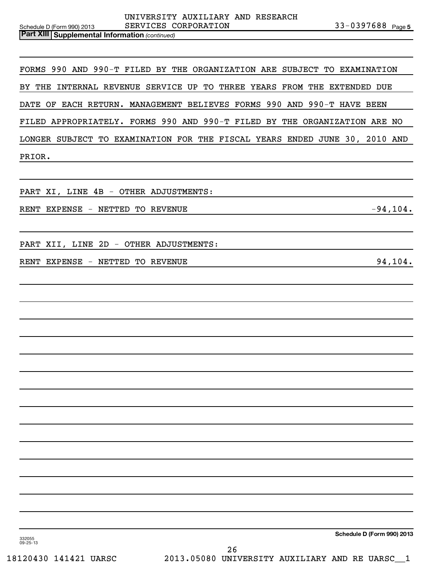**Part XIII | Supplemental Information** (continued)

FORMS 990 AND 990-T FILED BY THE ORGANIZATION ARE SUBJECT TO EXAMINATION BY THE INTERNAL REVENUE SERVICE UP TO THREE YEARS FROM THE EXTENDED DUE DATE OF EACH RETURN. MANAGEMENT BELIEVES FORMS 990 AND 990-T HAVE BEEN FILED APPROPRIATELY. FORMS 990 AND 990-T FILED BY THE ORGANIZATION ARE NO LONGER SUBJECT TO EXAMINATION FOR THE FISCAL YEARS ENDED JUNE 30, 2010 AND PRIOR.

PART XI, LINE 4B - OTHER ADJUSTMENTS:

RENT EXPENSE - NETTED TO REVENUE - 104.

PART XII, LINE 2D - OTHER ADJUSTMENTS:

RENT EXPENSE - NETTED TO REVENUE **EXPENSE 194,104.** 

**Schedule D (Form 990) 2013**

332055 09-25-13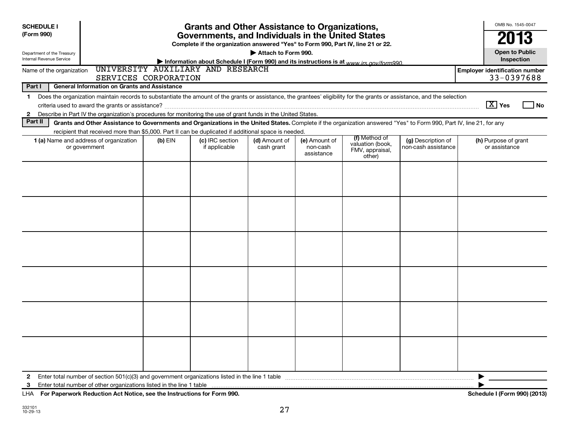| <b>Grants and Other Assistance to Organizations,</b><br><b>SCHEDULE I</b><br>(Form 990)<br>Governments, and Individuals in the United States<br>Complete if the organization answered "Yes" to Form 990, Part IV, line 21 or 22.<br>Attach to Form 990.<br>Department of the Treasury<br><b>Internal Revenue Service</b><br>Information about Schedule I (Form 990) and its instructions is at www irs gov/form990 |                      |                                   |                             |                                         |                                                                |                                           |                                                     |  |
|--------------------------------------------------------------------------------------------------------------------------------------------------------------------------------------------------------------------------------------------------------------------------------------------------------------------------------------------------------------------------------------------------------------------|----------------------|-----------------------------------|-----------------------------|-----------------------------------------|----------------------------------------------------------------|-------------------------------------------|-----------------------------------------------------|--|
| Name of the organization                                                                                                                                                                                                                                                                                                                                                                                           | SERVICES CORPORATION | UNIVERSITY AUXILIARY AND RESEARCH |                             |                                         |                                                                |                                           | <b>Employer identification number</b><br>33-0397688 |  |
| Part I<br><b>General Information on Grants and Assistance</b>                                                                                                                                                                                                                                                                                                                                                      |                      |                                   |                             |                                         |                                                                |                                           |                                                     |  |
| Does the organization maintain records to substantiate the amount of the grants or assistance, the grantees' eligibility for the grants or assistance, and the selection<br>$\mathbf{1}$<br>Describe in Part IV the organization's procedures for monitoring the use of grant funds in the United States.<br>$\mathbf{2}$                                                                                          |                      |                                   |                             |                                         |                                                                |                                           | $\boxed{\text{X}}$ Yes<br>l No                      |  |
| Part II<br>Grants and Other Assistance to Governments and Organizations in the United States. Complete if the organization answered "Yes" to Form 990, Part IV, line 21, for any                                                                                                                                                                                                                                   |                      |                                   |                             |                                         |                                                                |                                           |                                                     |  |
| recipient that received more than \$5,000. Part II can be duplicated if additional space is needed.<br>1 (a) Name and address of organization<br>or government                                                                                                                                                                                                                                                     | $(b)$ EIN            | (c) IRC section<br>if applicable  | (d) Amount of<br>cash grant | (e) Amount of<br>non-cash<br>assistance | (f) Method of<br>valuation (book,<br>FMV, appraisal,<br>other) | (g) Description of<br>non-cash assistance | (h) Purpose of grant<br>or assistance               |  |
|                                                                                                                                                                                                                                                                                                                                                                                                                    |                      |                                   |                             |                                         |                                                                |                                           |                                                     |  |
|                                                                                                                                                                                                                                                                                                                                                                                                                    |                      |                                   |                             |                                         |                                                                |                                           |                                                     |  |
|                                                                                                                                                                                                                                                                                                                                                                                                                    |                      |                                   |                             |                                         |                                                                |                                           |                                                     |  |
|                                                                                                                                                                                                                                                                                                                                                                                                                    |                      |                                   |                             |                                         |                                                                |                                           |                                                     |  |
|                                                                                                                                                                                                                                                                                                                                                                                                                    |                      |                                   |                             |                                         |                                                                |                                           |                                                     |  |
|                                                                                                                                                                                                                                                                                                                                                                                                                    |                      |                                   |                             |                                         |                                                                |                                           |                                                     |  |
| Enter total number of section 501(c)(3) and government organizations listed in the line 1 table<br>2<br>Enter total number of other organizations listed in the line 1 table<br>3<br>LHA For Paperwork Reduction Act Notice, see the Instructions for Form 990.                                                                                                                                                    |                      |                                   |                             |                                         |                                                                |                                           | Schedule I (Form 990) (2013)                        |  |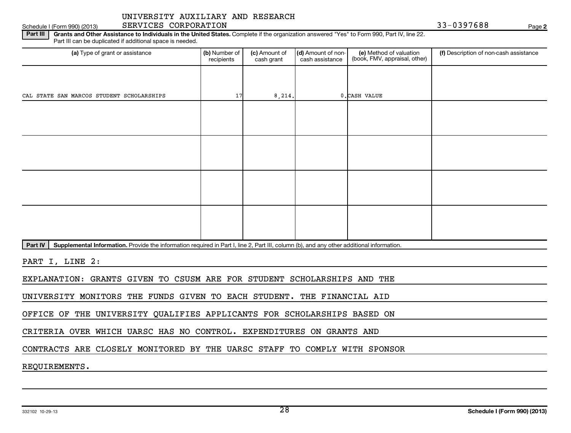# Schedule I (Form 990) (2013) SERVICES CORPORATION And the state of the state of the SS of the SS of the SS of the Page

**2**

Part III | Grants and Other Assistance to Individuals in the United States. Complete if the organization answered "Yes" to Form 990, Part IV, line 22. Part III can be duplicated if additional space is needed.

| (a) Type of grant or assistance           | (b) Number of<br>recipients | (c) Amount of<br>cash grant | (d) Amount of non-<br>cash assistance | (e) Method of valuation<br>(book, FMV, appraisal, other) | (f) Description of non-cash assistance |
|-------------------------------------------|-----------------------------|-----------------------------|---------------------------------------|----------------------------------------------------------|----------------------------------------|
|                                           |                             |                             |                                       |                                                          |                                        |
| CAL STATE SAN MARCOS STUDENT SCHOLARSHIPS | 17                          | 8, 214.                     |                                       | 0. CASH VALUE                                            |                                        |
|                                           |                             |                             |                                       |                                                          |                                        |
|                                           |                             |                             |                                       |                                                          |                                        |
|                                           |                             |                             |                                       |                                                          |                                        |
|                                           |                             |                             |                                       |                                                          |                                        |
|                                           |                             |                             |                                       |                                                          |                                        |
|                                           |                             |                             |                                       |                                                          |                                        |
|                                           |                             |                             |                                       |                                                          |                                        |
|                                           |                             |                             |                                       |                                                          |                                        |

Part IV | Supplemental Information. Provide the information required in Part I, line 2, Part III, column (b), and any other additional information.

PART I, LINE 2:

EXPLANATION: GRANTS GIVEN TO CSUSM ARE FOR STUDENT SCHOLARSHIPS AND THE

UNIVERSITY MONITORS THE FUNDS GIVEN TO EACH STUDENT. THE FINANCIAL AID

OFFICE OF THE UNIVERSITY QUALIFIES APPLICANTS FOR SCHOLARSHIPS BASED ON

CRITERIA OVER WHICH UARSC HAS NO CONTROL. EXPENDITURES ON GRANTS AND

CONTRACTS ARE CLOSELY MONITORED BY THE UARSC STAFF TO COMPLY WITH SPONSOR

REQUIREMENTS.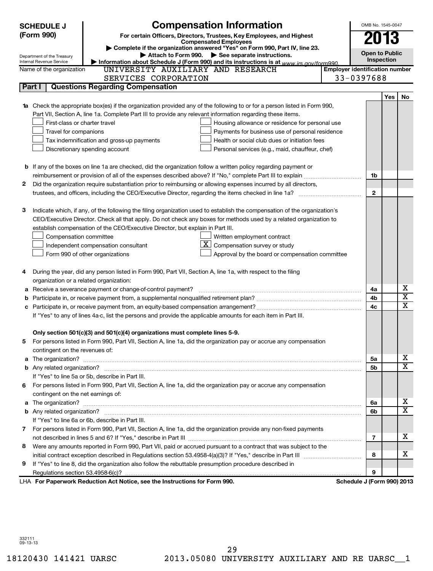|   | <b>SCHEDULE J</b><br>(Form 990)                                                                                               | <b>Compensation Information</b><br>For certain Officers, Directors, Trustees, Key Employees, and Highest                                   |  | OMB No. 1545-0047          |                                       |                         |  |  |
|---|-------------------------------------------------------------------------------------------------------------------------------|--------------------------------------------------------------------------------------------------------------------------------------------|--|----------------------------|---------------------------------------|-------------------------|--|--|
|   |                                                                                                                               | <b>Compensated Employees</b>                                                                                                               |  | 2013                       |                                       |                         |  |  |
|   |                                                                                                                               | Complete if the organization answered "Yes" on Form 990, Part IV, line 23.                                                                 |  | <b>Open to Public</b>      |                                       |                         |  |  |
|   | Department of the Treasury<br>Internal Revenue Service                                                                        | Attach to Form 990. > See separate instructions.<br>Information about Schedule J (Form 990) and its instructions is at www irs gov/form990 |  | Inspection                 |                                       |                         |  |  |
|   | Name of the organization                                                                                                      | UNIVERSITY AUXILIARY AND RESEARCH                                                                                                          |  |                            | <b>Employer identification number</b> |                         |  |  |
|   |                                                                                                                               | SERVICES CORPORATION                                                                                                                       |  | 33-0397688                 |                                       |                         |  |  |
|   | Part I                                                                                                                        | <b>Questions Regarding Compensation</b>                                                                                                    |  |                            |                                       |                         |  |  |
|   |                                                                                                                               |                                                                                                                                            |  |                            | Yes                                   | No.                     |  |  |
|   |                                                                                                                               | Check the appropriate box(es) if the organization provided any of the following to or for a person listed in Form 990,                     |  |                            |                                       |                         |  |  |
|   |                                                                                                                               | Part VII, Section A, line 1a. Complete Part III to provide any relevant information regarding these items.                                 |  |                            |                                       |                         |  |  |
|   | First-class or charter travel                                                                                                 | Housing allowance or residence for personal use                                                                                            |  |                            |                                       |                         |  |  |
|   | Travel for companions                                                                                                         | Payments for business use of personal residence                                                                                            |  |                            |                                       |                         |  |  |
|   |                                                                                                                               | Tax indemnification and gross-up payments<br>Health or social club dues or initiation fees                                                 |  |                            |                                       |                         |  |  |
|   |                                                                                                                               | Discretionary spending account<br>Personal services (e.g., maid, chauffeur, chef)                                                          |  |                            |                                       |                         |  |  |
|   |                                                                                                                               |                                                                                                                                            |  |                            |                                       |                         |  |  |
|   |                                                                                                                               | <b>b</b> If any of the boxes on line 1a are checked, did the organization follow a written policy regarding payment or                     |  |                            |                                       |                         |  |  |
|   |                                                                                                                               |                                                                                                                                            |  | 1b                         |                                       |                         |  |  |
| 2 |                                                                                                                               | Did the organization require substantiation prior to reimbursing or allowing expenses incurred by all directors,                           |  |                            |                                       |                         |  |  |
|   |                                                                                                                               | trustees, and officers, including the CEO/Executive Director, regarding the items checked in line 1a?                                      |  | $\mathbf{2}$               |                                       |                         |  |  |
|   |                                                                                                                               |                                                                                                                                            |  |                            |                                       |                         |  |  |
| З |                                                                                                                               | Indicate which, if any, of the following the filing organization used to establish the compensation of the organization's                  |  |                            |                                       |                         |  |  |
|   |                                                                                                                               | CEO/Executive Director. Check all that apply. Do not check any boxes for methods used by a related organization to                         |  |                            |                                       |                         |  |  |
|   |                                                                                                                               | establish compensation of the CEO/Executive Director, but explain in Part III.                                                             |  |                            |                                       |                         |  |  |
|   |                                                                                                                               | Written employment contract                                                                                                                |  |                            |                                       |                         |  |  |
|   | Compensation committee<br>$\lfloor \underline{X} \rfloor$ Compensation survey or study<br>Independent compensation consultant |                                                                                                                                            |  |                            |                                       |                         |  |  |
|   | Form 990 of other organizations<br>Approval by the board or compensation committee                                            |                                                                                                                                            |  |                            |                                       |                         |  |  |
|   |                                                                                                                               |                                                                                                                                            |  |                            |                                       |                         |  |  |
| 4 |                                                                                                                               | During the year, did any person listed in Form 990, Part VII, Section A, line 1a, with respect to the filing                               |  |                            |                                       |                         |  |  |
|   | organization or a related organization:                                                                                       |                                                                                                                                            |  |                            |                                       |                         |  |  |
| а |                                                                                                                               | Receive a severance payment or change-of-control payment?                                                                                  |  | 4a                         |                                       | х                       |  |  |
|   |                                                                                                                               |                                                                                                                                            |  | 4b                         |                                       | $\overline{\textbf{X}}$ |  |  |
|   |                                                                                                                               |                                                                                                                                            |  | 4c                         |                                       | $\overline{\texttt{X}}$ |  |  |
|   |                                                                                                                               | If "Yes" to any of lines 4a-c, list the persons and provide the applicable amounts for each item in Part III.                              |  |                            |                                       |                         |  |  |
|   |                                                                                                                               |                                                                                                                                            |  |                            |                                       |                         |  |  |
|   |                                                                                                                               | Only section 501(c)(3) and 501(c)(4) organizations must complete lines 5-9.                                                                |  |                            |                                       |                         |  |  |
|   |                                                                                                                               | For persons listed in Form 990, Part VII, Section A, line 1a, did the organization pay or accrue any compensation                          |  |                            |                                       |                         |  |  |
|   | contingent on the revenues of:                                                                                                |                                                                                                                                            |  |                            |                                       |                         |  |  |
| a |                                                                                                                               |                                                                                                                                            |  | 5a                         |                                       | X                       |  |  |
|   |                                                                                                                               |                                                                                                                                            |  | 5 <sub>b</sub>             |                                       | $\overline{\mathbf{x}}$ |  |  |
|   |                                                                                                                               | If "Yes" to line 5a or 5b, describe in Part III.                                                                                           |  |                            |                                       |                         |  |  |
| 6 |                                                                                                                               | For persons listed in Form 990, Part VII, Section A, line 1a, did the organization pay or accrue any compensation                          |  |                            |                                       |                         |  |  |
|   | contingent on the net earnings of:                                                                                            |                                                                                                                                            |  |                            |                                       |                         |  |  |
|   |                                                                                                                               |                                                                                                                                            |  |                            |                                       |                         |  |  |
|   |                                                                                                                               |                                                                                                                                            |  | 6b                         |                                       | $\overline{\mathtt{x}}$ |  |  |
|   |                                                                                                                               | If "Yes" to line 6a or 6b, describe in Part III.                                                                                           |  |                            |                                       |                         |  |  |
|   |                                                                                                                               | 7 For persons listed in Form 990, Part VII, Section A, line 1a, did the organization provide any non-fixed payments                        |  |                            |                                       |                         |  |  |
|   |                                                                                                                               |                                                                                                                                            |  | 7                          |                                       | х                       |  |  |
| 8 |                                                                                                                               | Were any amounts reported in Form 990, Part VII, paid or accrued pursuant to a contract that was subject to the                            |  |                            |                                       |                         |  |  |
|   |                                                                                                                               |                                                                                                                                            |  | 8                          |                                       | х                       |  |  |
| 9 |                                                                                                                               | If "Yes" to line 8, did the organization also follow the rebuttable presumption procedure described in                                     |  |                            |                                       |                         |  |  |
|   |                                                                                                                               |                                                                                                                                            |  | 9                          |                                       |                         |  |  |
|   |                                                                                                                               | LHA For Paperwork Reduction Act Notice, see the Instructions for Form 990.                                                                 |  | Schedule J (Form 990) 2013 |                                       |                         |  |  |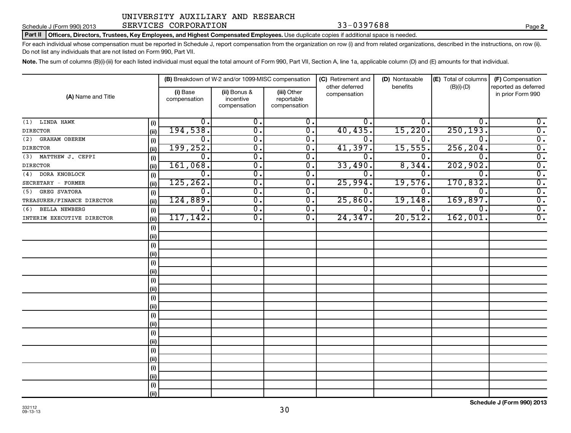# Schedule J (Form 990) 2013 SERVICES CORPORATION 33-0397688 Page

Part II | Officers, Directors, Trustees, Key Employees, and Highest Compensated Employees. Use duplicate copies if additional space is needed.

For each individual whose compensation must be reported in Schedule J, report compensation from the organization on row (i) and from related organizations, described in the instructions, on row (ii). Do not list any individuals that are not listed on Form 990, Part VII.

Note. The sum of columns (B)(i)-(iii) for each listed individual must equal the total amount of Form 990, Part VII, Section A, line 1a, applicable column (D) and (E) amounts for that individual.

|                             |      |                          | (B) Breakdown of W-2 and/or 1099-MISC compensation |                                           | (C) Retirement and<br>other deferred | (D) Nontaxable<br>benefits | (E) Total of columns<br>$(B)(i)-(D)$ | (F) Compensation<br>reported as deferred |
|-----------------------------|------|--------------------------|----------------------------------------------------|-------------------------------------------|--------------------------------------|----------------------------|--------------------------------------|------------------------------------------|
| (A) Name and Title          |      | (i) Base<br>compensation | (ii) Bonus &<br>incentive<br>compensation          | (iii) Other<br>reportable<br>compensation | compensation                         |                            |                                      | in prior Form 990                        |
| $(1)$ LINDA HAWK            | (i)  | 0.                       | 0.                                                 | 0.                                        | 0.                                   | 0.                         | 0 <sup>1</sup>                       | 0.                                       |
| <b>DIRECTOR</b>             | (ii) | 194,538.                 | $\overline{0}$ .                                   | $\overline{\mathfrak{o}}$ .               | 40, 435.                             | 15,220.                    | 250, 193.                            | $\overline{0}$ .                         |
| (2) GRAHAM OBEREM           | (i)  | $\mathbf 0$ .            | $\overline{0}$ .                                   | 0.                                        | 0                                    | 0.                         | $\Omega$                             | $\overline{0}$ .                         |
| <b>DIRECTOR</b>             | (ii) | 199, 252.                | $\overline{\mathfrak{o}}$ .                        | $\overline{0}$ .                          | 41,397.                              | 15,555.                    | 256, 204.                            | $\overline{0}$ .                         |
| (3) MATTHEW J. CEPPI        | (i)  | 0.                       | $\overline{\mathfrak{o}}$ .                        | $\overline{0}$ .                          | 0                                    | 0.                         | $\Omega$ .                           | $\overline{0}$ .                         |
| <b>DIRECTOR</b>             | (ii) | 161,068.                 | $\overline{\mathfrak{o}}$ .                        | $\overline{0}$ .                          | 33,490.                              | 8,344.                     | 202,902.                             | $\overline{0}$ .                         |
| (4) DORA KNOBLOCK           | (i)  | $\mathbf 0$ .            | $\overline{0}$ .                                   | $\overline{0}$ .                          | 0                                    | $\mathbf 0$ .              | $\Omega$ .                           | $\overline{0}$ .                         |
| SECRETARY - FORMER          | (ii) | 125, 262.                | $\overline{0}$ .                                   | $\overline{0}$ .                          | 25,994.                              | 19,576.                    | 170,832.                             | $\overline{0}$ .                         |
| <b>GREG SVATORA</b><br>(5)  | (i)  | $\overline{0}$ .         | $\overline{\mathfrak{o}}$ .                        | $\overline{0}$ .                          | 0.                                   | 0.                         | $\overline{0}$ .                     | $\overline{0}$ .                         |
| TREASURER/FINANCE DIRECTOR  | (ii) | 124,889.                 | $\overline{\mathfrak{o}}$ .                        | $\overline{0}$ .                          | 25,860.                              | 19, 148.                   | 169,897.                             | $\overline{\mathfrak{o}}$ .              |
| <b>BELLA NEWBERG</b><br>(6) | (i)  | $\overline{0}$ .         | $\overline{\mathfrak{o}}$ .                        | $\overline{0}$ .                          | 0.                                   | $\overline{0}$ .           | $\mathbf 0$ .                        | $\overline{0}$ .                         |
| INTERIM EXECUTIVE DIRECTOR  | (ii) | 117, 142.                | $\overline{0}$ .                                   | $\overline{0}$ .                          | 24, 347.                             | 20,512.                    | 162,001                              | $\overline{0}$ .                         |
|                             | (i)  |                          |                                                    |                                           |                                      |                            |                                      |                                          |
|                             | (ii) |                          |                                                    |                                           |                                      |                            |                                      |                                          |
|                             | (i)  |                          |                                                    |                                           |                                      |                            |                                      |                                          |
|                             | (ii) |                          |                                                    |                                           |                                      |                            |                                      |                                          |
|                             | (i)  |                          |                                                    |                                           |                                      |                            |                                      |                                          |
|                             | (ii) |                          |                                                    |                                           |                                      |                            |                                      |                                          |
|                             | (i)  |                          |                                                    |                                           |                                      |                            |                                      |                                          |
|                             | (ii) |                          |                                                    |                                           |                                      |                            |                                      |                                          |
|                             | (i)  |                          |                                                    |                                           |                                      |                            |                                      |                                          |
|                             | (ii) |                          |                                                    |                                           |                                      |                            |                                      |                                          |
|                             | (i)  |                          |                                                    |                                           |                                      |                            |                                      |                                          |
|                             | (ii) |                          |                                                    |                                           |                                      |                            |                                      |                                          |
|                             | (i)  |                          |                                                    |                                           |                                      |                            |                                      |                                          |
|                             | (ii) |                          |                                                    |                                           |                                      |                            |                                      |                                          |
|                             | (i)  |                          |                                                    |                                           |                                      |                            |                                      |                                          |
|                             | (ii) |                          |                                                    |                                           |                                      |                            |                                      |                                          |
|                             | (i)  |                          |                                                    |                                           |                                      |                            |                                      |                                          |
|                             | (ii) |                          |                                                    |                                           |                                      |                            |                                      |                                          |
|                             | (i)  |                          |                                                    |                                           |                                      |                            |                                      |                                          |
|                             | (ii) |                          |                                                    |                                           |                                      |                            |                                      |                                          |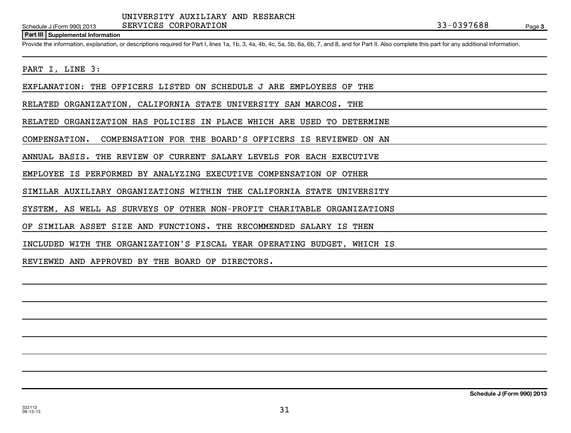# **Part III Supplemental Information**

Provide the information, explanation, or descriptions required for Part I, lines 1a, 1b, 3, 4a, 4b, 4c, 5a, 5b, 6a, 6b, 7, and 8, and for Part II. Also complete this part for any additional information.

## PART I, LINE 3:

EXPLANATION: THE OFFICERS LISTED ON SCHEDULE J ARE EMPLOYEES OF THE

RELATED ORGANIZATION, CALIFORNIA STATE UNIVERSITY SAN MARCOS. THE

RELATED ORGANIZATION HAS POLICIES IN PLACE WHICH ARE USED TO DETERMINE

COMPENSATION. COMPENSATION FOR THE BOARD'S OFFICERS IS REVIEWED ON AN

ANNUAL BASIS. THE REVIEW OF CURRENT SALARY LEVELS FOR EACH EXECUTIVE

EMPLOYEE IS PERFORMED BY ANALYZING EXECUTIVE COMPENSATION OF OTHER

SIMILAR AUXILIARY ORGANIZATIONS WITHIN THE CALIFORNIA STATE UNIVERSITY

SYSTEM, AS WELL AS SURVEYS OF OTHER NON-PROFIT CHARITABLE ORGANIZATIONS

OF SIMILAR ASSET SIZE AND FUNCTIONS. THE RECOMMENDED SALARY IS THEN

INCLUDED WITH THE ORGANIZATION'S FISCAL YEAR OPERATING BUDGET, WHICH IS

REVIEWED AND APPROVED BY THE BOARD OF DIRECTORS.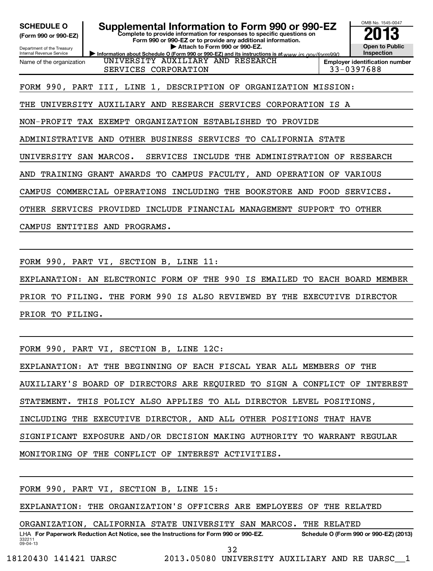| <b>SCHEDULE O</b>    |
|----------------------|
| (Form 990 or 990-EZ) |

### **Complete to provide information for responses to specific questions on Supplemental Information to Form 990 or 990-EZ**

**Form 990 or 990-EZ or to provide any additional information. | Attach to Form 990 or 990-EZ.**

Department of the Treasury Internal Revenue Service Name of the organization

**Information about Schedule O (Form 990 or 990-EZ) and its instructions is at www.irs.gov/form990.** 

**Inspection Employer identification number** SERVICES CORPORATION 33-0397688

OMB No. 1545-0047

**Open to Public**

FORM 990, PART III, LINE 1, DESCRIPTION OF ORGANIZATION MISSION:

UNIVERSITY AUXILIARY AND RESEARCH

THE UNIVERSITY AUXILIARY AND RESEARCH SERVICES CORPORATION IS A

NON-PROFIT TAX EXEMPT ORGANIZATION ESTABLISHED TO PROVIDE

ADMINISTRATIVE AND OTHER BUSINESS SERVICES TO CALIFORNIA STATE

UNIVERSITY SAN MARCOS. SERVICES INCLUDE THE ADMINISTRATION OF RESEARCH

AND TRAINING GRANT AWARDS TO CAMPUS FACULTY, AND OPERATION OF VARIOUS

CAMPUS COMMERCIAL OPERATIONS INCLUDING THE BOOKSTORE AND FOOD SERVICES.

OTHER SERVICES PROVIDED INCLUDE FINANCIAL MANAGEMENT SUPPORT TO OTHER

CAMPUS ENTITIES AND PROGRAMS.

FORM 990, PART VI, SECTION B, LINE 11:

EXPLANATION: AN ELECTRONIC FORM OF THE 990 IS EMAILED TO EACH BOARD MEMBER

PRIOR TO FILING. THE FORM 990 IS ALSO REVIEWED BY THE EXECUTIVE DIRECTOR

PRIOR TO FILING.

FORM 990, PART VI, SECTION B, LINE 12C:

EXPLANATION: AT THE BEGINNING OF EACH FISCAL YEAR ALL MEMBERS OF THE

AUXILIARY'S BOARD OF DIRECTORS ARE REQUIRED TO SIGN A CONFLICT OF INTEREST

STATEMENT. THIS POLICY ALSO APPLIES TO ALL DIRECTOR LEVEL POSITIONS,

INCLUDING THE EXECUTIVE DIRECTOR, AND ALL OTHER POSITIONS THAT HAVE

SIGNIFICANT EXPOSURE AND/OR DECISION MAKING AUTHORITY TO WARRANT REGULAR

MONITORING OF THE CONFLICT OF INTEREST ACTIVITIES.

FORM 990, PART VI, SECTION B, LINE 15:

EXPLANATION: THE ORGANIZATION'S OFFICERS ARE EMPLOYEES OF THE RELATED

ORGANIZATION, CALIFORNIA STATE UNIVERSITY SAN MARCOS. THE RELATED

332211 09-04-13 LHA For Paperwork Reduction Act Notice, see the Instructions for Form 990 or 990-EZ. Schedule O (Form 990 or 990-EZ) (2013)

32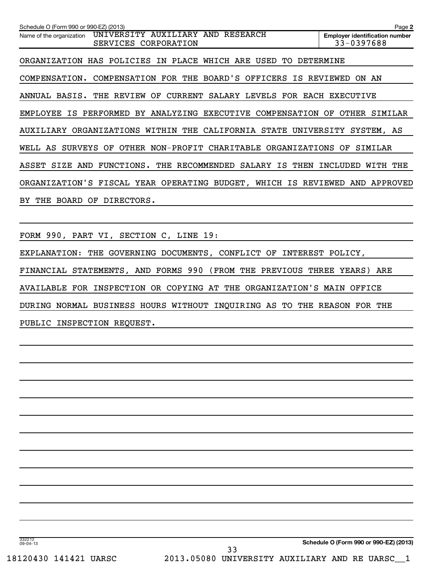| Schedule O (Form 990 or 990-EZ) (2013)                                                   | Page 2                                              |
|------------------------------------------------------------------------------------------|-----------------------------------------------------|
| UNIVERSITY AUXILIARY AND<br>RESEARCH<br>Name of the organization<br>SERVICES CORPORATION | <b>Employer identification number</b><br>33-0397688 |
| WHICH ARE<br>ORGANIZATION HAS<br>POLICIES<br>PLACE<br>USED<br>TO.<br>IN                  | DETERMINE                                           |
| BOARD'S OFFICERS<br>COMPENSATION FOR THE<br>COMPENSATION.<br>IS.                         | REVIEWED<br>ON.<br>AN                               |
| CURRENT SALARY LEVELS FOR EACH EXECUTIVE<br>ANNUAL BASIS. THE REVIEW OF                  |                                                     |
| EMPLOYEE IS PERFORMED BY ANALYZING EXECUTIVE COMPENSATION OF                             | OTHER<br>SIMILAR                                    |
| AUXILIARY ORGANIZATIONS WITHIN THE CALIFORNIA STATE UNIVERSITY SYSTEM, AS                |                                                     |
| OF<br>OTHER NON-PROFIT CHARITABLE ORGANIZATIONS OF<br>WELL AS<br><b>SURVEYS</b>          | SIMILAR                                             |
| FUNCTIONS.<br>THE<br>RECOMMENDED<br>SIZE<br>AND<br>SALARY<br>IS<br>THEN<br>ASSET         | INCLUDED<br>WITH<br>THE                             |
| ORGANIZATION'S FISCAL YEAR OPERATING BUDGET, WHICH IS REVIEWED AND                       | APPROVED                                            |
| DIRECTORS.<br>THE<br>BOARD<br>OF<br>BY.                                                  |                                                     |
|                                                                                          |                                                     |
|                                                                                          |                                                     |

FORM 990, PART VI, SECTION C, LINE 19:

EXPLANATION: THE GOVERNING DOCUMENTS, CONFLICT OF INTEREST POLICY,

FINANCIAL STATEMENTS, AND FORMS 990 (FROM THE PREVIOUS THREE YEARS) ARE

AVAILABLE FOR INSPECTION OR COPYING AT THE ORGANIZATION'S MAIN OFFICE

DURING NORMAL BUSINESS HOURS WITHOUT INQUIRING AS TO THE REASON FOR THE

PUBLIC INSPECTION REQUEST.

**Schedule O (Form 990 or 990-EZ) (2013)**

332212 09-04-13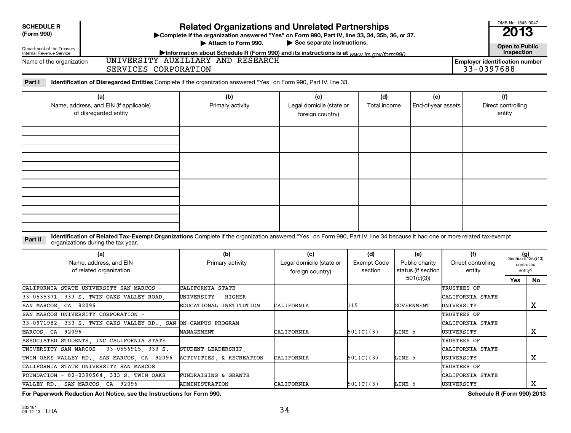| <b>Related Organizations and Unrelated Partnerships</b><br><b>SCHEDULE R</b><br>(Form 990)<br>>Complete if the organization answered "Yes" on Form 990, Part IV, line 33, 34, 35b, 36, or 37.<br>$\blacktriangleright$ See separate instructions. |                                                                                                                                                                                                                          |                                                                    |                                                     |                                      |                                                             |                                               |                                     |                                                            |  |
|---------------------------------------------------------------------------------------------------------------------------------------------------------------------------------------------------------------------------------------------------|--------------------------------------------------------------------------------------------------------------------------------------------------------------------------------------------------------------------------|--------------------------------------------------------------------|-----------------------------------------------------|--------------------------------------|-------------------------------------------------------------|-----------------------------------------------|-------------------------------------|------------------------------------------------------------|--|
| Department of the Treasury                                                                                                                                                                                                                        |                                                                                                                                                                                                                          | Attach to Form 990.                                                |                                                     |                                      |                                                             |                                               | <b>Open to Public</b><br>Inspection |                                                            |  |
| Internal Revenue Service                                                                                                                                                                                                                          | Information about Schedule R (Form 990) and its instructions is at www irs gov/form990<br>UNIVERSITY AUXILIARY AND RESEARCH<br><b>Employer identification number</b><br>Name of the organization<br>SERVICES CORPORATION |                                                                    |                                                     |                                      |                                                             |                                               |                                     |                                                            |  |
| Part I                                                                                                                                                                                                                                            | Identification of Disregarded Entities Complete if the organization answered "Yes" on Form 990, Part IV, line 33.                                                                                                        |                                                                    |                                                     |                                      |                                                             |                                               |                                     |                                                            |  |
|                                                                                                                                                                                                                                                   | (a)<br>Name, address, and EIN (if applicable)<br>of disregarded entity                                                                                                                                                   | (b)<br>Primary activity                                            | (c)<br>Legal domicile (state or<br>foreign country) | (d)<br>Total income                  | (e)<br>End-of-year assets                                   |                                               | (f)<br>Direct controlling<br>entity |                                                            |  |
|                                                                                                                                                                                                                                                   |                                                                                                                                                                                                                          |                                                                    |                                                     |                                      |                                                             |                                               |                                     |                                                            |  |
|                                                                                                                                                                                                                                                   |                                                                                                                                                                                                                          |                                                                    |                                                     |                                      |                                                             |                                               |                                     |                                                            |  |
| Part II                                                                                                                                                                                                                                           | Identification of Related Tax-Exempt Organizations Complete if the organization answered "Yes" on Form 990, Part IV, line 34 because it had one or more related tax-exempt<br>organizations during the tax year.         |                                                                    |                                                     |                                      |                                                             |                                               |                                     |                                                            |  |
|                                                                                                                                                                                                                                                   | (a)<br>Name, address, and EIN<br>of related organization                                                                                                                                                                 | (b)<br>Primary activity                                            | (c)<br>Legal domicile (state or<br>foreign country) | (d)<br><b>Exempt Code</b><br>section | (e)<br>Public charity<br>status (if section<br>501(c)(3)    | (f)<br>Direct controlling<br>entity           | Yes                                 | $(g)$<br>Section 512(b)(13)<br>controlled<br>entity?<br>No |  |
| SAN MARCOS, CA 92096                                                                                                                                                                                                                              | CALIFORNIA STATE UNIVERSITY SAN MARCOS -<br>33-0535371, 333 S. TWIN OAKS VALLEY ROAD                                                                                                                                     | CALIFORNIA STATE<br>UNIVERSITY – HIGHER<br>EDUCATIONAL INSTITUTION | CALIFORNIA                                          | 115                                  | TRUSTEES OF<br>CALIFORNIA STATE<br>GOVERNMENT<br>UNIVERSITY |                                               |                                     | X                                                          |  |
| MARCOS, CA 92096                                                                                                                                                                                                                                  | SAN MARCOS UNIVERSITY CORPORATION<br>33-0971982, 333 S. TWIN OAKS VALLEY RD.,<br>SAN                                                                                                                                     | ON-CAMPUS PROGRAM<br>MANAGEMENT                                    | CALIFORNIA                                          | 501(C)(3)                            | LINE 5                                                      | TRUSTEES OF<br>CALIFORNIA STATE<br>UNIVERSITY |                                     | х                                                          |  |
|                                                                                                                                                                                                                                                   | ASSOCIATED STUDENTS, INC CALIFORNIA STATE<br>UNIVERSITY SAN MARCOS - 33-0556915, 333 S.<br>TWIN OAKS VALLEY RD., SAN MARCOS, CA 92096                                                                                    | STUDENT LEADERSHIP,<br>ACTIVITIES, & RECREATION                    | CALIFORNIA                                          | 501(C)(3)                            | LINE 5                                                      | TRUSTEES OF<br>CALIFORNIA STATE<br>UNIVERSITY |                                     | x                                                          |  |
|                                                                                                                                                                                                                                                   | CALIFORNIA STATE UNIVERSITY SAN MARCOS<br>FOUNDATION - 80-0390564, 333 S. TWIN OAKS<br>VALLEY RD., SAN MARCOS, CA 92096                                                                                                  | <b>FUNDRAISING &amp; GRANTS</b><br>ADMINISTRATION                  | CALIFORNIA                                          | 501(C)(3)                            | LINE 5                                                      | TRUSTEES OF<br>CALIFORNIA STATE<br>UNIVERSITY |                                     | X                                                          |  |

**For Paperwork Reduction Act Notice, see the Instructions for Form 990. Schedule R (Form 990) 2013**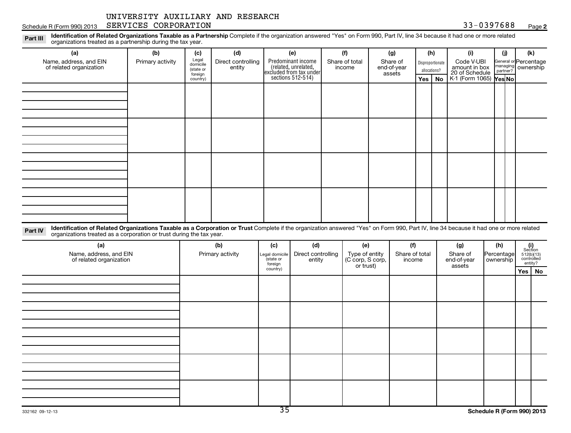Schedule R (Form 990) 2013 SERVICES CORPORATION (Page 33-0397688 Page 33-0397688 Page

**2**

Part III Identification of Related Organizations Taxable as a Partnership Complete if the organization answered "Yes" on Form 990, Part IV, line 34 because it had one or more related<br>Read to consistions tracted as a partne organizations treated as a partnership during the tax year.

| organizations treated as a partnership during the tax year.                                                                                                                                                                                                               |                  |                                  |                              |                      |                                                                                            |           |                                    |                         |                |                       |              |                                                                   |                      |                       |                                                                                                                                |
|---------------------------------------------------------------------------------------------------------------------------------------------------------------------------------------------------------------------------------------------------------------------------|------------------|----------------------------------|------------------------------|----------------------|--------------------------------------------------------------------------------------------|-----------|------------------------------------|-------------------------|----------------|-----------------------|--------------|-------------------------------------------------------------------|----------------------|-----------------------|--------------------------------------------------------------------------------------------------------------------------------|
| (a)                                                                                                                                                                                                                                                                       | (b)              | (c)                              | (d)                          |                      | (e)                                                                                        |           | (f)                                |                         | (g)<br>(h)     |                       |              | (i)                                                               | (j)                  |                       | (k)                                                                                                                            |
| Name, address, and EIN<br>of related organization                                                                                                                                                                                                                         | Primary activity | Legal<br>domicile                | Direct controlling<br>entity |                      |                                                                                            |           | Share of total<br>income           | Share of<br>end-of-year |                |                       |              | Code V-UBI<br>amount in box<br>20 of Schedule<br>Disproportionate |                      | General or Percentage | ownership                                                                                                                      |
|                                                                                                                                                                                                                                                                           |                  | (state or<br>foreign<br>country) |                              |                      | Predominant income<br>(related, unrelated,<br>excluded from tax under<br>sections 512-514) |           |                                    |                         | assets         |                       | allocations? |                                                                   | managing<br>partner? |                       |                                                                                                                                |
|                                                                                                                                                                                                                                                                           |                  |                                  |                              |                      |                                                                                            |           |                                    |                         |                |                       | Yes   No     | K-1 (Form 1065) Yes No                                            |                      |                       |                                                                                                                                |
|                                                                                                                                                                                                                                                                           |                  |                                  |                              |                      |                                                                                            |           |                                    |                         |                |                       |              |                                                                   |                      |                       |                                                                                                                                |
|                                                                                                                                                                                                                                                                           |                  |                                  |                              |                      |                                                                                            |           |                                    |                         |                |                       |              |                                                                   |                      |                       |                                                                                                                                |
|                                                                                                                                                                                                                                                                           |                  |                                  |                              |                      |                                                                                            |           |                                    |                         |                |                       |              |                                                                   |                      |                       |                                                                                                                                |
|                                                                                                                                                                                                                                                                           |                  |                                  |                              |                      |                                                                                            |           |                                    |                         |                |                       |              |                                                                   |                      |                       |                                                                                                                                |
|                                                                                                                                                                                                                                                                           |                  |                                  |                              |                      |                                                                                            |           |                                    |                         |                |                       |              |                                                                   |                      |                       |                                                                                                                                |
|                                                                                                                                                                                                                                                                           |                  |                                  |                              |                      |                                                                                            |           |                                    |                         |                |                       |              |                                                                   |                      |                       |                                                                                                                                |
|                                                                                                                                                                                                                                                                           |                  |                                  |                              |                      |                                                                                            |           |                                    |                         |                |                       |              |                                                                   |                      |                       |                                                                                                                                |
|                                                                                                                                                                                                                                                                           |                  |                                  |                              |                      |                                                                                            |           |                                    |                         |                |                       |              |                                                                   |                      |                       |                                                                                                                                |
|                                                                                                                                                                                                                                                                           |                  |                                  |                              |                      |                                                                                            |           |                                    |                         |                |                       |              |                                                                   |                      |                       |                                                                                                                                |
|                                                                                                                                                                                                                                                                           |                  |                                  |                              |                      |                                                                                            |           |                                    |                         |                |                       |              |                                                                   |                      |                       |                                                                                                                                |
|                                                                                                                                                                                                                                                                           |                  |                                  |                              |                      |                                                                                            |           |                                    |                         |                |                       |              |                                                                   |                      |                       |                                                                                                                                |
|                                                                                                                                                                                                                                                                           |                  |                                  |                              |                      |                                                                                            |           |                                    |                         |                |                       |              |                                                                   |                      |                       |                                                                                                                                |
|                                                                                                                                                                                                                                                                           |                  |                                  |                              |                      |                                                                                            |           |                                    |                         |                |                       |              |                                                                   |                      |                       |                                                                                                                                |
|                                                                                                                                                                                                                                                                           |                  |                                  |                              |                      |                                                                                            |           |                                    |                         |                |                       |              |                                                                   |                      |                       |                                                                                                                                |
| Identification of Related Organizations Taxable as a Corporation or Trust Complete if the organization answered "Yes" on Form 990, Part IV, line 34 because it had one or more related<br>Part IV<br>organizations treated as a corporation or trust during the tax year. |                  |                                  |                              |                      |                                                                                            |           |                                    |                         |                |                       |              |                                                                   |                      |                       |                                                                                                                                |
| (a)                                                                                                                                                                                                                                                                       |                  |                                  | (b)                          | (c)                  | (d)                                                                                        |           | (e)                                |                         | (f)            |                       |              | (g)                                                               | (h)                  |                       |                                                                                                                                |
| Name, address, and EIN                                                                                                                                                                                                                                                    |                  |                                  | Primary activity             | Legal domicile       | Direct controlling                                                                         |           | Type of entity<br>(C corp, S corp, |                         | Share of total |                       |              | Share of                                                          | Percentage           |                       | $\begin{array}{c} \textbf{(i)}\\ \text{Section}\\ 512 \text{(b)} \text{(13)}\\ \text{controlled}\\ \text{entity?} \end{array}$ |
| of related organization                                                                                                                                                                                                                                                   |                  |                                  |                              | (state or<br>foreign | entity                                                                                     | or trust) | income                             |                         |                | end-of-year<br>assets | ownership    |                                                                   |                      |                       |                                                                                                                                |
|                                                                                                                                                                                                                                                                           |                  |                                  |                              | country)             |                                                                                            |           |                                    |                         |                |                       |              |                                                                   |                      |                       | Yes   No                                                                                                                       |
|                                                                                                                                                                                                                                                                           |                  |                                  |                              |                      |                                                                                            |           |                                    |                         |                |                       |              |                                                                   |                      |                       |                                                                                                                                |
|                                                                                                                                                                                                                                                                           |                  |                                  |                              |                      |                                                                                            |           |                                    |                         |                |                       |              |                                                                   |                      |                       |                                                                                                                                |
|                                                                                                                                                                                                                                                                           |                  |                                  |                              |                      |                                                                                            |           |                                    |                         |                |                       |              |                                                                   |                      |                       |                                                                                                                                |
|                                                                                                                                                                                                                                                                           |                  |                                  |                              |                      |                                                                                            |           |                                    |                         |                |                       |              |                                                                   |                      |                       |                                                                                                                                |
|                                                                                                                                                                                                                                                                           |                  |                                  |                              |                      |                                                                                            |           |                                    |                         |                |                       |              |                                                                   |                      |                       |                                                                                                                                |
|                                                                                                                                                                                                                                                                           |                  |                                  |                              |                      |                                                                                            |           |                                    |                         |                |                       |              |                                                                   |                      |                       |                                                                                                                                |
|                                                                                                                                                                                                                                                                           |                  |                                  |                              |                      |                                                                                            |           |                                    |                         |                |                       |              |                                                                   |                      |                       |                                                                                                                                |
|                                                                                                                                                                                                                                                                           |                  |                                  |                              |                      |                                                                                            |           |                                    |                         |                |                       |              |                                                                   |                      |                       |                                                                                                                                |
|                                                                                                                                                                                                                                                                           |                  |                                  |                              |                      |                                                                                            |           |                                    |                         |                |                       |              |                                                                   |                      |                       |                                                                                                                                |
|                                                                                                                                                                                                                                                                           |                  |                                  |                              |                      |                                                                                            |           |                                    |                         |                |                       |              |                                                                   |                      |                       |                                                                                                                                |
|                                                                                                                                                                                                                                                                           |                  |                                  |                              |                      |                                                                                            |           |                                    |                         |                |                       |              |                                                                   |                      |                       |                                                                                                                                |
|                                                                                                                                                                                                                                                                           |                  |                                  |                              |                      |                                                                                            |           |                                    |                         |                |                       |              |                                                                   |                      |                       |                                                                                                                                |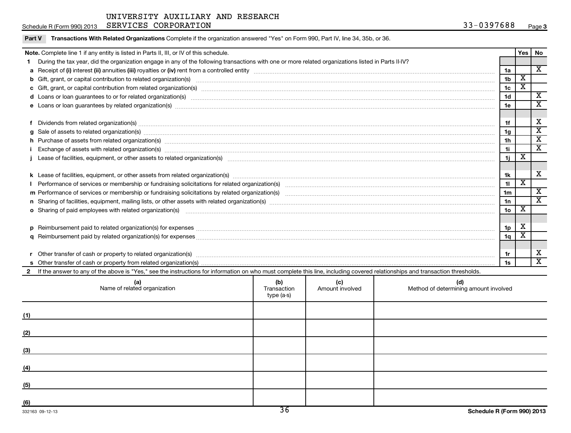|                                                                                                                                                                                                                                | Schedule R (Form 990) 2013 SERVICES CORPORATION                                                                                                                                                                                |                    |                        | 33-0397688                                   |                 |                         | Page 3                  |
|--------------------------------------------------------------------------------------------------------------------------------------------------------------------------------------------------------------------------------|--------------------------------------------------------------------------------------------------------------------------------------------------------------------------------------------------------------------------------|--------------------|------------------------|----------------------------------------------|-----------------|-------------------------|-------------------------|
| Part V                                                                                                                                                                                                                         | Transactions With Related Organizations Complete if the organization answered "Yes" on Form 990, Part IV, line 34, 35b, or 36.                                                                                                 |                    |                        |                                              |                 |                         |                         |
|                                                                                                                                                                                                                                | Note. Complete line 1 if any entity is listed in Parts II, III, or IV of this schedule.                                                                                                                                        |                    |                        |                                              |                 | Yes                     | No                      |
|                                                                                                                                                                                                                                | During the tax year, did the organization engage in any of the following transactions with one or more related organizations listed in Parts II-IV?                                                                            |                    |                        |                                              |                 |                         |                         |
|                                                                                                                                                                                                                                |                                                                                                                                                                                                                                |                    |                        |                                              | 1a              |                         | $\overline{\mathbf{X}}$ |
| b                                                                                                                                                                                                                              | Gift, grant, or capital contribution to related organization(s) manufaction contracts and contribution to related organization(s) manufaction contribution to related organization(s) manufactured contribution contribution o |                    |                        |                                              | 1 <sub>b</sub>  | $\overline{\mathbf{x}}$ |                         |
|                                                                                                                                                                                                                                |                                                                                                                                                                                                                                |                    |                        |                                              | 1 <sub>c</sub>  | $\overline{\mathbf{x}}$ |                         |
|                                                                                                                                                                                                                                | d Loans or loan guarantees to or for related organization(s) www.communities.com/www.communities.com/www.communities.com/www.communities.com/www.communities.com/www.communities.com/www.communities.com/www.communities.com/w |                    |                        |                                              | 1 <sub>d</sub>  |                         | $\overline{\mathbf{x}}$ |
|                                                                                                                                                                                                                                | e Loans or loan guarantees by related organization(s) manufaction content to content the manufacture content of the manufacture content of the manufacture content of the manufacture content of the local content of the manu |                    |                        |                                              | 1e              |                         | $\overline{\textbf{X}}$ |
|                                                                                                                                                                                                                                |                                                                                                                                                                                                                                |                    |                        |                                              |                 |                         |                         |
| f                                                                                                                                                                                                                              | Dividends from related organization(s) www.andron.com/www.andron.com/www.andron.com/www.andron.com/www.andron.com/www.andron.com/www.andron.com/www.andron.com/www.andron.com/www.andron.com/www.andron.com/www.andron.com/www |                    |                        |                                              | 1f              |                         | х                       |
|                                                                                                                                                                                                                                | Sale of assets to related organization(s) material content and content to the content of the content of the content of the content of the content of the content of the content of the content of the content of the content o |                    |                        |                                              | 1 <sub>g</sub>  |                         | $\overline{\mathbf{x}}$ |
|                                                                                                                                                                                                                                |                                                                                                                                                                                                                                |                    |                        |                                              |                 |                         | $\overline{\text{x}}$   |
|                                                                                                                                                                                                                                |                                                                                                                                                                                                                                |                    |                        |                                              |                 |                         | $\overline{\textbf{x}}$ |
|                                                                                                                                                                                                                                |                                                                                                                                                                                                                                |                    |                        |                                              | 1j              | $\overline{\mathbf{X}}$ |                         |
|                                                                                                                                                                                                                                |                                                                                                                                                                                                                                |                    |                        |                                              |                 |                         |                         |
|                                                                                                                                                                                                                                |                                                                                                                                                                                                                                |                    |                        |                                              | 1k              |                         | x                       |
|                                                                                                                                                                                                                                |                                                                                                                                                                                                                                |                    |                        |                                              | 11              | X                       |                         |
|                                                                                                                                                                                                                                |                                                                                                                                                                                                                                |                    |                        |                                              | 1 <sub>m</sub>  |                         | $\overline{\mathbf{x}}$ |
|                                                                                                                                                                                                                                |                                                                                                                                                                                                                                |                    |                        |                                              | 1n              |                         | $\overline{\mathbf{x}}$ |
|                                                                                                                                                                                                                                | o Sharing of paid employees with related organization(s) manufaction(s) and contain a substitution of the state or state or state or state or state or state or state or state or state or state or state or state or state or |                    |                        |                                              | 10 <sub>o</sub> | х                       |                         |
|                                                                                                                                                                                                                                |                                                                                                                                                                                                                                |                    |                        |                                              |                 |                         |                         |
|                                                                                                                                                                                                                                |                                                                                                                                                                                                                                |                    |                        |                                              | 1 <sub>p</sub>  | X                       |                         |
| q                                                                                                                                                                                                                              |                                                                                                                                                                                                                                |                    |                        |                                              | 1q              | X                       |                         |
|                                                                                                                                                                                                                                |                                                                                                                                                                                                                                |                    |                        |                                              |                 |                         |                         |
| Other transfer of cash or property to related organization(s) material contents and content to the content of the content of the content of the content of the content of the content of the content of the content of the con |                                                                                                                                                                                                                                |                    |                        |                                              |                 |                         | х                       |
|                                                                                                                                                                                                                                |                                                                                                                                                                                                                                |                    |                        |                                              |                 |                         | $\overline{\mathbf{x}}$ |
|                                                                                                                                                                                                                                | 2 If the answer to any of the above is "Yes," see the instructions for information on who must complete this line, including covered relationships and transaction thresholds.                                                 |                    |                        |                                              |                 |                         |                         |
|                                                                                                                                                                                                                                | (a)<br>Name of related organization                                                                                                                                                                                            | (b)<br>Transaction | (c)<br>Amount involved | (d)<br>Method of determining amount involved |                 |                         |                         |

|     | Name of related organization | $\sim$<br>Transaction<br>type (a-s) | $\mathbf{v}$<br>Amount involved | $\sim$<br>Method of determining amount involved |
|-----|------------------------------|-------------------------------------|---------------------------------|-------------------------------------------------|
|     | (1)                          |                                     |                                 |                                                 |
| (2) |                              |                                     |                                 |                                                 |
| (3) |                              |                                     |                                 |                                                 |
| (4) |                              |                                     |                                 |                                                 |
| (5) |                              |                                     |                                 |                                                 |
| (6) |                              | --                                  |                                 |                                                 |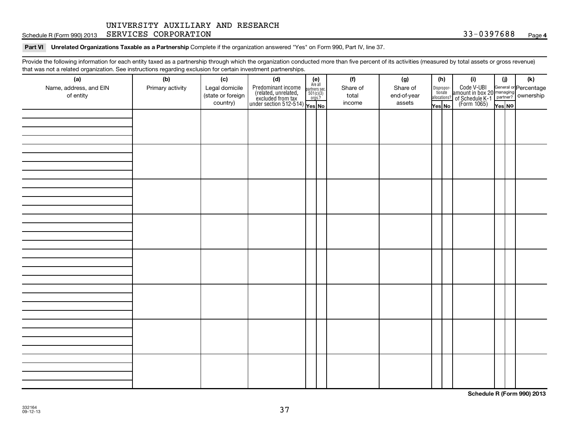Schedule R (Form 990) 2013 SERVICES CORPORATION (Page 33-0397688 Page 33-0397688 Page

#### Part VI Unrelated Organizations Taxable as a Partnership Complete if the organization answered "Yes" on Form 990, Part IV, line 37.

Provide the following information for each entity taxed as a partnership through which the organization conducted more than five percent of its activities (measured by total assets or gross revenue) that was not a related organization. See instructions regarding exclusion for certain investment partnerships.

| (a)<br>Name, address, and EIN<br>of entity | (b)<br>Primary activity | (c)<br>Legal domicile<br>(state or foreign<br>country) | (d)<br>Predominant income<br>(related, unrelated, $\frac{\text{Area all}}{\text{501(c)(3)}}$<br>excluded from tax<br>under section 512-514)<br>Ves No | $(e)$<br>Are all | (f)<br>Share of<br>total<br>income | (g)<br>Share of<br>end-of-year<br>assets | (h) | Yes No | (i)<br>Dispropor-<br>Code V-UBI<br>dionate amount in box 20 managing<br>allocations? of Schedule K-1<br>Yes No (Form 1065)<br>Yes No | (i)<br>Yes NO | (k) |
|--------------------------------------------|-------------------------|--------------------------------------------------------|-------------------------------------------------------------------------------------------------------------------------------------------------------|------------------|------------------------------------|------------------------------------------|-----|--------|--------------------------------------------------------------------------------------------------------------------------------------|---------------|-----|
|                                            |                         |                                                        |                                                                                                                                                       |                  |                                    |                                          |     |        |                                                                                                                                      |               |     |
|                                            |                         |                                                        |                                                                                                                                                       |                  |                                    |                                          |     |        |                                                                                                                                      |               |     |
|                                            |                         |                                                        |                                                                                                                                                       |                  |                                    |                                          |     |        |                                                                                                                                      |               |     |
|                                            |                         |                                                        |                                                                                                                                                       |                  |                                    |                                          |     |        |                                                                                                                                      |               |     |
|                                            |                         |                                                        |                                                                                                                                                       |                  |                                    |                                          |     |        |                                                                                                                                      |               |     |
|                                            |                         |                                                        |                                                                                                                                                       |                  |                                    |                                          |     |        |                                                                                                                                      |               |     |
|                                            |                         |                                                        |                                                                                                                                                       |                  |                                    |                                          |     |        |                                                                                                                                      |               |     |
|                                            |                         |                                                        |                                                                                                                                                       |                  |                                    |                                          |     |        |                                                                                                                                      |               |     |

**Schedule R (Form 990) 2013**